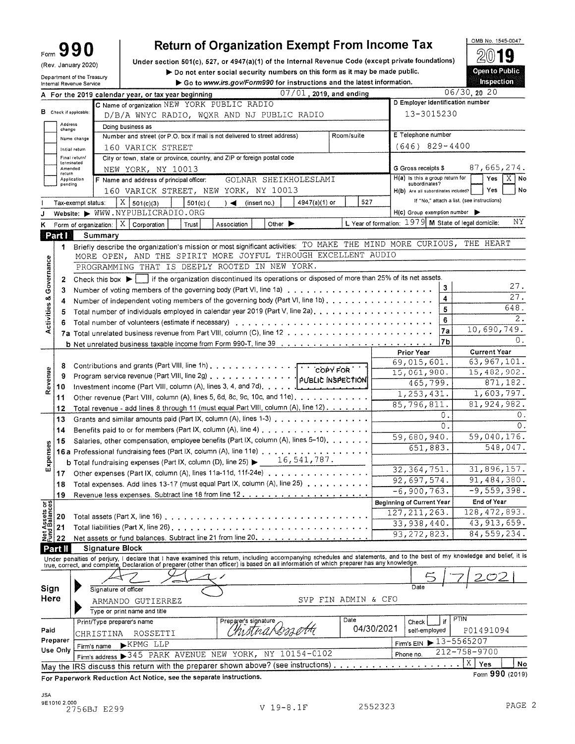| orm |  |  |
|-----|--|--|
|     |  |  |

#### $\mathsf F$ (Rev. January 2020)

Department of the Treasury<br>Internal Revenue Service

# **Return of Organization Exempt From Income Tax**

Under section 501(c), 527, or 4947(a)(1) of the Internal Revenue Code (except private foundations) Do not enter social security numbers on this form as it may be made public. Go to www.irs.gov/Form990 for instructions and the latest information.

2019 **Open to Public** Inspection

OMB No. 1545-0047

|              |                   |                                 | $07/01$ , 2019, and ending<br>A For the 2019 calendar year, or tax year beginning                                                                                          |                     |             |                                                     |               | $06/30$ , 20 20                                            |
|--------------|-------------------|---------------------------------|----------------------------------------------------------------------------------------------------------------------------------------------------------------------------|---------------------|-------------|-----------------------------------------------------|---------------|------------------------------------------------------------|
|              |                   |                                 | C Name of organization NEW YORK PUBLIC RADIO                                                                                                                               |                     |             | D Employer identification number                    |               |                                                            |
|              |                   | <b>B</b> Check if applicable:   | D/B/A WNYC RADIO, WQXR AND NJ PUBLIC RADIO                                                                                                                                 |                     |             | 13-3015230                                          |               |                                                            |
|              | Address           |                                 | Doing business as                                                                                                                                                          |                     |             |                                                     |               |                                                            |
|              | change            |                                 | Number and street (or P.O. box if mail is not delivered to street address)                                                                                                 | Room/suite          |             | E Telephone number                                  |               |                                                            |
|              |                   | Name change                     | 160 VARICK STREET                                                                                                                                                          |                     |             | $(646)$ 829-4400                                    |               |                                                            |
|              |                   | Initial return<br>Final return/ | City or town, state or province, country, and ZIP or foreign postal code                                                                                                   |                     |             |                                                     |               |                                                            |
|              |                   | terminated                      |                                                                                                                                                                            |                     |             | G Gross receipts \$                                 |               | 87,665,274.                                                |
|              | Amended<br>return |                                 | NEW YORK, NY 10013                                                                                                                                                         |                     |             | H(a) is this a group return for                     |               | Yes<br>X.<br>No                                            |
|              | pending           | Application                     | GOLNAR SHEIKHOLESLAMI<br>F Name and address of principal officer:                                                                                                          |                     |             | subordinates?                                       |               |                                                            |
|              |                   |                                 | 160 VARICK STREET, NEW YORK, NY 10013                                                                                                                                      |                     |             | H(b) Are all subordinates included?                 |               | Yes<br>No                                                  |
|              |                   | Tax-exempt status:              | Χ<br>$501(c)$ (<br>4947(a)(1) or<br>501(c)(3)<br>$) \blacktriangleleft$ (inserting.)                                                                                       | 527                 |             |                                                     |               | If "No," attach a list. (see instructions)                 |
|              |                   |                                 | Website: WWW.NYPUBLICRADIO.ORG                                                                                                                                             |                     |             | $H(c)$ Group exemption number $\blacktriangleright$ |               |                                                            |
| ĸ            |                   |                                 | $\vert$ X $\vert$<br>Other $\blacktriangleright$<br>Corporation<br>Association<br>Form of organization:<br>Trust                                                           |                     |             |                                                     |               | NΥ<br>L Year of formation: 1979 M State of legal domicile: |
|              | Part I            |                                 | Summary                                                                                                                                                                    |                     |             |                                                     |               |                                                            |
|              | 1.                |                                 | Briefly describe the organization's mission or most significant activities: TO MAKE THE MIND MORE CURIOUS, THE HEART                                                       |                     |             |                                                     |               |                                                            |
|              |                   |                                 | MORE OPEN, AND THE SPIRIT MORE JOYFUL THROUGH EXCELLENT AUDIO                                                                                                              |                     |             |                                                     |               |                                                            |
|              |                   |                                 | PROGRAMMING THAT IS DEEPLY ROOTED IN NEW YORK.                                                                                                                             |                     |             |                                                     |               |                                                            |
|              | 2                 |                                 | Check this box $\blacktriangleright \bigsqcup$ if the organization discontinued its operations or disposed of more than 25% of its net assets.                             |                     |             |                                                     |               |                                                            |
| Governance   | 3                 |                                 |                                                                                                                                                                            |                     |             |                                                     | 3             | 27.                                                        |
|              | 4                 |                                 | Number of independent voting members of the governing body (Part VI, line 1b)                                                                                              |                     |             |                                                     | 4             | 27.                                                        |
|              | 5                 |                                 | Total number of individuals employed in calendar year 2019 (Part V, line 2a),                                                                                              |                     |             |                                                     | 5             | 648.                                                       |
| Activities & |                   |                                 |                                                                                                                                                                            |                     |             |                                                     | 6             | 2.                                                         |
|              |                   |                                 |                                                                                                                                                                            |                     |             |                                                     | 7a            | 10,690,749.                                                |
|              |                   |                                 |                                                                                                                                                                            |                     |             |                                                     | 7b            | $0$ .                                                      |
|              |                   |                                 |                                                                                                                                                                            |                     |             | Prior Year                                          |               | <b>Current Year</b>                                        |
|              |                   |                                 |                                                                                                                                                                            |                     |             | 69,015,601.                                         |               | 63, 967, 101.                                              |
|              | 8                 |                                 |                                                                                                                                                                            |                     | 15,061,980. |                                                     | 15,482,902.   |                                                            |
| Revenue      | 9                 |                                 |                                                                                                                                                                            |                     |             | 465,799.                                            |               | 871,182.                                                   |
|              | 10                |                                 |                                                                                                                                                                            |                     |             | 1,253,431.                                          |               | 1,603,797.                                                 |
|              | 11                |                                 | Other revenue (Part VIII, column (A), lines 5, 6d, 8c, 9c, 10c, and 11e).                                                                                                  |                     |             |                                                     |               |                                                            |
|              | 12                |                                 | Total revenue - add lines 8 through 11 (must equal Part VIII, column (A), line 12)                                                                                         |                     |             | 85,796,811.                                         |               | 81,924,982.<br>0.                                          |
|              | 13                |                                 | Grants and similar amounts paid (Part IX, column (A), lines 1-3)                                                                                                           |                     |             |                                                     | 0.            |                                                            |
|              | 14                |                                 | Benefits paid to or for members (Part IX, column (A), line 4) $\dots \dots \dots \dots \dots \dots$                                                                        |                     |             |                                                     | 0.            | 0.                                                         |
|              | 15                |                                 | Salaries, other compensation, employee benefits (Part IX, column (A), lines 5-10).                                                                                         |                     |             | 59,680,940.                                         |               | 59,040,176.                                                |
|              |                   |                                 |                                                                                                                                                                            |                     |             | 651,883.                                            |               | 548,047.                                                   |
| Expenses     |                   |                                 | <b>b</b> Total fundraising expenses (Part IX, column (D), line 25) $\triangleright$ 16, 541, 787.                                                                          |                     |             |                                                     |               |                                                            |
|              | 17                |                                 | Other expenses (Part IX, column (A), lines 11a-11d, 11f-24e)                                                                                                               |                     |             | 32, 364, 751.                                       |               | 31,896,157.                                                |
|              | 18                |                                 | Total expenses. Add lines 13-17 (must equal Part IX, column (A), line 25)                                                                                                  |                     | 92,697,574. |                                                     | 91, 484, 380. |                                                            |
|              | 19                |                                 |                                                                                                                                                                            |                     |             | $-6,900,763.$                                       |               | $-9,559,398.$                                              |
| 하이           |                   |                                 |                                                                                                                                                                            |                     |             | <b>Beginning of Current Year</b>                    |               | End of Year                                                |
| Net Assets   | 20                |                                 | Total assets (Part X, line 16) $\ldots$ , $\ldots$ , $\ldots$ , $\ldots$ , $\ldots$                                                                                        |                     |             | 127, 211, 263.                                      |               | 128, 472, 893.                                             |
|              | 21                |                                 | Total liabilities (Part X, line 26) $\ldots$ , $\ldots$ , $\ldots$ , $\ldots$ , $\ldots$                                                                                   |                     |             | 33,938,440.                                         |               | 43, 913, 659.                                              |
|              | 22                |                                 | Net assets or fund balances. Subtract line 21 from line 20.                                                                                                                |                     |             | 93, 272, 823.                                       |               | 84,559,234.                                                |
|              | Part II           |                                 | <b>Signature Block</b>                                                                                                                                                     |                     |             |                                                     |               |                                                            |
|              |                   |                                 | Under penalties of perjury, I declare that I have examined this return, including accompanying schedules and statements, and to the best of my knowledge and belief, it is |                     |             |                                                     |               |                                                            |
|              |                   |                                 | true, correct, and complete, Declaration of preparer (other than officer) is based on all information of which preparer has any knowledge.                                 |                     |             |                                                     |               |                                                            |
|              |                   |                                 |                                                                                                                                                                            |                     |             |                                                     |               |                                                            |
| Sign         |                   |                                 | Signature of officer                                                                                                                                                       |                     |             |                                                     |               |                                                            |
| Here         |                   |                                 | ARMANDO GUTIERREZ                                                                                                                                                          | SVP FIN ADMIN & CFO |             |                                                     |               |                                                            |
|              |                   |                                 | Type or print name and title                                                                                                                                               |                     |             |                                                     |               |                                                            |
|              |                   |                                 | Preparer's signature                                                                                                                                                       | Date                |             |                                                     |               | PTIN                                                       |
| Paid         |                   |                                 | Print/Type preparer's name<br>thistna Cosse                                                                                                                                |                     | 04/30/2021  | Check<br>self-employed                              |               | P01491094                                                  |
|              | Preparer          |                                 | CHRISTINA<br>ROSSETTI                                                                                                                                                      |                     |             |                                                     |               | $13 - 5565207$                                             |
|              | Use Only          |                                 | <b>EXPMG LLP</b><br>Firm's name                                                                                                                                            |                     |             | Firm's EIN                                          |               | $212 - 758 - 9700$                                         |
|              |                   |                                 | Firm's address > 345 PARK AVENUE NEW YORK, NY 10154-0102                                                                                                                   |                     |             | Phone no.                                           |               | $\mathbf{X}^-$                                             |
|              |                   |                                 | May the IRS discuss this return with the preparer shown above? (see instructions)                                                                                          |                     |             |                                                     |               | Yes<br>No<br>Form 990 (2019)                               |
|              |                   |                                 | Ant Nation, and the consists instructions                                                                                                                                  |                     |             |                                                     |               |                                                            |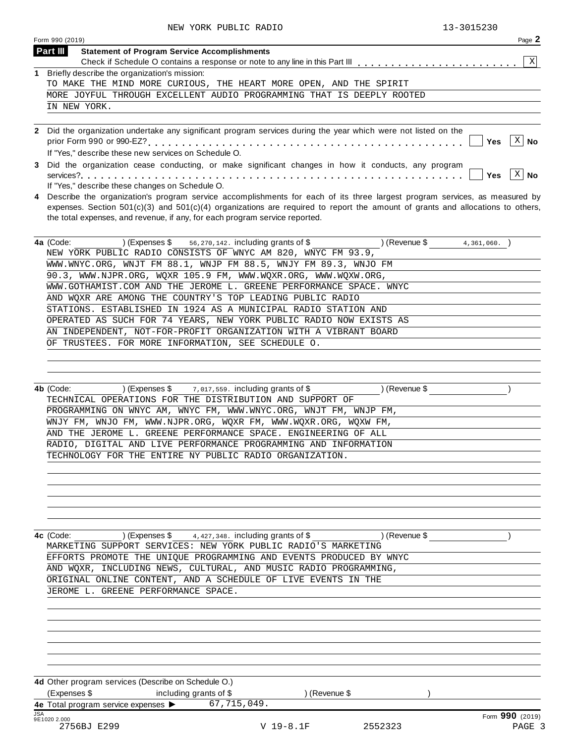|             | Page 2<br>Form 990 (2019)                                                                                                                                                                                                                                                                                                                       |
|-------------|-------------------------------------------------------------------------------------------------------------------------------------------------------------------------------------------------------------------------------------------------------------------------------------------------------------------------------------------------|
|             | <b>Part III</b><br><b>Statement of Program Service Accomplishments</b>                                                                                                                                                                                                                                                                          |
|             | X                                                                                                                                                                                                                                                                                                                                               |
| $\mathbf 1$ | Briefly describe the organization's mission:                                                                                                                                                                                                                                                                                                    |
|             | TO MAKE THE MIND MORE CURIOUS, THE HEART MORE OPEN, AND THE SPIRIT                                                                                                                                                                                                                                                                              |
|             | MORE JOYFUL THROUGH EXCELLENT AUDIO PROGRAMMING THAT IS DEEPLY ROOTED                                                                                                                                                                                                                                                                           |
|             | IN NEW YORK.                                                                                                                                                                                                                                                                                                                                    |
|             |                                                                                                                                                                                                                                                                                                                                                 |
|             | Did the organization undertake any significant program services during the year which were not listed on the<br>Χ<br><b>Yes</b><br>No<br>If "Yes," describe these new services on Schedule O.                                                                                                                                                   |
| 3           | Did the organization cease conducting, or make significant changes in how it conducts, any program<br>X<br>  No<br>Yes<br>If "Yes," describe these changes on Schedule O.                                                                                                                                                                       |
| 4           | Describe the organization's program service accomplishments for each of its three largest program services, as measured by<br>expenses. Section $501(c)(3)$ and $501(c)(4)$ organizations are required to report the amount of grants and allocations to others,<br>the total expenses, and revenue, if any, for each program service reported. |

| 4a (Code:<br>(Expenses $\$\$ 56, 270, 142. including grants of $\$$ | (Revenue \$<br>4,361,060. |
|---------------------------------------------------------------------|---------------------------|
| NEW YORK PUBLIC RADIO CONSISTS OF WNYC AM 820, WNYC FM 93.9,        |                           |
| WWW.WNYC.ORG, WNJT FM 88.1, WNJP FM 88.5, WNJY FM 89.3, WNJO FM     |                           |
| 90.3, WWW.NJPR.ORG, WOXR 105.9 FM, WWW.WOXR.ORG, WWW.WOXW.ORG,      |                           |
| WWW.GOTHAMIST.COM AND THE JEROME L. GREENE PERFORMANCE SPACE. WNYC  |                           |
| AND WOXR ARE AMONG THE COUNTRY'S TOP LEADING PUBLIC RADIO           |                           |
| STATIONS. ESTABLISHED IN 1924 AS A MUNICIPAL RADIO STATION AND      |                           |
| OPERATED AS SUCH FOR 74 YEARS, NEW YORK PUBLIC RADIO NOW EXISTS AS  |                           |
| AN INDEPENDENT, NOT-FOR-PROFIT ORGANIZATION WITH A VIBRANT BOARD    |                           |
| OF TRUSTEES. FOR MORE INFORMATION, SEE SCHEDULE O.                  |                           |
|                                                                     |                           |

| 4b (Code:<br>) (Expenses $\$\$ $\frac{7,017,559}$ . including grants of $\$$ | l (Revenue \$⊹ |
|------------------------------------------------------------------------------|----------------|
| TECHNICAL OPERATIONS FOR THE DISTRIBUTION AND SUPPORT OF                     |                |
| PROGRAMMING ON WNYC AM, WNYC FM, WWW.WNYC.ORG, WNJT FM, WNJP FM,             |                |
| WNJY FM, WNJO FM, WWW.NJPR.ORG, WOXR FM, WWW.WOXR.ORG, WOXW FM,              |                |
| AND THE JEROME L. GREENE PERFORMANCE SPACE. ENGINEERING OF ALL               |                |
| RADIO, DIGITAL AND LIVE PERFORMANCE PROGRAMMING AND INFORMATION              |                |
| TECHNOLOGY FOR THE ENTIRE NY PUBLIC RADIO ORGANIZATION.                      |                |
|                                                                              |                |

**4c** (Code: ) (Expenses \$  $\quad$  4,427,348. including grants of \$ ) (Revenue \$ ) ) MARKETING SUPPORT SERVICES: NEW YORK PUBLIC RADIO'S MARKETING EFFORTS PROMOTE THE UNIQUE PROGRAMMING AND EVENTS PRODUCED BY WNYC AND WQXR, INCLUDING NEWS, CULTURAL, AND MUSIC RADIO PROGRAMMING, ORIGINAL ONLINE CONTENT, AND A SCHEDULE OF LIVE EVENTS IN THE JEROME L. GREENE PERFORMANCE SPACE.

| 4d Other program services (Describe on Schedule O.)     |  |                        |               |  |                 |  |  |  |  |  |  |
|---------------------------------------------------------|--|------------------------|---------------|--|-----------------|--|--|--|--|--|--|
| (Expenses \$                                            |  | including grants of \$ | l (Revenue \$ |  |                 |  |  |  |  |  |  |
| 4e Total program service expenses $\blacktriangleright$ |  | 67,715,049.            |               |  |                 |  |  |  |  |  |  |
| <b>JSA</b><br>9E1020 2.000                              |  |                        |               |  | Form 990 (2019) |  |  |  |  |  |  |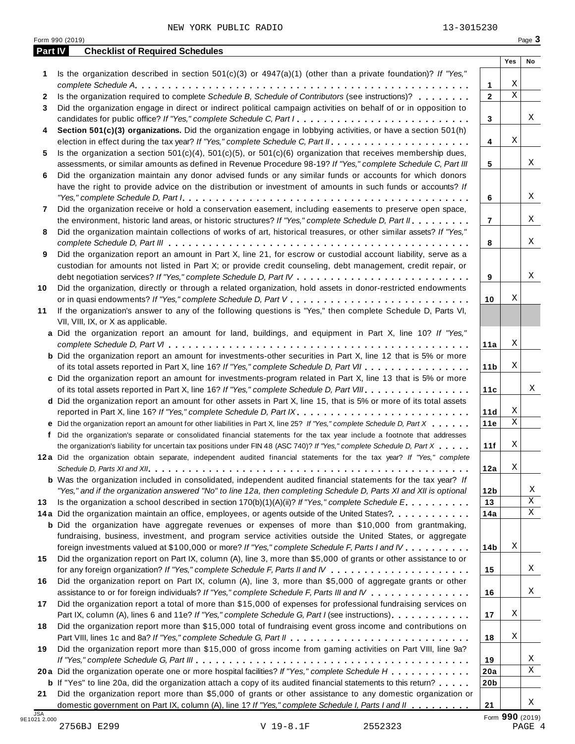|    | Part IV<br><b>Checklist of Required Schedules</b>                                                                         |                 |                 |    |
|----|---------------------------------------------------------------------------------------------------------------------------|-----------------|-----------------|----|
|    |                                                                                                                           |                 | Yes             | No |
| 1  | Is the organization described in section $501(c)(3)$ or $4947(a)(1)$ (other than a private foundation)? If "Yes,"         |                 |                 |    |
|    |                                                                                                                           | $\mathbf{1}$    | Χ               |    |
| 2  | Is the organization required to complete Schedule B, Schedule of Contributors (see instructions)?                         | $\mathbf 2$     | $\mathbf X$     |    |
| 3  | Did the organization engage in direct or indirect political campaign activities on behalf of or in opposition to          |                 |                 |    |
|    | candidates for public office? If "Yes," complete Schedule C, Part I.                                                      | 3               |                 |    |
| 4  | Section 501(c)(3) organizations. Did the organization engage in lobbying activities, or have a section 501(h)             |                 |                 |    |
|    |                                                                                                                           | 4               | Χ               |    |
| 5  | Is the organization a section $501(c)(4)$ , $501(c)(5)$ , or $501(c)(6)$ organization that receives membership dues,      |                 |                 |    |
|    | assessments, or similar amounts as defined in Revenue Procedure 98-19? If "Yes," complete Schedule C, Part III            | 5               |                 |    |
| 6  | Did the organization maintain any donor advised funds or any similar funds or accounts for which donors                   |                 |                 |    |
|    | have the right to provide advice on the distribution or investment of amounts in such funds or accounts? If               |                 |                 |    |
|    |                                                                                                                           | 6               |                 |    |
| 7  | Did the organization receive or hold a conservation easement, including easements to preserve open space,                 |                 |                 |    |
|    | the environment, historic land areas, or historic structures? If "Yes," complete Schedule D, Part II.                     | $\overline{7}$  |                 |    |
| 8  | Did the organization maintain collections of works of art, historical treasures, or other similar assets? If "Yes,"       |                 |                 |    |
|    |                                                                                                                           | 8               |                 |    |
| 9  | Did the organization report an amount in Part X, line 21, for escrow or custodial account liability, serve as a           |                 |                 |    |
|    | custodian for amounts not listed in Part X; or provide credit counseling, debt management, credit repair, or              |                 |                 |    |
|    |                                                                                                                           | 9               |                 |    |
| 10 | Did the organization, directly or through a related organization, hold assets in donor-restricted endowments              |                 |                 |    |
|    |                                                                                                                           | 10              | Χ               |    |
| 11 | If the organization's answer to any of the following questions is "Yes," then complete Schedule D, Parts VI,              |                 |                 |    |
|    | VII, VIII, IX, or X as applicable.                                                                                        |                 |                 |    |
|    | a Did the organization report an amount for land, buildings, and equipment in Part X, line 10? If "Yes,"                  |                 |                 |    |
|    |                                                                                                                           | 11a             | Χ               |    |
|    | <b>b</b> Did the organization report an amount for investments-other securities in Part X, line 12 that is 5% or more     |                 |                 |    |
|    | of its total assets reported in Part X, line 16? If "Yes," complete Schedule D, Part VII                                  | 11 <sub>b</sub> | Χ               |    |
|    |                                                                                                                           |                 |                 |    |
|    | c Did the organization report an amount for investments-program related in Part X, line 13 that is 5% or more             |                 |                 |    |
|    | of its total assets reported in Part X, line 16? If "Yes," complete Schedule D, Part VIII                                 | 11c             |                 |    |
|    | d Did the organization report an amount for other assets in Part X, line 15, that is 5% or more of its total assets       |                 | Χ               |    |
|    |                                                                                                                           | 11d             | $\mathbf X$     |    |
|    | e Did the organization report an amount for other liabilities in Part X, line 25? If "Yes," complete Schedule D, Part X   | 11e             |                 |    |
|    | f Did the organization's separate or consolidated financial statements for the tax year include a footnote that addresses |                 |                 |    |
|    | the organization's liability for uncertain tax positions under FIN 48 (ASC 740)? If "Yes," complete Schedule D, Part X    | 11f             | Χ               |    |
|    | 12a Did the organization obtain separate, independent audited financial statements for the tax year? If "Yes," complete   |                 |                 |    |
|    |                                                                                                                           | 12a             | Χ               |    |
|    | <b>b</b> Was the organization included in consolidated, independent audited financial statements for the tax year? If     |                 |                 |    |
|    | "Yes," and if the organization answered "No" to line 12a, then completing Schedule D, Parts XI and XII is optional        | 12 <sub>b</sub> |                 |    |
| 13 | Is the organization a school described in section $170(b)(1)(A)(ii)$ ? If "Yes," complete Schedule E.                     | 13              |                 |    |
|    | 14a Did the organization maintain an office, employees, or agents outside of the United States?.                          | 14a             |                 |    |
|    | <b>b</b> Did the organization have aggregate revenues or expenses of more than \$10,000 from grantmaking,                 |                 |                 |    |
|    | fundraising, business, investment, and program service activities outside the United States, or aggregate                 |                 |                 |    |
|    | foreign investments valued at \$100,000 or more? If "Yes," complete Schedule F, Parts I and IV                            | 14b             | Χ               |    |
| 15 | Did the organization report on Part IX, column (A), line 3, more than \$5,000 of grants or other assistance to or         |                 |                 |    |
|    |                                                                                                                           | 15              |                 |    |
| 16 | Did the organization report on Part IX, column (A), line 3, more than \$5,000 of aggregate grants or other                |                 |                 |    |
|    | assistance to or for foreign individuals? If "Yes," complete Schedule F, Parts III and IV                                 | 16              |                 |    |
| 17 | Did the organization report a total of more than \$15,000 of expenses for professional fundraising services on            |                 |                 |    |
|    | Part IX, column (A), lines 6 and 11e? If "Yes," complete Schedule G, Part I (see instructions)                            | 17              | Χ               |    |
| 18 | Did the organization report more than \$15,000 total of fundraising event gross income and contributions on               |                 |                 |    |
|    |                                                                                                                           | 18              | Χ               |    |
| 19 | Did the organization report more than \$15,000 of gross income from gaming activities on Part VIII, line 9a?              |                 |                 |    |
|    |                                                                                                                           | 19              |                 |    |
|    | 20a Did the organization operate one or more hospital facilities? If "Yes," complete Schedule H                           | 20a             |                 |    |
|    | <b>b</b> If "Yes" to line 20a, did the organization attach a copy of its audited financial statements to this return?     | 20 <sub>b</sub> |                 |    |
| 21 | Did the organization report more than \$5,000 of grants or other assistance to any domestic organization or               |                 |                 |    |
|    | domestic government on Part IX, column (A), line 1? If "Yes," complete Schedule I, Parts I and II                         | 21              |                 |    |
|    |                                                                                                                           |                 | Form 990 (2019) |    |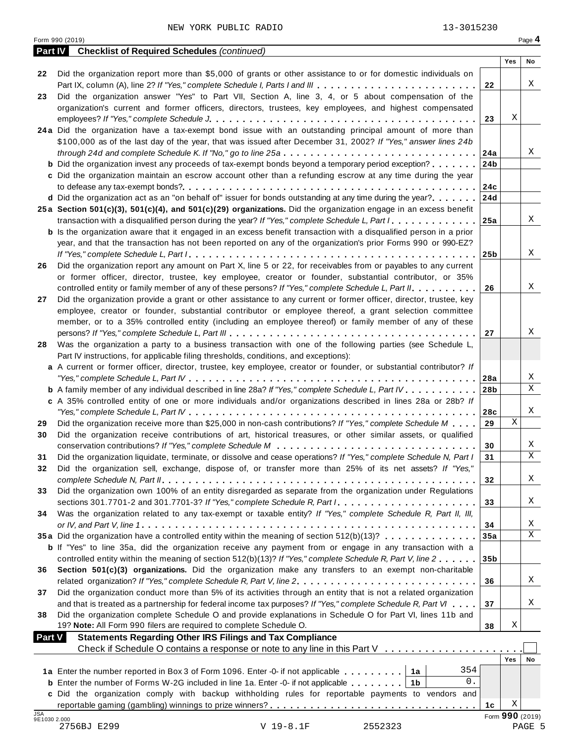|                     | <b>Part IV</b> Checklist of Required Schedules (continued)                                                                                                                                                                                          |                 |            |                 |
|---------------------|-----------------------------------------------------------------------------------------------------------------------------------------------------------------------------------------------------------------------------------------------------|-----------------|------------|-----------------|
|                     |                                                                                                                                                                                                                                                     |                 | Yes        | No              |
| 22                  | Did the organization report more than \$5,000 of grants or other assistance to or for domestic individuals on                                                                                                                                       |                 |            |                 |
|                     | Part IX, column (A), line 2? If "Yes," complete Schedule I, Parts I and III                                                                                                                                                                         | 22              |            | X               |
| 23                  | Did the organization answer "Yes" to Part VII, Section A, line 3, 4, or 5 about compensation of the                                                                                                                                                 |                 |            |                 |
|                     | organization's current and former officers, directors, trustees, key employees, and highest compensated                                                                                                                                             |                 | Χ          |                 |
|                     |                                                                                                                                                                                                                                                     | 23              |            |                 |
|                     | 24a Did the organization have a tax-exempt bond issue with an outstanding principal amount of more than                                                                                                                                             |                 |            |                 |
|                     | \$100,000 as of the last day of the year, that was issued after December 31, 2002? If "Yes," answer lines 24b                                                                                                                                       |                 |            | Χ               |
|                     |                                                                                                                                                                                                                                                     | 24a             |            |                 |
|                     | <b>b</b> Did the organization invest any proceeds of tax-exempt bonds beyond a temporary period exception?                                                                                                                                          | 24 <sub>b</sub> |            |                 |
|                     | c Did the organization maintain an escrow account other than a refunding escrow at any time during the year                                                                                                                                         |                 |            |                 |
|                     | <b>d</b> Did the organization act as an "on behalf of" issuer for bonds outstanding at any time during the year?. $\dots$                                                                                                                           | 24c             |            |                 |
|                     |                                                                                                                                                                                                                                                     | 24d             |            |                 |
|                     | 25a Section 501(c)(3), 501(c)(4), and 501(c)(29) organizations. Did the organization engage in an excess benefit<br>transaction with a disqualified person during the year? If "Yes," complete Schedule L, Part $1, \ldots, \ldots, \ldots, \ldots$ |                 |            | X               |
|                     | <b>b</b> Is the organization aware that it engaged in an excess benefit transaction with a disqualified person in a prior                                                                                                                           | 25a             |            |                 |
|                     | year, and that the transaction has not been reported on any of the organization's prior Forms 990 or 990-EZ?                                                                                                                                        |                 |            |                 |
|                     |                                                                                                                                                                                                                                                     |                 |            | X               |
|                     | Did the organization report any amount on Part X, line 5 or 22, for receivables from or payables to any current                                                                                                                                     | 25 <sub>b</sub> |            |                 |
| 26                  | or former officer, director, trustee, key employee, creator or founder, substantial contributor, or 35%                                                                                                                                             |                 |            |                 |
|                     | controlled entity or family member of any of these persons? If "Yes," complete Schedule L, Part II.                                                                                                                                                 | 26              |            | X               |
| 27                  | Did the organization provide a grant or other assistance to any current or former officer, director, trustee, key                                                                                                                                   |                 |            |                 |
|                     | employee, creator or founder, substantial contributor or employee thereof, a grant selection committee                                                                                                                                              |                 |            |                 |
|                     | member, or to a 35% controlled entity (including an employee thereof) or family member of any of these                                                                                                                                              |                 |            |                 |
|                     |                                                                                                                                                                                                                                                     | 27              |            | X               |
| 28                  | Was the organization a party to a business transaction with one of the following parties (see Schedule L,                                                                                                                                           |                 |            |                 |
|                     | Part IV instructions, for applicable filing thresholds, conditions, and exceptions):                                                                                                                                                                |                 |            |                 |
|                     | a A current or former officer, director, trustee, key employee, creator or founder, or substantial contributor? If                                                                                                                                  |                 |            |                 |
|                     |                                                                                                                                                                                                                                                     | 28a             |            | X               |
|                     | <b>b</b> A family member of any individual described in line 28a? If "Yes," complete Schedule L, Part IV.                                                                                                                                           | 28 <sub>b</sub> |            | $\mathbf X$     |
|                     | c A 35% controlled entity of one or more individuals and/or organizations described in lines 28a or 28b? If                                                                                                                                         |                 |            |                 |
|                     |                                                                                                                                                                                                                                                     | 28c             |            | X               |
| 29                  | Did the organization receive more than \$25,000 in non-cash contributions? If "Yes," complete Schedule M $\ldots$                                                                                                                                   | 29              | X          |                 |
| 30                  | Did the organization receive contributions of art, historical treasures, or other similar assets, or qualified                                                                                                                                      |                 |            |                 |
|                     |                                                                                                                                                                                                                                                     | 30              |            | X               |
| 31                  | Did the organization liquidate, terminate, or dissolve and cease operations? If "Yes," complete Schedule N, Part I                                                                                                                                  | 31              |            | X               |
| 32                  | Did the organization sell, exchange, dispose of, or transfer more than 25% of its net assets? If "Yes,"                                                                                                                                             |                 |            |                 |
|                     |                                                                                                                                                                                                                                                     | 32              |            | X               |
| 33                  | Did the organization own 100% of an entity disregarded as separate from the organization under Regulations                                                                                                                                          |                 |            |                 |
|                     |                                                                                                                                                                                                                                                     | 33              |            | X               |
| 34                  | Was the organization related to any tax-exempt or taxable entity? If "Yes," complete Schedule R, Part II, III,                                                                                                                                      |                 |            |                 |
|                     |                                                                                                                                                                                                                                                     | 34              |            | Χ               |
|                     | 35a Did the organization have a controlled entity within the meaning of section $512(b)(13)? \ldots \ldots \ldots \ldots$                                                                                                                           | 35a             |            | X               |
|                     | <b>b</b> If "Yes" to line 35a, did the organization receive any payment from or engage in any transaction with a                                                                                                                                    |                 |            |                 |
|                     | controlled entity within the meaning of section 512(b)(13)? If "Yes," complete Schedule R, Part V, line 2                                                                                                                                           | 35 <sub>b</sub> |            |                 |
| 36                  | Section 501(c)(3) organizations. Did the organization make any transfers to an exempt non-charitable                                                                                                                                                |                 |            |                 |
|                     | related organization? If "Yes," complete Schedule R, Part V, line 2.                                                                                                                                                                                | 36              |            | X               |
| 37                  | Did the organization conduct more than 5% of its activities through an entity that is not a related organization                                                                                                                                    |                 |            |                 |
|                     | and that is treated as a partnership for federal income tax purposes? If "Yes," complete Schedule R, Part VI                                                                                                                                        | 37              |            | X               |
| 38                  | Did the organization complete Schedule O and provide explanations in Schedule O for Part VI, lines 11b and                                                                                                                                          |                 |            |                 |
|                     | 19? Note: All Form 990 filers are required to complete Schedule O.                                                                                                                                                                                  | 38              | Χ          |                 |
| <b>Part V</b>       | <b>Statements Regarding Other IRS Filings and Tax Compliance</b>                                                                                                                                                                                    |                 |            |                 |
|                     | Check if Schedule O contains a response or note to any line in this Part V                                                                                                                                                                          |                 |            |                 |
|                     |                                                                                                                                                                                                                                                     |                 | <b>Yes</b> | No              |
|                     | 354<br>1a Enter the number reported in Box 3 of Form 1096. Enter -0- if not applicable   1a                                                                                                                                                         |                 |            |                 |
|                     | 0.<br><b>b</b> Enter the number of Forms W-2G included in line 1a. Enter -0- if not applicable $\ldots \ldots$ ,                                                                                                                                    |                 |            |                 |
|                     | c Did the organization comply with backup withholding rules for reportable payments to vendors and                                                                                                                                                  |                 |            |                 |
|                     |                                                                                                                                                                                                                                                     | 1c              | Χ          |                 |
| JSA<br>9E1030 2.000 |                                                                                                                                                                                                                                                     |                 |            | Form 990 (2019) |
|                     | 2756BJ E299<br>V 19-8.1F<br>2552323                                                                                                                                                                                                                 |                 |            | PAGE 5          |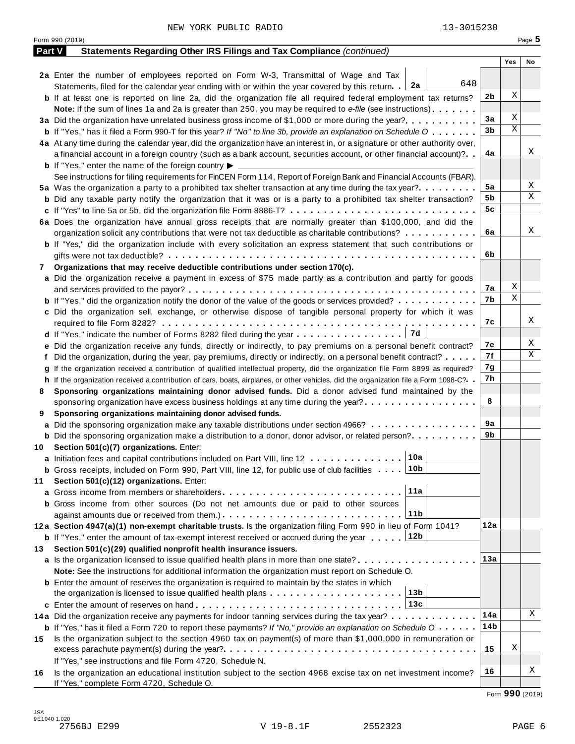|     | Form 990 (2019)                                                                                                                                                    |     | Page 5 |
|-----|--------------------------------------------------------------------------------------------------------------------------------------------------------------------|-----|--------|
|     | Part V<br>Statements Regarding Other IRS Filings and Tax Compliance (continued)                                                                                    |     |        |
|     |                                                                                                                                                                    | Yes | No     |
|     | 2a Enter the number of employees reported on Form W-3, Transmittal of Wage and Tax                                                                                 |     |        |
|     | 648<br>  2a<br>Statements, filed for the calendar year ending with or within the year covered by this return.                                                      |     |        |
|     | 2b<br><b>b</b> If at least one is reported on line 2a, did the organization file all required federal employment tax returns?                                      | Χ   |        |
|     | <b>Note:</b> If the sum of lines 1a and 2a is greater than 250, you may be required to e-file (see instructions).                                                  |     |        |
|     | 3a<br>3a Did the organization have unrelated business gross income of \$1,000 or more during the year?                                                             | Χ   |        |
|     | 3b<br><b>b</b> If "Yes," has it filed a Form 990-T for this year? If "No" to line 3b, provide an explanation on Schedule O                                         | Χ   |        |
|     | 4a At any time during the calendar year, did the organization have an interest in, or a signature or other authority over,                                         |     |        |
|     | 4a<br>a financial account in a foreign country (such as a bank account, securities account, or other financial account)?                                           |     | Χ      |
|     | <b>b</b> If "Yes," enter the name of the foreign country $\blacktriangleright$                                                                                     |     |        |
|     | See instructions for filing requirements for FinCEN Form 114, Report of Foreign Bank and Financial Accounts (FBAR).                                                |     |        |
|     | 5a<br>5a Was the organization a party to a prohibited tax shelter transaction at any time during the tax year?                                                     |     | Χ<br>Χ |
|     | 5b<br><b>b</b> Did any taxable party notify the organization that it was or is a party to a prohibited tax shelter transaction?                                    |     |        |
|     | 5c                                                                                                                                                                 |     |        |
|     | 6a Does the organization have annual gross receipts that are normally greater than \$100,000, and did the                                                          |     |        |
|     | 6a<br>organization solicit any contributions that were not tax deductible as charitable contributions?                                                             |     | Χ      |
|     | <b>b</b> If "Yes," did the organization include with every solicitation an express statement that such contributions or                                            |     |        |
|     | 6b                                                                                                                                                                 |     |        |
| 7   | Organizations that may receive deductible contributions under section 170(c).                                                                                      |     |        |
|     | a Did the organization receive a payment in excess of \$75 made partly as a contribution and partly for goods                                                      | Χ   |        |
|     | 7а                                                                                                                                                                 | Χ   |        |
|     | 7b<br><b>b</b> If "Yes," did the organization notify the donor of the value of the goods or services provided?                                                     |     |        |
|     | c Did the organization sell, exchange, or otherwise dispose of tangible personal property for which it was                                                         |     | Χ      |
|     | 7с                                                                                                                                                                 |     |        |
|     | 7d                                                                                                                                                                 |     | Χ      |
|     | 7е<br>e Did the organization receive any funds, directly or indirectly, to pay premiums on a personal benefit contract?                                            |     | Χ      |
|     | 7f<br>f Did the organization, during the year, pay premiums, directly or indirectly, on a personal benefit contract?                                               |     |        |
|     | 7g<br>If the organization received a contribution of qualified intellectual property, did the organization file Form 8899 as required?                             |     |        |
|     | 7h<br>h If the organization received a contribution of cars, boats, airplanes, or other vehicles, did the organization file a Form 1098-C?                         |     |        |
| 8   | Sponsoring organizations maintaining donor advised funds. Did a donor advised fund maintained by the                                                               |     |        |
|     | 8<br>sponsoring organization have excess business holdings at any time during the year?                                                                            |     |        |
| 9   | Sponsoring organizations maintaining donor advised funds.                                                                                                          |     |        |
|     | 9а<br><b>a</b> Did the sponsoring organization make any taxable distributions under section 4966?                                                                  |     |        |
|     | 9b<br><b>b</b> Did the sponsoring organization make a distribution to a donor, donor advisor, or related person?                                                   |     |        |
|     | 10 Section 501(c)(7) organizations. Enter:                                                                                                                         |     |        |
|     | 10a <br>a Initiation fees and capital contributions included on Part VIII, line 12                                                                                 |     |        |
|     | 10b<br><b>b</b> Gross receipts, included on Form 990, Part VIII, line 12, for public use of club facilities $\ldots$ .                                             |     |        |
| 11  | Section 501(c)(12) organizations. Enter:<br>11a                                                                                                                    |     |        |
|     |                                                                                                                                                                    |     |        |
|     | <b>b</b> Gross income from other sources (Do not net amounts due or paid to other sources                                                                          |     |        |
|     | 11b<br>12a                                                                                                                                                         |     |        |
|     | 12a Section 4947(a)(1) non-exempt charitable trusts. Is the organization filing Form 990 in lieu of Form 1041?                                                     |     |        |
|     | 12b<br><b>b</b> If "Yes," enter the amount of tax-exempt interest received or accrued during the year                                                              |     |        |
| 13. | Section 501(c)(29) qualified nonprofit health insurance issuers.<br>13а                                                                                            |     |        |
|     | <b>a</b> Is the organization licensed to issue qualified health plans in more than one state?                                                                      |     |        |
|     | Note: See the instructions for additional information the organization must report on Schedule O.                                                                  |     |        |
|     | <b>b</b> Enter the amount of reserves the organization is required to maintain by the states in which<br>13b                                                       |     |        |
|     | the organization is licensed to issue qualified health plans $\dots \dots \dots \dots \dots \dots \dots$                                                           |     |        |
|     | 13c                                                                                                                                                                |     | Χ      |
|     | 14a<br>14a Did the organization receive any payments for indoor tanning services during the tax year?                                                              |     |        |
|     | 14b<br><b>b</b> If "Yes," has it filed a Form 720 to report these payments? If "No," provide an explanation on Schedule $0 \cdot \cdot \cdot \cdot$                |     |        |
| 15  | Is the organization subject to the section 4960 tax on payment(s) of more than \$1,000,000 in remuneration or                                                      | Χ   |        |
|     | 15                                                                                                                                                                 |     |        |
|     | If "Yes," see instructions and file Form 4720, Schedule N.                                                                                                         |     | Χ      |
| 16  | 16<br>Is the organization an educational institution subject to the section 4968 excise tax on net investment income?<br>If "Yes," complete Form 4720, Schedule O. |     |        |

Form **990** (2019)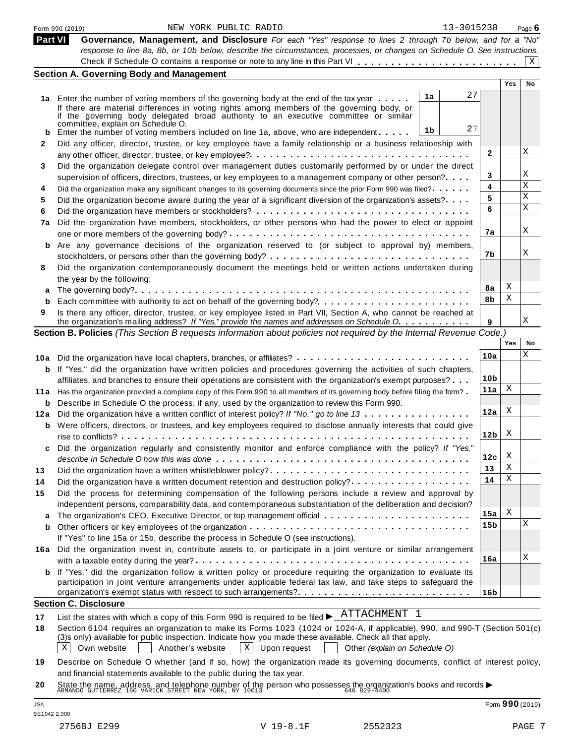|              | 13-3015230<br>NEW YORK PUBLIC RADIO<br>Form 990 (2019)                                                                                                                                                                                                                                                                                  |                 |     | Page $6$        |
|--------------|-----------------------------------------------------------------------------------------------------------------------------------------------------------------------------------------------------------------------------------------------------------------------------------------------------------------------------------------|-----------------|-----|-----------------|
| Part VI      | Governance, Management, and Disclosure For each "Yes" response to lines 2 through 7b below, and for a "No"<br>response to line 8a, 8b, or 10b below, describe the circumstances, processes, or changes on Schedule O. See instructions.                                                                                                 |                 |     |                 |
|              |                                                                                                                                                                                                                                                                                                                                         |                 |     | X               |
|              | <b>Section A. Governing Body and Management</b>                                                                                                                                                                                                                                                                                         |                 |     |                 |
|              |                                                                                                                                                                                                                                                                                                                                         |                 | Yes | No              |
|              | 27<br>1a<br>1a Enter the number of voting members of the governing body at the end of the tax year                                                                                                                                                                                                                                      |                 |     |                 |
|              | If there are material differences in voting rights among members of the governing body, or<br>if the governing body delegated broad authority to an executive committee or similar<br>committée, explain on Schedule O.                                                                                                                 |                 |     |                 |
|              | 27<br>1b<br><b>b</b> Enter the number of voting members included on line 1a, above, who are independent. $\ldots$ .                                                                                                                                                                                                                     |                 |     |                 |
| $\mathbf{2}$ | Did any officer, director, trustee, or key employee have a family relationship or a business relationship with                                                                                                                                                                                                                          |                 |     |                 |
|              |                                                                                                                                                                                                                                                                                                                                         | 2               |     | Χ               |
| 3            | Did the organization delegate control over management duties customarily performed by or under the direct                                                                                                                                                                                                                               |                 |     |                 |
|              | supervision of officers, directors, trustees, or key employees to a management company or other person?                                                                                                                                                                                                                                 | 3               |     | Χ               |
| 4            | Did the organization make any significant changes to its governing documents since the prior Form 990 was filed?                                                                                                                                                                                                                        | 4               |     | X               |
| 5            | Did the organization become aware during the year of a significant diversion of the organization's assets?                                                                                                                                                                                                                              | 5               |     | Χ               |
| 6            |                                                                                                                                                                                                                                                                                                                                         | 6               |     | X               |
| 7a           | Did the organization have members, stockholders, or other persons who had the power to elect or appoint                                                                                                                                                                                                                                 | 7а              |     | Χ               |
|              | Are any governance decisions of the organization reserved to (or subject to approval by) members,                                                                                                                                                                                                                                       |                 |     |                 |
| b            |                                                                                                                                                                                                                                                                                                                                         | 7b              |     | Χ               |
| 8            | Did the organization contemporaneously document the meetings held or written actions undertaken during                                                                                                                                                                                                                                  |                 |     |                 |
|              | the year by the following:                                                                                                                                                                                                                                                                                                              |                 |     |                 |
|              |                                                                                                                                                                                                                                                                                                                                         | 8a              | Χ   |                 |
| a<br>b       |                                                                                                                                                                                                                                                                                                                                         | 8b              | Χ   |                 |
| 9            | Is there any officer, director, trustee, or key employee listed in Part VII, Section A, who cannot be reached at                                                                                                                                                                                                                        |                 |     | Χ               |
|              | the organization's mailing address? If "Yes," provide the names and addresses on Schedule O.                                                                                                                                                                                                                                            | 9               |     |                 |
|              | Section B. Policies (This Section B requests information about policies not required by the Internal Revenue Code.)                                                                                                                                                                                                                     |                 | Yes | No              |
|              |                                                                                                                                                                                                                                                                                                                                         |                 |     | Χ               |
|              | 10a Did the organization have local chapters, branches, or affiliates?                                                                                                                                                                                                                                                                  | 10a             |     |                 |
|              | <b>b</b> If "Yes," did the organization have written policies and procedures governing the activities of such chapters,                                                                                                                                                                                                                 |                 |     |                 |
|              | affiliates, and branches to ensure their operations are consistent with the organization's exempt purposes?                                                                                                                                                                                                                             | 10 <sub>b</sub> | Χ   |                 |
|              | 11a Has the organization provided a complete copy of this Form 990 to all members of its governing body before filing the form?                                                                                                                                                                                                         | 11a             |     |                 |
|              | <b>b</b> Describe in Schedule O the process, if any, used by the organization to review this Form 990.                                                                                                                                                                                                                                  | 12a             | X   |                 |
|              | 12a Did the organization have a written conflict of interest policy? If "No," go to line 13                                                                                                                                                                                                                                             |                 |     |                 |
|              | <b>b</b> Were officers, directors, or trustees, and key employees required to disclose annually interests that could give<br>rise to conflicts?                                                                                                                                                                                         | 12 <sub>b</sub> | Х   |                 |
| c            | Did the organization regularly and consistently monitor and enforce compliance with the policy? If "Yes,"                                                                                                                                                                                                                               |                 |     |                 |
|              |                                                                                                                                                                                                                                                                                                                                         | 12c             | Х   |                 |
| 13           |                                                                                                                                                                                                                                                                                                                                         | 13              | Χ   |                 |
| 14           |                                                                                                                                                                                                                                                                                                                                         | 14              | Χ   |                 |
| 15           | Did the process for determining compensation of the following persons include a review and approval by                                                                                                                                                                                                                                  |                 |     |                 |
|              | independent persons, comparability data, and contemporaneous substantiation of the deliberation and decision?                                                                                                                                                                                                                           |                 |     |                 |
| а            |                                                                                                                                                                                                                                                                                                                                         | 15a             | Χ   | Χ               |
| b            |                                                                                                                                                                                                                                                                                                                                         | 15b             |     |                 |
|              | If "Yes" to line 15a or 15b, describe the process in Schedule O (see instructions).                                                                                                                                                                                                                                                     |                 |     |                 |
|              | 16a Did the organization invest in, contribute assets to, or participate in a joint venture or similar arrangement                                                                                                                                                                                                                      |                 |     | х               |
|              |                                                                                                                                                                                                                                                                                                                                         | 16a             |     |                 |
| b            | If "Yes," did the organization follow a written policy or procedure requiring the organization to evaluate its<br>participation in joint venture arrangements under applicable federal tax law, and take steps to safeguard the                                                                                                         |                 |     |                 |
|              | organization's exempt status with respect to such arrangements?                                                                                                                                                                                                                                                                         | 16b             |     |                 |
|              | <b>Section C. Disclosure</b>                                                                                                                                                                                                                                                                                                            |                 |     |                 |
| 17           | List the states with which a copy of this Form 990 is required to be filed $\blacktriangleright$ $\frac{\text{ATTACHMENT}}{\text{HENT}}$ 1                                                                                                                                                                                              |                 |     |                 |
| 18           | Section 6104 requires an organization to make its Forms 1023 (1024 or 1024-A, if applicable), 990, and 990-T (Section 501(c)<br>(3)s only) available for public inspection. Indicate how you made these available. Check all that apply.<br>$X$ Upon request<br>ΧI<br>Own website<br>Another's website<br>Other (explain on Schedule O) |                 |     |                 |
| 19           | Describe on Schedule O whether (and if so, how) the organization made its governing documents, conflict of interest policy,                                                                                                                                                                                                             |                 |     |                 |
|              | and financial statements available to the public during the tax year.                                                                                                                                                                                                                                                                   |                 |     |                 |
| 20           | State the name, address, and telephone number of the person who possesses the organization's books and records $\blacktriangleright$<br>ARMANDO GUTIERREZ 160 VARICK STREET NEW YORK, NY 10013                                                                                                                                          |                 |     |                 |
|              |                                                                                                                                                                                                                                                                                                                                         |                 |     | Form 990 (2019) |

9E1042 2.000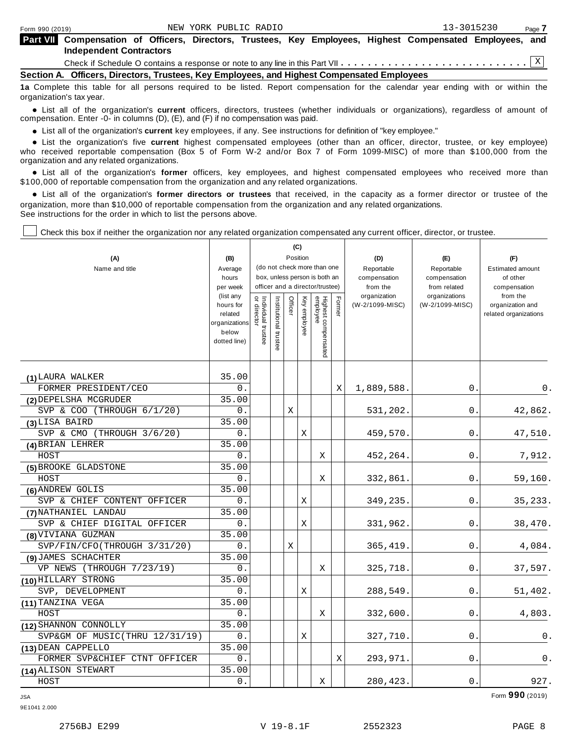| <b>Part VII</b> Compensation of Officers, Directors, Trustees, Key Employees, Highest Compensated Employees, and |  |  |  |  |  |
|------------------------------------------------------------------------------------------------------------------|--|--|--|--|--|
| Independent Contractors                                                                                          |  |  |  |  |  |
|                                                                                                                  |  |  |  |  |  |

**Section A. Officers, Directors, Trustees, Key Employees, and Highest Compensated Employees**

**1a** Complete this table for all persons required to be listed. Report compensation for the calendar year ending with or within the organization's tax year.

anization's lax year.<br>● List all of the organization's **current** officers, directors, trustees (whether individuals or organizations), regardless of amount of<br>nnensation Enter -0- in columns (D) (E) and (E) if no compensa compensation. Enter -0- in columns (D), (E), and (F) if no compensation was paid.

• List all of the organization's **current** key employees, if any. See instructions for definition of "key employee."<br>● List the experientials five expect highest expressed explores (other than an efficer director of

**Example in the organization's current** key employees, if any. See instructions for definition of key employee.<br>• List the organization's five **current** highest compensated employees (other than an officer, director, trust who received reportable compensation (Box 5 of Form W-2 and/or Box 7 of Form 1099-MISC) of more than \$100,000 from the

organization and any related organizations.<br>• List all of the organization's **former** officers, key employees, and highest compensated employees who received more than<br>\$1.00.000 of reportable componention from the erganiza \$100,000 of reportable compensation from the organization and any related organizations.

% List all of the organization's **former directors or trustees** that received, in the capacity as a former director or trustee of the organization, more than \$10,000 of reportable compensation from the organization and any related organizations. See instructions for the order in which to list the persons above.

Check this box if neither the organization nor any related organization compensated any current officer, director, or trustee.

| (A)<br>Name and title          | (B)<br>Average<br>hours<br>per week<br>(list any<br>hours for<br>related<br>organizations<br>below<br>dotted line) | Individual trustee<br>or director | Institutional trustee | Officer | (C)<br>Position<br>Key employee | (do not check more than one<br>box, unless person is both an<br>officer and a director/trustee)<br>Highest compensated<br>employee |   | (D)<br>Reportable<br>compensation<br>from the<br>organization<br>(W-2/1099-MISC) | (E)<br>Reportable<br>compensation<br>from related<br>organizations<br>(W-2/1099-MISC) | (F)<br><b>Estimated amount</b><br>of other<br>compensation<br>from the<br>organization and<br>related organizations |
|--------------------------------|--------------------------------------------------------------------------------------------------------------------|-----------------------------------|-----------------------|---------|---------------------------------|------------------------------------------------------------------------------------------------------------------------------------|---|----------------------------------------------------------------------------------|---------------------------------------------------------------------------------------|---------------------------------------------------------------------------------------------------------------------|
| (1) LAURA WALKER               | 35.00                                                                                                              |                                   |                       |         |                                 |                                                                                                                                    |   |                                                                                  |                                                                                       |                                                                                                                     |
| FORMER PRESIDENT/CEO           | 0.                                                                                                                 |                                   |                       |         |                                 |                                                                                                                                    | Χ | 1,889,588.                                                                       | 0.                                                                                    | 0.                                                                                                                  |
| (2) DEPELSHA MCGRUDER          | 35.00                                                                                                              |                                   |                       |         |                                 |                                                                                                                                    |   |                                                                                  |                                                                                       |                                                                                                                     |
| SVP & COO (THROUGH 6/1/20)     | 0.                                                                                                                 |                                   |                       | X       |                                 |                                                                                                                                    |   | 531,202.                                                                         | 0.                                                                                    | 42,862.                                                                                                             |
| (3) LISA BAIRD                 | 35.00                                                                                                              |                                   |                       |         |                                 |                                                                                                                                    |   |                                                                                  |                                                                                       |                                                                                                                     |
| SVP & CMO (THROUGH $3/6/20$ )  | 0.                                                                                                                 |                                   |                       |         | X                               |                                                                                                                                    |   | 459,570.                                                                         | 0.                                                                                    | 47,510.                                                                                                             |
| (4) BRIAN LEHRER               | 35.00                                                                                                              |                                   |                       |         |                                 |                                                                                                                                    |   |                                                                                  |                                                                                       |                                                                                                                     |
| HOST                           | $0$ .                                                                                                              |                                   |                       |         |                                 | X                                                                                                                                  |   | 452,264.                                                                         | 0.                                                                                    | 7,912.                                                                                                              |
| (5) BROOKE GLADSTONE           | 35.00                                                                                                              |                                   |                       |         |                                 |                                                                                                                                    |   |                                                                                  |                                                                                       |                                                                                                                     |
| HOST                           | $0$ .                                                                                                              |                                   |                       |         |                                 | X                                                                                                                                  |   | 332,861.                                                                         | 0.                                                                                    | 59, 160.                                                                                                            |
| (6) ANDREW GOLIS               | 35.00                                                                                                              |                                   |                       |         |                                 |                                                                                                                                    |   |                                                                                  |                                                                                       |                                                                                                                     |
| SVP & CHIEF CONTENT OFFICER    | 0.                                                                                                                 |                                   |                       |         | Χ                               |                                                                                                                                    |   | 349,235.                                                                         | 0.                                                                                    | 35,233.                                                                                                             |
| (7) NATHANIEL LANDAU           | 35.00                                                                                                              |                                   |                       |         |                                 |                                                                                                                                    |   |                                                                                  |                                                                                       |                                                                                                                     |
| SVP & CHIEF DIGITAL OFFICER    | 0.                                                                                                                 |                                   |                       |         | X                               |                                                                                                                                    |   | 331,962.                                                                         | 0.                                                                                    | 38,470.                                                                                                             |
| (8) VIVIANA GUZMAN             | 35.00                                                                                                              |                                   |                       |         |                                 |                                                                                                                                    |   |                                                                                  |                                                                                       |                                                                                                                     |
| SVP/FIN/CFO(THROUGH 3/31/20)   | 0.                                                                                                                 |                                   |                       | Χ       |                                 |                                                                                                                                    |   | 365, 419.                                                                        | 0                                                                                     | 4,084.                                                                                                              |
| (9) JAMES SCHACHTER            | 35.00                                                                                                              |                                   |                       |         |                                 |                                                                                                                                    |   |                                                                                  |                                                                                       |                                                                                                                     |
| VP NEWS (THROUGH 7/23/19)      | 0.                                                                                                                 |                                   |                       |         |                                 | X                                                                                                                                  |   | 325,718.                                                                         | 0                                                                                     | 37,597.                                                                                                             |
| (10) HILLARY STRONG            | 35.00                                                                                                              |                                   |                       |         |                                 |                                                                                                                                    |   |                                                                                  |                                                                                       |                                                                                                                     |
| SVP, DEVELOPMENT               | 0.                                                                                                                 |                                   |                       |         | X                               |                                                                                                                                    |   | 288,549.                                                                         | 0.                                                                                    | 51,402.                                                                                                             |
| (11) TANZINA VEGA              | 35.00                                                                                                              |                                   |                       |         |                                 |                                                                                                                                    |   |                                                                                  |                                                                                       |                                                                                                                     |
| HOST                           | $0$ .                                                                                                              |                                   |                       |         |                                 | Χ                                                                                                                                  |   | 332,600.                                                                         | 0.                                                                                    | 4,803.                                                                                                              |
| (12) SHANNON CONNOLLY          | 35.00                                                                                                              |                                   |                       |         |                                 |                                                                                                                                    |   |                                                                                  |                                                                                       |                                                                                                                     |
| SVP&GM OF MUSIC(THRU 12/31/19) | 0.                                                                                                                 |                                   |                       |         | Χ                               |                                                                                                                                    |   | 327,710.                                                                         | 0                                                                                     | 0.                                                                                                                  |
| (13) DEAN CAPPELLO             | 35.00                                                                                                              |                                   |                       |         |                                 |                                                                                                                                    |   |                                                                                  |                                                                                       |                                                                                                                     |
| FORMER SVP&CHIEF CTNT OFFICER  | 0.                                                                                                                 |                                   |                       |         |                                 |                                                                                                                                    | X | 293,971.                                                                         | 0                                                                                     | 0.                                                                                                                  |
| (14) ALISON STEWART            | 35.00                                                                                                              |                                   |                       |         |                                 |                                                                                                                                    |   |                                                                                  |                                                                                       |                                                                                                                     |
| HOST                           | $0$ .                                                                                                              |                                   |                       |         |                                 | Χ                                                                                                                                  |   | 280,423.                                                                         | 0.                                                                                    | 927.                                                                                                                |

JSA Form **990** (2019)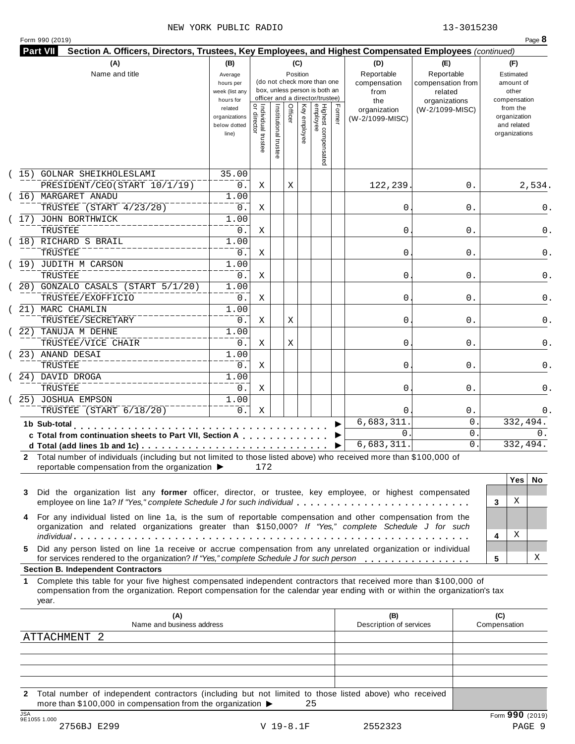| <b>Part VII</b><br>Section A. Officers, Directors, Trustees, Key Employees, and Highest Compensated Employees (continued)                                                                                                                                                                                   |                                                            |                                     |                     |                 |              |                                                                                                 |        |                                                  |                                                                    |                                                          |
|-------------------------------------------------------------------------------------------------------------------------------------------------------------------------------------------------------------------------------------------------------------------------------------------------------------|------------------------------------------------------------|-------------------------------------|---------------------|-----------------|--------------|-------------------------------------------------------------------------------------------------|--------|--------------------------------------------------|--------------------------------------------------------------------|----------------------------------------------------------|
| (A)<br>Name and title                                                                                                                                                                                                                                                                                       | (B)<br>Average<br>hours per<br>week (list any<br>hours for |                                     |                     | (C)<br>Position |              | (do not check more than one<br>box, unless person is both an<br>officer and a director/trustee) |        | (D)<br>Reportable<br>compensation<br>from<br>the | (E)<br>Reportable<br>compensation from<br>related<br>organizations | (F)<br>Estimated<br>amount of<br>other<br>compensation   |
|                                                                                                                                                                                                                                                                                                             | related<br>organizations<br>below dotted<br>line)          | õ<br>Individual trustee<br>director | Institutional trust | Officer         | Key employee | Highest compensated<br>employee                                                                 | Former | organization<br>(W-2/1099-MISC)                  | (W-2/1099-MISC)                                                    | from the<br>organization<br>and related<br>organizations |
| (15) GOLNAR SHEIKHOLESLAMI<br>PRESIDENT/CEO(START 10/1/19)                                                                                                                                                                                                                                                  | 35.00<br>$0$ .                                             | Χ                                   |                     | Χ               |              |                                                                                                 |        | 122,239                                          | 0.                                                                 | 2,534.                                                   |
| 16) MARGARET ANADU<br>TRUSTEE (START 4/23/20)                                                                                                                                                                                                                                                               | 1.00<br>$0$ .<br>$\overline{1}$ .00                        | X                                   |                     |                 |              |                                                                                                 |        | 0                                                | 0.                                                                 | 0.                                                       |
| 17) JOHN BORTHWICK<br><b>TRUSTEE</b>                                                                                                                                                                                                                                                                        | 0.<br>$\overline{1}$ .00                                   | Χ                                   |                     |                 |              |                                                                                                 |        | 0                                                | 0.                                                                 | 0.                                                       |
| 18) RICHARD S BRAIL<br>TRUSTEE                                                                                                                                                                                                                                                                              | $0$ .                                                      | Χ                                   |                     |                 |              |                                                                                                 |        | 0                                                | 0.                                                                 | 0.                                                       |
| 19) JUDITH M CARSON<br>TRUSTEE<br>20) GONZALO CASALS (START 5/1/20)                                                                                                                                                                                                                                         | 1.00<br>$0$ .<br>1.00                                      | Χ                                   |                     |                 |              |                                                                                                 |        | 0                                                | 0.                                                                 | 0.                                                       |
| TRUSTEE/EXOFFICIO<br>21) MARC CHAMLIN                                                                                                                                                                                                                                                                       | $0$ .<br>$\overline{1}$ .00                                | X                                   |                     |                 |              |                                                                                                 |        | 0                                                | 0.                                                                 |                                                          |
| TRUSTEE/SECRETARY<br>22) TANUJA M DEHNE                                                                                                                                                                                                                                                                     | $0$ .<br>1.00                                              | Χ                                   |                     | Χ               |              |                                                                                                 |        | 0                                                | 0.                                                                 |                                                          |
| TRUSTEE/VICE CHAIR<br>23) ANAND DESAI                                                                                                                                                                                                                                                                       | $0$ .<br>1.00                                              | Χ                                   |                     | Χ               |              |                                                                                                 |        | 0                                                | 0.                                                                 |                                                          |
| TRUSTEE<br>24) DAVID DROGA                                                                                                                                                                                                                                                                                  | $0$ .<br>1.00                                              | X                                   |                     |                 |              |                                                                                                 |        | 0                                                | 0.                                                                 |                                                          |
| TRUSTEE<br>25) JOSHUA EMPSON                                                                                                                                                                                                                                                                                | $0$ .<br>1.00                                              | X                                   |                     |                 |              |                                                                                                 |        | 0                                                | 0.                                                                 |                                                          |
| TRUSTEE (START 6/18/20)                                                                                                                                                                                                                                                                                     | 0.                                                         | X                                   |                     |                 |              |                                                                                                 |        | $\Omega$<br>6,683,311                            | $0$ .<br>0                                                         | 332,494.                                                 |
| 1b Sub-total<br>c Total from continuation sheets to Part VII, Section A<br>d Total (add lines 1b and 1c)                                                                                                                                                                                                    |                                                            |                                     |                     |                 |              |                                                                                                 |        | $\Omega$<br>6,683,311.                           | 0<br>$\mathsf{O}$ .                                                | 0.<br>332,494.                                           |
| 2 Total number of individuals (including but not limited to those listed above) who received more than \$100,000 of<br>reportable compensation from the organization ▶                                                                                                                                      |                                                            | 172                                 |                     |                 |              |                                                                                                 |        |                                                  |                                                                    |                                                          |
| Did the organization list any former officer, director, or trustee, key employee, or highest compensated<br>3<br>employee on line 1a? If "Yes," complete Schedule J for such individual                                                                                                                     |                                                            |                                     |                     |                 |              |                                                                                                 |        |                                                  |                                                                    | Yes<br>No.<br>Χ<br>3                                     |
| For any individual listed on line 1a, is the sum of reportable compensation and other compensation from the<br>4<br>organization and related organizations greater than \$150,000? If "Yes," complete Schedule J for such                                                                                   |                                                            |                                     |                     |                 |              |                                                                                                 |        |                                                  |                                                                    | Χ<br>4                                                   |
| Did any person listed on line 1a receive or accrue compensation from any unrelated organization or individual<br>5.<br>for services rendered to the organization? If "Yes," complete Schedule J for such person                                                                                             |                                                            |                                     |                     |                 |              |                                                                                                 |        |                                                  |                                                                    | х<br>5                                                   |
| <b>Section B. Independent Contractors</b><br>Complete this table for your five highest compensated independent contractors that received more than \$100,000 of<br>1<br>compensation from the organization. Report compensation for the calendar year ending with or within the organization's tax<br>year. |                                                            |                                     |                     |                 |              |                                                                                                 |        |                                                  |                                                                    |                                                          |
| (A)                                                                                                                                                                                                                                                                                                         |                                                            |                                     |                     |                 |              |                                                                                                 |        | (B)<br>Description of services                   |                                                                    | (C)<br>Compensation                                      |
| Name and business address                                                                                                                                                                                                                                                                                   |                                                            |                                     |                     |                 |              |                                                                                                 |        |                                                  |                                                                    |                                                          |
| ATTACHMENT 2                                                                                                                                                                                                                                                                                                |                                                            |                                     |                     |                 |              |                                                                                                 |        |                                                  |                                                                    |                                                          |

**2** Total number of independent contractors (including but not limited to those listed above) who received more than \$100,000 in compensation from the organization  $\triangleright$  25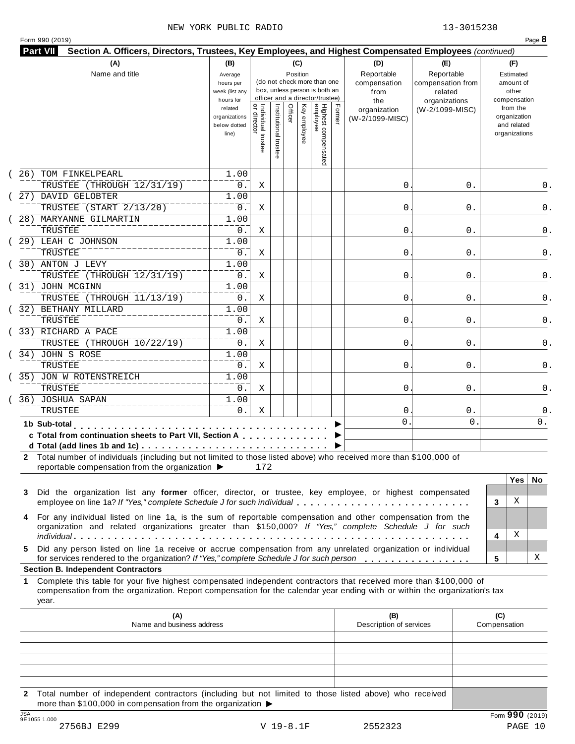|     | (A)<br>Name and title                                                                                                                                                                                                                                     | (B)<br>Average<br>hours per<br>week (list any<br>hours for |                                     |                       |         | (C)<br>Position | (do not check more than one<br>box, unless person is both an<br>officer and a director/trustee) |        | (D)<br>Reportable<br>compensation<br>from<br>the | (E)<br>Reportable<br>compensation from<br>related<br>organizations |                     | (F)<br>Estimated<br>amount of<br>other<br>compensation   |     |
|-----|-----------------------------------------------------------------------------------------------------------------------------------------------------------------------------------------------------------------------------------------------------------|------------------------------------------------------------|-------------------------------------|-----------------------|---------|-----------------|-------------------------------------------------------------------------------------------------|--------|--------------------------------------------------|--------------------------------------------------------------------|---------------------|----------------------------------------------------------|-----|
|     |                                                                                                                                                                                                                                                           | related<br>organizations<br>below dotted<br>line)          | Individual trustee<br>  or director | Institutional trustee | Officer | Key employee    | Highest compensated<br>employee                                                                 | Former | organization<br>(W-2/1099-MISC)                  | (W-2/1099-MISC)                                                    |                     | from the<br>organization<br>and related<br>organizations |     |
| 26) | TOM FINKELPEARL                                                                                                                                                                                                                                           | 1.00                                                       |                                     |                       |         |                 |                                                                                                 |        |                                                  |                                                                    |                     |                                                          | 0.  |
|     | TRUSTEE (THROUGH 12/31/19)                                                                                                                                                                                                                                | 0.                                                         | Χ                                   |                       |         |                 |                                                                                                 |        | 0                                                | 0.                                                                 |                     |                                                          |     |
|     | 27) DAVID GELOBTER<br>TRUSTEE (START 2/13/20)                                                                                                                                                                                                             | 1.00<br>0.                                                 | Χ                                   |                       |         |                 |                                                                                                 |        | 0                                                | 0.                                                                 |                     |                                                          |     |
|     | 28) MARYANNE GILMARTIN                                                                                                                                                                                                                                    | 1.00                                                       |                                     |                       |         |                 |                                                                                                 |        |                                                  |                                                                    |                     |                                                          |     |
|     | TRUSTEE                                                                                                                                                                                                                                                   | 0.                                                         | Χ                                   |                       |         |                 |                                                                                                 |        | 0                                                | 0.                                                                 |                     |                                                          |     |
|     | 29) LEAH C JOHNSON                                                                                                                                                                                                                                        | 1.00                                                       |                                     |                       |         |                 |                                                                                                 |        |                                                  |                                                                    |                     |                                                          |     |
|     | <b>TRUSTEE</b>                                                                                                                                                                                                                                            | 0.                                                         | Χ                                   |                       |         |                 |                                                                                                 |        | 0                                                | 0.                                                                 |                     |                                                          |     |
|     | 30) ANTON J LEVY                                                                                                                                                                                                                                          | 1.00                                                       |                                     |                       |         |                 |                                                                                                 |        |                                                  |                                                                    |                     |                                                          |     |
|     | TRUSTEE (THROUGH 12/31/19)                                                                                                                                                                                                                                | 0.                                                         | Χ                                   |                       |         |                 |                                                                                                 |        | 0                                                | 0.                                                                 |                     |                                                          |     |
|     | 31) JOHN MCGINN                                                                                                                                                                                                                                           | 1.00                                                       |                                     |                       |         |                 |                                                                                                 |        |                                                  |                                                                    |                     |                                                          |     |
|     | TRUSTEE (THROUGH 11/13/19)                                                                                                                                                                                                                                | 0.                                                         | Χ                                   |                       |         |                 |                                                                                                 |        | 0                                                | 0.                                                                 |                     |                                                          |     |
|     | 32) BETHANY MILLARD                                                                                                                                                                                                                                       | 1.00                                                       |                                     |                       |         |                 |                                                                                                 |        |                                                  |                                                                    |                     |                                                          |     |
|     | TRUSTEE                                                                                                                                                                                                                                                   | 0.                                                         | Χ                                   |                       |         |                 |                                                                                                 |        | 0                                                | 0.                                                                 |                     |                                                          |     |
|     | 33) RICHARD A PACE                                                                                                                                                                                                                                        | 1.00                                                       |                                     |                       |         |                 |                                                                                                 |        |                                                  |                                                                    |                     |                                                          |     |
|     | TRUSTEE (THROUGH 10/22/19)                                                                                                                                                                                                                                | 0.                                                         | Χ                                   |                       |         |                 |                                                                                                 |        | 0                                                | 0.                                                                 |                     |                                                          |     |
|     | 34) JOHN S ROSE                                                                                                                                                                                                                                           | 1.00                                                       |                                     |                       |         |                 |                                                                                                 |        |                                                  |                                                                    |                     |                                                          |     |
|     | TRUSTEE                                                                                                                                                                                                                                                   | 0.                                                         | Χ                                   |                       |         |                 |                                                                                                 |        | 0                                                | 0.                                                                 |                     |                                                          |     |
|     | 35) JON W ROTENSTREICH                                                                                                                                                                                                                                    | 1.00                                                       |                                     |                       |         |                 |                                                                                                 |        |                                                  |                                                                    |                     |                                                          |     |
|     | TRUSTEE                                                                                                                                                                                                                                                   | 0.                                                         | Χ                                   |                       |         |                 |                                                                                                 |        | 0                                                | 0.                                                                 |                     |                                                          |     |
|     | 36) JOSHUA SAPAN<br>TRUSTEE                                                                                                                                                                                                                               | 1.00<br>$0$ .                                              |                                     |                       |         |                 |                                                                                                 |        |                                                  |                                                                    |                     |                                                          |     |
|     |                                                                                                                                                                                                                                                           |                                                            | Χ                                   |                       |         |                 |                                                                                                 |        | 0<br>0                                           | $0$ .<br>$\mathbf 0$                                               |                     |                                                          | 0.  |
|     | 1b Sub-total<br>and a series and a<br>c Total from continuation sheets to Part VII, Section A<br>2 Total number of individuals (including but not limited to those listed above) who received more than \$100,000 of                                      |                                                            |                                     |                       |         |                 |                                                                                                 |        |                                                  |                                                                    |                     |                                                          |     |
| 3   | reportable compensation from the organization ▶<br>Did the organization list any former officer, director, or trustee, key employee, or highest compensated<br>employee on line 1a? If "Yes," complete Schedule J for such individual                     |                                                            | 172                                 |                       |         |                 |                                                                                                 |        |                                                  |                                                                    | 3                   | <b>Yes</b><br>Χ                                          | No. |
| 4   | For any individual listed on line 1a, is the sum of reportable compensation and other compensation from the<br>organization and related organizations greater than \$150,000? If "Yes," complete Schedule J for such                                      |                                                            |                                     |                       |         |                 |                                                                                                 |        |                                                  |                                                                    | 4                   | Χ                                                        |     |
| 5.  | Did any person listed on line 1a receive or accrue compensation from any unrelated organization or individual<br>for services rendered to the organization? If "Yes," complete Schedule J for such person                                                 |                                                            |                                     |                       |         |                 |                                                                                                 |        |                                                  |                                                                    | 5                   |                                                          | х   |
|     | <b>Section B. Independent Contractors</b>                                                                                                                                                                                                                 |                                                            |                                     |                       |         |                 |                                                                                                 |        |                                                  |                                                                    |                     |                                                          |     |
| 1.  | Complete this table for your five highest compensated independent contractors that received more than \$100,000 of<br>compensation from the organization. Report compensation for the calendar year ending with or within the organization's tax<br>year. |                                                            |                                     |                       |         |                 |                                                                                                 |        |                                                  |                                                                    |                     |                                                          |     |
|     | (A)<br>Name and business address                                                                                                                                                                                                                          |                                                            |                                     |                       |         |                 |                                                                                                 |        | (B)<br>Description of services                   |                                                                    | (C)<br>Compensation |                                                          |     |
|     |                                                                                                                                                                                                                                                           |                                                            |                                     |                       |         |                 |                                                                                                 |        |                                                  |                                                                    |                     |                                                          |     |
|     |                                                                                                                                                                                                                                                           |                                                            |                                     |                       |         |                 |                                                                                                 |        |                                                  |                                                                    |                     |                                                          |     |

**2** Total number of independent contractors (including but not limited to those listed above) who received more than \$100,000 in compensation from the organization  $\blacktriangleright$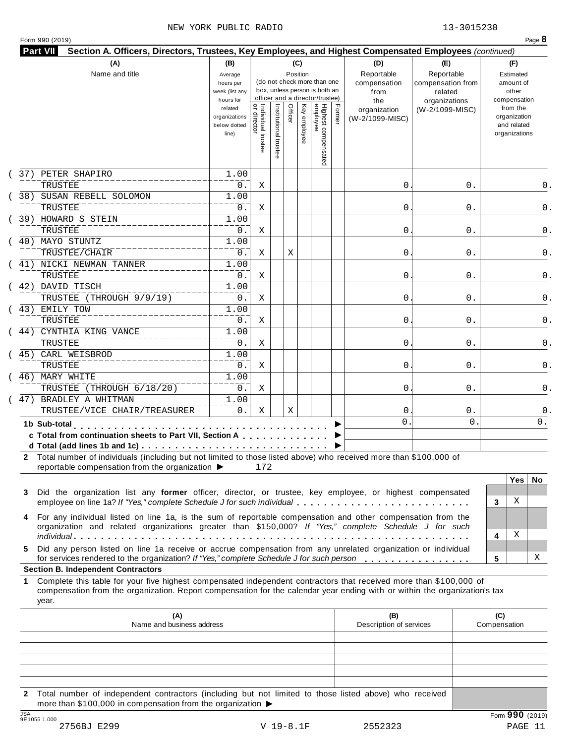|  | Form 990 (2019) |  |
|--|-----------------|--|
|  |                 |  |

| (A)<br>Name and title                                                                                                                                                                                                                                                                                        | (B)<br>Average<br>hours per<br>week (list any<br>hours for |                                           |                       | (C)<br>Position |              | (do not check more than one<br>box, unless person is both an<br>officer and a director/trustee) |        | (D)<br>Reportable<br>compensation<br>from<br>the | (E)<br>Reportable<br>compensation from<br>related<br>organizations |              | compensation  | (F)<br>Estimated<br>amount of<br>other  |     |
|--------------------------------------------------------------------------------------------------------------------------------------------------------------------------------------------------------------------------------------------------------------------------------------------------------------|------------------------------------------------------------|-------------------------------------------|-----------------------|-----------------|--------------|-------------------------------------------------------------------------------------------------|--------|--------------------------------------------------|--------------------------------------------------------------------|--------------|---------------|-----------------------------------------|-----|
|                                                                                                                                                                                                                                                                                                              | related<br>organizations<br>below dotted<br>line)          | <br>  Individual trustee<br>  or director | Institutional trustee | Officer         | Key employee | Highest compensated<br>employee                                                                 | Former | organization<br>(W-2/1099-MISC)                  | (W-2/1099-MISC)                                                    |              | organizations | from the<br>organization<br>and related |     |
| 37) PETER SHAPIRO<br>TRUSTEE                                                                                                                                                                                                                                                                                 | 1.00<br>0.                                                 | Χ                                         |                       |                 |              |                                                                                                 |        | 0                                                |                                                                    | 0.           |               |                                         | 0.  |
| 38) SUSAN REBELL SOLOMON                                                                                                                                                                                                                                                                                     | 1.00                                                       |                                           |                       |                 |              |                                                                                                 |        |                                                  |                                                                    |              |               |                                         |     |
| TRUSTEE                                                                                                                                                                                                                                                                                                      | 0.                                                         | Χ                                         |                       |                 |              |                                                                                                 |        | 0                                                |                                                                    | 0.           |               |                                         | 0.  |
| 39) HOWARD S STEIN                                                                                                                                                                                                                                                                                           | 1.00                                                       |                                           |                       |                 |              |                                                                                                 |        |                                                  |                                                                    |              |               |                                         |     |
| TRUSTEE                                                                                                                                                                                                                                                                                                      | 0.                                                         | Χ                                         |                       |                 |              |                                                                                                 |        | 0                                                |                                                                    | 0.           |               |                                         |     |
| 40) MAYO STUNTZ                                                                                                                                                                                                                                                                                              | 1.00                                                       |                                           |                       |                 |              |                                                                                                 |        |                                                  |                                                                    |              |               |                                         |     |
| TRUSTEE/CHAIR                                                                                                                                                                                                                                                                                                | 0.                                                         | Χ                                         |                       | Χ               |              |                                                                                                 |        | 0                                                |                                                                    | 0.           |               |                                         |     |
| 41) NICKI NEWMAN TANNER                                                                                                                                                                                                                                                                                      | 1.00                                                       |                                           |                       |                 |              |                                                                                                 |        |                                                  |                                                                    |              |               |                                         |     |
| TRUSTEE<br>42) DAVID TISCH                                                                                                                                                                                                                                                                                   | 0.<br>1.00                                                 | Χ                                         |                       |                 |              |                                                                                                 |        | 0                                                |                                                                    | 0.           |               |                                         |     |
| TRUSTEE (THROUGH 9/9/19)                                                                                                                                                                                                                                                                                     | 0.                                                         | Χ                                         |                       |                 |              |                                                                                                 |        | 0                                                |                                                                    | 0.           |               |                                         |     |
| 43) EMILY TOW                                                                                                                                                                                                                                                                                                | 1.00                                                       |                                           |                       |                 |              |                                                                                                 |        |                                                  |                                                                    |              |               |                                         |     |
| TRUSTEE                                                                                                                                                                                                                                                                                                      | 0.                                                         | Χ                                         |                       |                 |              |                                                                                                 |        | 0                                                |                                                                    | 0.           |               |                                         |     |
| CYNTHIA KING VANCE<br>44)                                                                                                                                                                                                                                                                                    | 1.00                                                       |                                           |                       |                 |              |                                                                                                 |        |                                                  |                                                                    |              |               |                                         |     |
| TRUSTEE                                                                                                                                                                                                                                                                                                      | 0.                                                         | Χ                                         |                       |                 |              |                                                                                                 |        | 0                                                |                                                                    | 0.           |               |                                         |     |
| CARL WEISBROD<br>45)                                                                                                                                                                                                                                                                                         | 1.00                                                       |                                           |                       |                 |              |                                                                                                 |        |                                                  |                                                                    |              |               |                                         |     |
| TRUSTEE                                                                                                                                                                                                                                                                                                      | 0.                                                         | Χ                                         |                       |                 |              |                                                                                                 |        | 0                                                |                                                                    | 0.           |               |                                         |     |
| 46) MARY WHITE                                                                                                                                                                                                                                                                                               | 1.00                                                       |                                           |                       |                 |              |                                                                                                 |        |                                                  |                                                                    |              |               |                                         |     |
| TRUSTEE (THROUGH 6/18/20)                                                                                                                                                                                                                                                                                    | $0$ .                                                      | Χ                                         |                       |                 |              |                                                                                                 |        | 0                                                |                                                                    | 0.           |               |                                         |     |
| 47) BRADLEY A WHITMAN<br>TRUSTEE/VICE CHAIR/TREASURER                                                                                                                                                                                                                                                        | 1.00<br>$0$ .                                              | Χ                                         |                       | Χ               |              |                                                                                                 |        | 0                                                |                                                                    | $0$ .        |               |                                         |     |
| 1b Sub-total                                                                                                                                                                                                                                                                                                 |                                                            |                                           |                       |                 |              |                                                                                                 |        | 0                                                |                                                                    | $\mathbf{0}$ |               |                                         | 0.  |
| c Total from continuation sheets to Part VII, Section A                                                                                                                                                                                                                                                      |                                                            |                                           |                       |                 |              |                                                                                                 |        |                                                  |                                                                    |              |               |                                         |     |
|                                                                                                                                                                                                                                                                                                              |                                                            |                                           |                       |                 |              |                                                                                                 |        |                                                  |                                                                    |              |               |                                         |     |
| 2 Total number of individuals (including but not limited to those listed above) who received more than \$100,000 of                                                                                                                                                                                          |                                                            |                                           |                       |                 |              |                                                                                                 |        |                                                  |                                                                    |              |               |                                         |     |
| reportable compensation from the organization ▶                                                                                                                                                                                                                                                              |                                                            | 172                                       |                       |                 |              |                                                                                                 |        |                                                  |                                                                    |              |               |                                         |     |
|                                                                                                                                                                                                                                                                                                              |                                                            |                                           |                       |                 |              |                                                                                                 |        |                                                  |                                                                    |              |               | <b>Yes</b>                              | No. |
| Did the organization list any former officer, director, or trustee, key employee, or highest compensated<br>3                                                                                                                                                                                                |                                                            |                                           |                       |                 |              |                                                                                                 |        |                                                  |                                                                    |              |               | Χ                                       |     |
| employee on line 1a? If "Yes," complete Schedule J for such individual                                                                                                                                                                                                                                       |                                                            |                                           |                       |                 |              |                                                                                                 |        |                                                  |                                                                    |              | 3             |                                         |     |
| For any individual listed on line 1a, is the sum of reportable compensation and other compensation from the<br>4<br>organization and related organizations greater than \$150,000? If "Yes," complete Schedule J for such                                                                                    |                                                            |                                           |                       |                 |              |                                                                                                 |        |                                                  |                                                                    |              |               |                                         |     |
|                                                                                                                                                                                                                                                                                                              |                                                            |                                           |                       |                 |              |                                                                                                 |        |                                                  |                                                                    |              | 4             | Χ                                       |     |
| Did any person listed on line 1a receive or accrue compensation from any unrelated organization or individual<br>5.                                                                                                                                                                                          |                                                            |                                           |                       |                 |              |                                                                                                 |        |                                                  |                                                                    |              |               |                                         |     |
| for services rendered to the organization? If "Yes," complete Schedule J for such person                                                                                                                                                                                                                     |                                                            |                                           |                       |                 |              |                                                                                                 |        |                                                  |                                                                    |              | 5             |                                         | х   |
| <b>Section B. Independent Contractors</b><br>Complete this table for your five highest compensated independent contractors that received more than \$100,000 of<br>1.<br>compensation from the organization. Report compensation for the calendar year ending with or within the organization's tax<br>year. |                                                            |                                           |                       |                 |              |                                                                                                 |        |                                                  |                                                                    |              |               |                                         |     |
|                                                                                                                                                                                                                                                                                                              |                                                            |                                           |                       |                 |              |                                                                                                 |        | (B)                                              |                                                                    |              | (C)           |                                         |     |
| (A)<br>Name and business address                                                                                                                                                                                                                                                                             |                                                            |                                           |                       |                 |              |                                                                                                 |        | Description of services                          |                                                                    |              | Compensation  |                                         |     |
|                                                                                                                                                                                                                                                                                                              |                                                            |                                           |                       |                 |              |                                                                                                 |        |                                                  |                                                                    |              |               |                                         |     |
|                                                                                                                                                                                                                                                                                                              |                                                            |                                           |                       |                 |              |                                                                                                 |        |                                                  |                                                                    |              |               |                                         |     |
|                                                                                                                                                                                                                                                                                                              |                                                            |                                           |                       |                 |              |                                                                                                 |        |                                                  |                                                                    |              |               |                                         |     |

**2** Total number of independent contractors (including but not limited to those listed above) who received more than \$100,000 in compensation from the organization  $\blacktriangleright$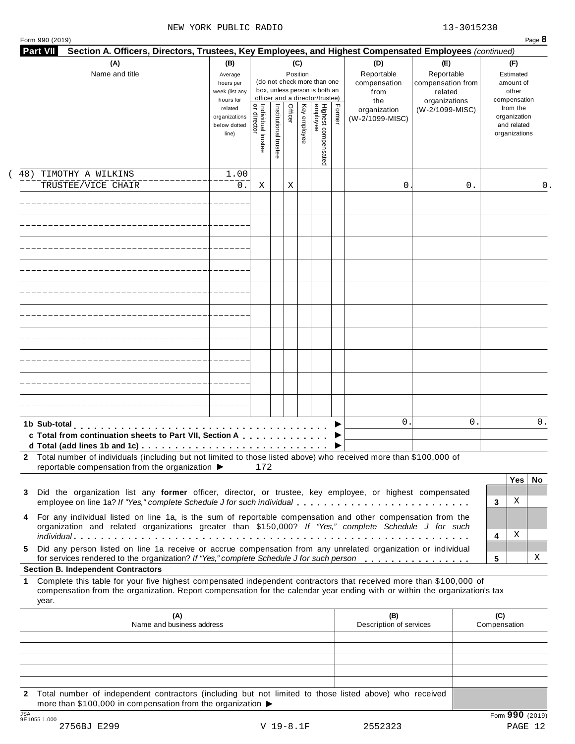|                                                                                                                                                                                                                                                           | (B)<br>Average<br>hours per<br>week (list any<br>hours for |                                     |                       | (C)<br>Position |              | (do not check more than one<br>box, unless person is both an<br>officer and a director/trustee) |        | (D)<br>Reportable<br>compensation<br>from<br>the | (E)<br>Reportable<br>compensation from<br>related<br>organizations | (F)<br>Estimated<br>amount of<br>other<br>compensation   |
|-----------------------------------------------------------------------------------------------------------------------------------------------------------------------------------------------------------------------------------------------------------|------------------------------------------------------------|-------------------------------------|-----------------------|-----------------|--------------|-------------------------------------------------------------------------------------------------|--------|--------------------------------------------------|--------------------------------------------------------------------|----------------------------------------------------------|
|                                                                                                                                                                                                                                                           | related<br>organizations<br>below dotted<br>line)          | Individual trustee<br>  or director | Institutional trustee | Officer         | Key employee | Highest compensated<br>employee                                                                 | Former | organization<br>(W-2/1099-MISC)                  | (W-2/1099-MISC)                                                    | from the<br>organization<br>and related<br>organizations |
| TIMOTHY A WILKINS<br>48)                                                                                                                                                                                                                                  | 1.00                                                       |                                     |                       |                 |              |                                                                                                 |        |                                                  |                                                                    |                                                          |
| TRUSTEE/VICE CHAIR                                                                                                                                                                                                                                        | 0.                                                         | Χ                                   |                       | Χ               |              |                                                                                                 |        | 0                                                | 0.                                                                 | 0.                                                       |
|                                                                                                                                                                                                                                                           |                                                            |                                     |                       |                 |              |                                                                                                 |        |                                                  |                                                                    |                                                          |
|                                                                                                                                                                                                                                                           |                                                            |                                     |                       |                 |              |                                                                                                 |        |                                                  |                                                                    |                                                          |
|                                                                                                                                                                                                                                                           |                                                            |                                     |                       |                 |              |                                                                                                 |        |                                                  |                                                                    |                                                          |
|                                                                                                                                                                                                                                                           |                                                            |                                     |                       |                 |              |                                                                                                 |        |                                                  |                                                                    |                                                          |
|                                                                                                                                                                                                                                                           |                                                            |                                     |                       |                 |              |                                                                                                 |        |                                                  |                                                                    |                                                          |
|                                                                                                                                                                                                                                                           |                                                            |                                     |                       |                 |              |                                                                                                 |        |                                                  |                                                                    |                                                          |
|                                                                                                                                                                                                                                                           |                                                            |                                     |                       |                 |              |                                                                                                 |        |                                                  |                                                                    |                                                          |
|                                                                                                                                                                                                                                                           |                                                            |                                     |                       |                 |              |                                                                                                 |        |                                                  |                                                                    |                                                          |
|                                                                                                                                                                                                                                                           |                                                            |                                     |                       |                 |              |                                                                                                 |        |                                                  |                                                                    |                                                          |
| 1b Sub-total<br>c Total from continuation sheets to Part VII, Section A                                                                                                                                                                                   |                                                            |                                     |                       |                 |              |                                                                                                 |        | $\mathbf{0}$                                     | 0                                                                  | 0.                                                       |
| 2 Total number of individuals (including but not limited to those listed above) who received more than \$100,000 of<br>reportable compensation from the organization ▶                                                                                    |                                                            | 172                                 |                       |                 |              |                                                                                                 |        |                                                  |                                                                    |                                                          |
| Did the organization list any former officer, director, or trustee, key employee, or highest compensated<br>3<br>employee on line 1a? If "Yes," complete Schedule J for such individual                                                                   |                                                            |                                     |                       |                 |              |                                                                                                 |        |                                                  |                                                                    | <b>Yes</b><br>No.<br>Χ<br>3                              |
| For any individual listed on line 1a, is the sum of reportable compensation and other compensation from the<br>4<br>organization and related organizations greater than \$150,000? If "Yes," complete Schedule J for such                                 |                                                            |                                     |                       |                 |              |                                                                                                 |        |                                                  |                                                                    | Χ<br>4                                                   |
|                                                                                                                                                                                                                                                           |                                                            |                                     |                       |                 |              |                                                                                                 |        |                                                  |                                                                    | х<br>5                                                   |
| Did any person listed on line 1a receive or accrue compensation from any unrelated organization or individual<br>5.<br>for services rendered to the organization? If "Yes," complete Schedule J for such person                                           |                                                            |                                     |                       |                 |              |                                                                                                 |        |                                                  |                                                                    |                                                          |
| <b>Section B. Independent Contractors</b>                                                                                                                                                                                                                 |                                                            |                                     |                       |                 |              |                                                                                                 |        |                                                  |                                                                    |                                                          |
| Complete this table for your five highest compensated independent contractors that received more than \$100,000 of<br>compensation from the organization. Report compensation for the calendar year ending with or within the organization's tax<br>year. |                                                            |                                     |                       |                 |              |                                                                                                 |        |                                                  |                                                                    |                                                          |
| (A)<br>Name and business address                                                                                                                                                                                                                          |                                                            |                                     |                       |                 |              |                                                                                                 |        | (B)<br>Description of services                   |                                                                    | (C)<br>Compensation                                      |
| 1                                                                                                                                                                                                                                                         |                                                            |                                     |                       |                 |              |                                                                                                 |        |                                                  |                                                                    |                                                          |
|                                                                                                                                                                                                                                                           |                                                            |                                     |                       |                 |              |                                                                                                 |        |                                                  |                                                                    |                                                          |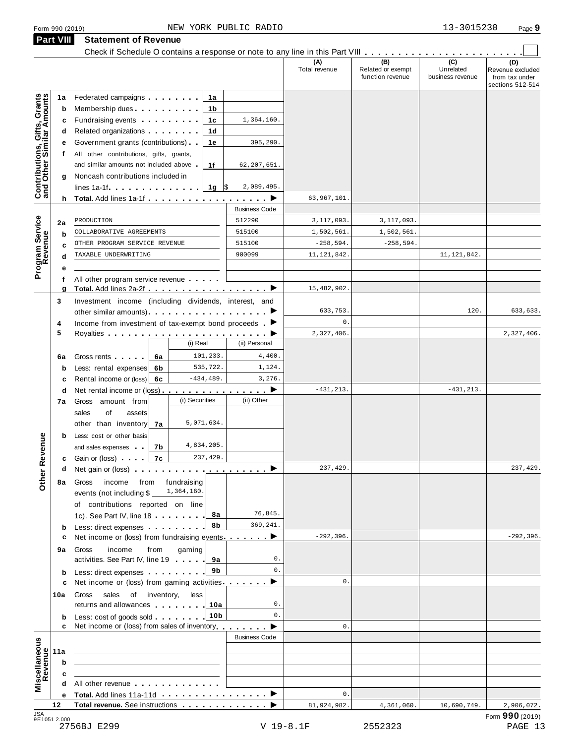|                                                                | Check if Schedule O contains a response or note to any line in this Part VIII                                                                                                                                                                                                           |                 |                      | (A)<br>Total revenue | (B)<br>Related or exempt<br>function revenue | (C)<br>Unrelated<br>business revenue | (D)<br>Revenue excluded<br>from tax under<br>sections 512-514 |
|----------------------------------------------------------------|-----------------------------------------------------------------------------------------------------------------------------------------------------------------------------------------------------------------------------------------------------------------------------------------|-----------------|----------------------|----------------------|----------------------------------------------|--------------------------------------|---------------------------------------------------------------|
| 1a                                                             | Federated campaigns <b>Federated</b>                                                                                                                                                                                                                                                    | 1а              |                      |                      |                                              |                                      |                                                               |
| Contributions, Gifts, Grants<br>and Other Similar Amounts<br>b | Membership dues <b>All Accords</b> Membership dues                                                                                                                                                                                                                                      | 1b              |                      |                      |                                              |                                      |                                                               |
| с                                                              | Fundraising events <b>Fundraising</b>                                                                                                                                                                                                                                                   | 1c              | 1,364,160.           |                      |                                              |                                      |                                                               |
| d                                                              | Related organizations <b>contains</b> and <b>Related</b> organizations <b>contains</b>                                                                                                                                                                                                  | 1d              |                      |                      |                                              |                                      |                                                               |
| е                                                              | Government grants (contributions)                                                                                                                                                                                                                                                       | 1e              | 395,290.             |                      |                                              |                                      |                                                               |
|                                                                | All other contributions, gifts, grants,<br>$\mathbf{r}$                                                                                                                                                                                                                                 |                 |                      |                      |                                              |                                      |                                                               |
|                                                                | and similar amounts not included above                                                                                                                                                                                                                                                  | 1f              | 62,207,651.          |                      |                                              |                                      |                                                               |
| g                                                              | Noncash contributions included in                                                                                                                                                                                                                                                       |                 |                      |                      |                                              |                                      |                                                               |
|                                                                | lines 1a-1f                                                                                                                                                                                                                                                                             | 1g $\sqrt{5}$   | 2,089,495.           |                      |                                              |                                      |                                                               |
|                                                                |                                                                                                                                                                                                                                                                                         |                 |                      | 63,967,101.          |                                              |                                      |                                                               |
|                                                                |                                                                                                                                                                                                                                                                                         |                 | <b>Business Code</b> |                      |                                              |                                      |                                                               |
| 2a                                                             | PRODUCTION                                                                                                                                                                                                                                                                              |                 | 512290               | 3,117,093.           | 3,117,093.                                   |                                      |                                                               |
| Program Service<br>Revenue<br>b                                | COLLABORATIVE AGREEMENTS                                                                                                                                                                                                                                                                |                 | 515100               | 1,502,561.           | 1,502,561.                                   |                                      |                                                               |
| c                                                              | OTHER PROGRAM SERVICE REVENUE                                                                                                                                                                                                                                                           |                 | 515100               | $-258,594.$          | $-258,594.$                                  |                                      |                                                               |
| d                                                              | TAXABLE UNDERWRITING                                                                                                                                                                                                                                                                    |                 | 900099               | 11, 121, 842.        |                                              | 11, 121, 842.                        |                                                               |
|                                                                |                                                                                                                                                                                                                                                                                         |                 |                      |                      |                                              |                                      |                                                               |
| f                                                              | All other program service revenue                                                                                                                                                                                                                                                       |                 |                      |                      |                                              |                                      |                                                               |
| g                                                              | Total. Add lines 2a-2f ▶                                                                                                                                                                                                                                                                |                 |                      | 15,482,902.          |                                              |                                      |                                                               |
| 3                                                              | Investment income (including dividends, interest, and                                                                                                                                                                                                                                   |                 |                      |                      |                                              |                                      |                                                               |
|                                                                |                                                                                                                                                                                                                                                                                         |                 |                      | 633,753.             |                                              | 120.                                 | 633,633.                                                      |
| 4                                                              | Income from investment of tax-exempt bond proceeds $\blacksquare$                                                                                                                                                                                                                       |                 |                      | $0$ .                |                                              |                                      |                                                               |
| 5                                                              |                                                                                                                                                                                                                                                                                         |                 |                      | 2,327,406.           |                                              |                                      | 2,327,406.                                                    |
|                                                                |                                                                                                                                                                                                                                                                                         | (i) Real        | (ii) Personal        |                      |                                              |                                      |                                                               |
| 6a                                                             | Gross rents  <br>6а                                                                                                                                                                                                                                                                     | 101,233.        | 4,400.               |                      |                                              |                                      |                                                               |
| b                                                              | Less: rental expenses<br>6b                                                                                                                                                                                                                                                             | 535,722.        | 1,124.               |                      |                                              |                                      |                                                               |
| c                                                              | Rental income or (loss) 6c                                                                                                                                                                                                                                                              | $-434, 489.$    | 3,276.               |                      |                                              |                                      |                                                               |
| d                                                              | Net rental income or (loss) <b>interest in the set of the set of the set of the set of the set of the set of the set of the set of the set of the set of the set of the set of the set of the set of the set of the set of the </b>                                                     |                 |                      | $-431, 213.$         |                                              | $-431, 213.$                         |                                                               |
| 7a                                                             | Gross amount from                                                                                                                                                                                                                                                                       | (i) Securities  | (ii) Other           |                      |                                              |                                      |                                                               |
|                                                                | sales<br>of<br>assets                                                                                                                                                                                                                                                                   |                 |                      |                      |                                              |                                      |                                                               |
|                                                                | other than inventory<br>7a                                                                                                                                                                                                                                                              | 5,071,634.      |                      |                      |                                              |                                      |                                                               |
| b                                                              | Less: cost or other basis                                                                                                                                                                                                                                                               |                 |                      |                      |                                              |                                      |                                                               |
| evenue                                                         | and sales expenses<br>7b                                                                                                                                                                                                                                                                | 4,834,205.      |                      |                      |                                              |                                      |                                                               |
|                                                                | 7c<br><b>c</b> Gain or (loss)                                                                                                                                                                                                                                                           | 237,429.        |                      | 237,429.             |                                              |                                      | 237,429.                                                      |
| Other <sub>R</sub><br>d                                        | Net gain or (loss) $\cdots$ $\cdots$ $\cdots$ $\cdots$ $\cdots$ $\cdots$                                                                                                                                                                                                                |                 |                      |                      |                                              |                                      |                                                               |
| 8а                                                             | income from fundraising<br>Gross                                                                                                                                                                                                                                                        | 1,364,160.      |                      |                      |                                              |                                      |                                                               |
|                                                                | events (not including \$                                                                                                                                                                                                                                                                |                 |                      |                      |                                              |                                      |                                                               |
|                                                                | of contributions reported on line                                                                                                                                                                                                                                                       | 8а              | 76,845.              |                      |                                              |                                      |                                                               |
|                                                                | 1c). See Part IV, line 18                                                                                                                                                                                                                                                               | 8b              | 369,241.             |                      |                                              |                                      |                                                               |
| $\mathbf b$<br>c                                               | Less: direct expenses extending the state of the state of the state of the state of the state of the state of the state of the state of the state of the state of the state of the state of the state of the state of the stat<br>Net income or (loss) from fundraising events $\ldots$ |                 |                      | $-292, 396.$         |                                              |                                      | $-292, 396.$                                                  |
|                                                                | income<br>from                                                                                                                                                                                                                                                                          | gaming          |                      |                      |                                              |                                      |                                                               |
| 9а                                                             | Gross<br>activities. See Part IV, line 19                                                                                                                                                                                                                                               | 9а              | 0.                   |                      |                                              |                                      |                                                               |
| b                                                              | Less: direct expenses                                                                                                                                                                                                                                                                   | 9b              | $0$ .                |                      |                                              |                                      |                                                               |
| c                                                              | Net income or (loss) from gaming activities. $\ldots$ .                                                                                                                                                                                                                                 |                 |                      | $\mathbf{0}$ .       |                                              |                                      |                                                               |
| 10a                                                            | Gross sales<br>of inventory,                                                                                                                                                                                                                                                            | less            |                      |                      |                                              |                                      |                                                               |
|                                                                | returns and allowances   10a                                                                                                                                                                                                                                                            |                 | 0.                   |                      |                                              |                                      |                                                               |
| b                                                              | Less: cost of goods sold                                                                                                                                                                                                                                                                | 10 <sub>b</sub> | 0.                   |                      |                                              |                                      |                                                               |
|                                                                | Net income or (loss) from sales of inventory                                                                                                                                                                                                                                            |                 |                      | $\mathbf{0}$ .       |                                              |                                      |                                                               |
|                                                                |                                                                                                                                                                                                                                                                                         |                 | <b>Business Code</b> |                      |                                              |                                      |                                                               |
| 11a                                                            |                                                                                                                                                                                                                                                                                         |                 |                      |                      |                                              |                                      |                                                               |
| b                                                              | <u> 1989 - Johann Stein, mars an deus an deus Amerikaanse komme</u>                                                                                                                                                                                                                     |                 |                      |                      |                                              |                                      |                                                               |
| c                                                              |                                                                                                                                                                                                                                                                                         |                 |                      |                      |                                              |                                      |                                                               |
| Miscellaneous<br>Revenue                                       | All other revenue example and the state of the state of the state of the state of the state of the state of the state of the state of the state of the state of the state of the state of the state of the state of the state                                                           |                 |                      |                      |                                              |                                      |                                                               |
| е                                                              |                                                                                                                                                                                                                                                                                         |                 |                      | $0$ .                |                                              |                                      |                                                               |
|                                                                |                                                                                                                                                                                                                                                                                         |                 |                      | 81,924,982.          | 4,361,060.                                   | 10,690,749.                          | 2,906,072.                                                    |
| 12                                                             | Total revenue. See instructions ▶                                                                                                                                                                                                                                                       |                 |                      |                      |                                              |                                      |                                                               |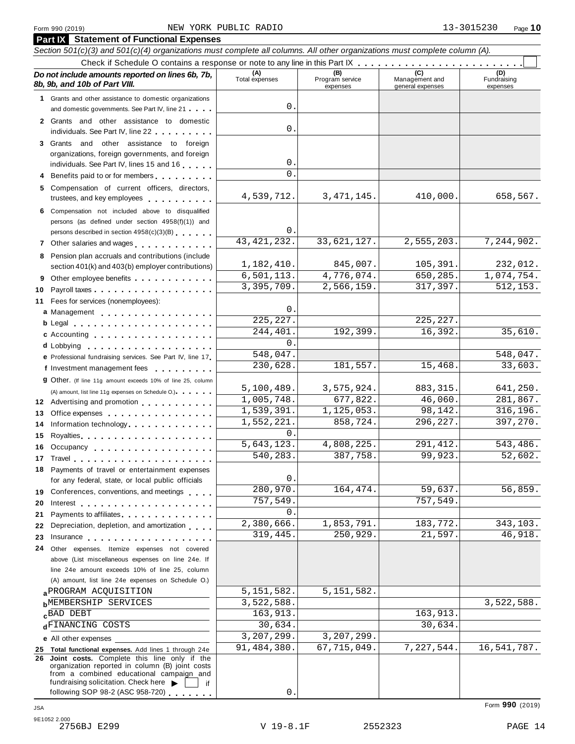|    | Do not include amounts reported on lines 6b, 7b,<br>8b, 9b, and 10b of Part VIII.<br>1 Grants and other assistance to domestic organizations<br>and domestic governments. See Part IV, line 21                                 | (A)<br>Total expenses    | (B)<br>Program service<br>expenses | Management and   | (D)<br>Fundraising |
|----|--------------------------------------------------------------------------------------------------------------------------------------------------------------------------------------------------------------------------------|--------------------------|------------------------------------|------------------|--------------------|
|    |                                                                                                                                                                                                                                |                          |                                    |                  |                    |
|    |                                                                                                                                                                                                                                |                          |                                    | general expenses | expenses           |
|    |                                                                                                                                                                                                                                |                          |                                    |                  |                    |
|    |                                                                                                                                                                                                                                | 0                        |                                    |                  |                    |
|    | 2 Grants and other assistance to domestic<br>individuals. See Part IV, line 22                                                                                                                                                 | 0                        |                                    |                  |                    |
|    | 3 Grants and other assistance to foreign                                                                                                                                                                                       |                          |                                    |                  |                    |
|    | organizations, foreign governments, and foreign                                                                                                                                                                                |                          |                                    |                  |                    |
|    | individuals. See Part IV, lines 15 and 16                                                                                                                                                                                      | 0                        |                                    |                  |                    |
|    | Benefits paid to or for members                                                                                                                                                                                                | $\Omega$                 |                                    |                  |                    |
|    | 5 Compensation of current officers, directors,<br>trustees, and key employees expressed and the state of                                                                                                                       | 4,539,712.               | 3, 471, 145.                       | 410,000.         | 658,567.           |
|    | 6 Compensation not included above to disqualified                                                                                                                                                                              |                          |                                    |                  |                    |
|    | persons (as defined under section 4958(f)(1)) and                                                                                                                                                                              |                          |                                    |                  |                    |
|    | persons described in section 4958(c)(3)(B)                                                                                                                                                                                     | 0                        |                                    |                  |                    |
|    | 7 Other salaries and wages <b>contained contained contained contained contained contained </b>                                                                                                                                 | 43, 421, 232.            | 33,621,127.                        | 2,555,203.       | 7,244,902.         |
|    | 8 Pension plan accruals and contributions (include                                                                                                                                                                             | 1,182,410.               | 845,007.                           | 105,391.         | 232,012.           |
|    | section 401(k) and 403(b) employer contributions)                                                                                                                                                                              | 6, 501, 113.             | 4,776,074.                         | 650,285.         | 1,074,754.         |
| 9  | Other employee benefits                                                                                                                                                                                                        | 3,395,709.               | 2,566,159.                         | 317,397.         | 512, 153.          |
| 10 | Payroll taxes                                                                                                                                                                                                                  |                          |                                    |                  |                    |
| 11 | Fees for services (nonemployees):                                                                                                                                                                                              | 0                        |                                    |                  |                    |
|    | a Management                                                                                                                                                                                                                   | 225, 227.                |                                    | 225, 227.        |                    |
|    |                                                                                                                                                                                                                                | 244,401.                 | 192,399.                           | 16,392.          | 35,610.            |
|    | c Accounting                                                                                                                                                                                                                   | $\Omega$ .               |                                    |                  |                    |
|    | e Professional fundraising services. See Part IV, line 17                                                                                                                                                                      | 548,047.                 |                                    |                  | 548,047.           |
|    | f Investment management fees                                                                                                                                                                                                   | 230,628.                 | 181,557.                           | 15,468.          | 33,603.            |
|    | <b>g</b> Other. (If line 11g amount exceeds 10% of line 25, column                                                                                                                                                             |                          |                                    |                  |                    |
|    | (A) amount, list line 11g expenses on Schedule O.).                                                                                                                                                                            | 5,100,489.               | 3,575,924.                         | 883, 315.        | 641,250.           |
|    | 12 Advertising and promotion                                                                                                                                                                                                   | 1,005,748.               | $\overline{677}$ , 822.            | 46,060.          | 281,867.           |
| 13 | Office expenses expenses                                                                                                                                                                                                       | 1,539,391.               | 1, 125, 053.                       | 98,142.          | 316, 196.          |
| 14 | Information technology experience and the state of the state of the state of the state of the state of the state of the state of the state of the state of the state of the state of the state of the state of the state of th | 1,552,221.               | 858,724.                           | 296,227.         | 397,270.           |
| 15 | Royalties                                                                                                                                                                                                                      | 0.                       |                                    |                  |                    |
|    | 16 Occupancy                                                                                                                                                                                                                   | 5,643,123.               | 4,808,225.                         | 291,412.         | 543,486.           |
|    |                                                                                                                                                                                                                                | 540,283                  | 387,758                            | 99,923.          | 52,602.            |
|    | 18 Payments of travel or entertainment expenses                                                                                                                                                                                |                          |                                    |                  |                    |
|    | for any federal, state, or local public officials                                                                                                                                                                              | 0                        |                                    |                  |                    |
|    | 19 Conferences, conventions, and meetings                                                                                                                                                                                      | 280,970.                 | 164, 474.                          | 59,637.          | 56,859.            |
| 20 |                                                                                                                                                                                                                                | 757,549.                 |                                    | 757,549.         |                    |
| 21 | Payments to affiliates.                                                                                                                                                                                                        | $\Omega$ .<br>2,380,666. | 1,853,791.                         | 183,772.         | 343,103.           |
| 22 | Depreciation, depletion, and amortization                                                                                                                                                                                      | 319,445.                 | 250,929.                           | 21,597.          | 46,918.            |
| 23 | Insurance in the contract of the contract of the contract of the contract of the contract of the contract of the contract of the contract of the contract of the contract of the contract of the contract of the contract of t |                          |                                    |                  |                    |
| 24 | Other expenses. Itemize expenses not covered                                                                                                                                                                                   |                          |                                    |                  |                    |
|    | above (List miscellaneous expenses on line 24e. If<br>line 24e amount exceeds 10% of line 25, column                                                                                                                           |                          |                                    |                  |                    |
|    | (A) amount, list line 24e expenses on Schedule O.)                                                                                                                                                                             |                          |                                    |                  |                    |
|    | a PROGRAM ACQUISITION                                                                                                                                                                                                          | 5, 151, 582.             | 5, 151, 582.                       |                  |                    |
|    | <b>h</b> MEMBERSHIP SERVICES                                                                                                                                                                                                   | 3,522,588.               |                                    |                  | 3,522,588.         |
|    | cBAD DEBT                                                                                                                                                                                                                      | 163,913.                 |                                    | 163,913.         |                    |
|    | dFINANCING COSTS                                                                                                                                                                                                               | 30,634.                  |                                    | 30,634.          |                    |
|    | <b>e</b> All other expenses                                                                                                                                                                                                    | 3,207,299.               | 3,207,299.                         |                  |                    |
|    | 25 Total functional expenses. Add lines 1 through 24e                                                                                                                                                                          | 91,484,380.              | 67,715,049.                        | 7,227,544.       | 16,541,787.        |
| 26 | Joint costs. Complete this line only if the<br>organization reported in column (B) joint costs<br>from a combined educational campaign and<br>fundraising solicitation. Check here $\blacktriangleright$<br>if                 |                          |                                    |                  |                    |

following SOP 98-2 (ASC 958-720)  $\overline{\cdots}$  .

0.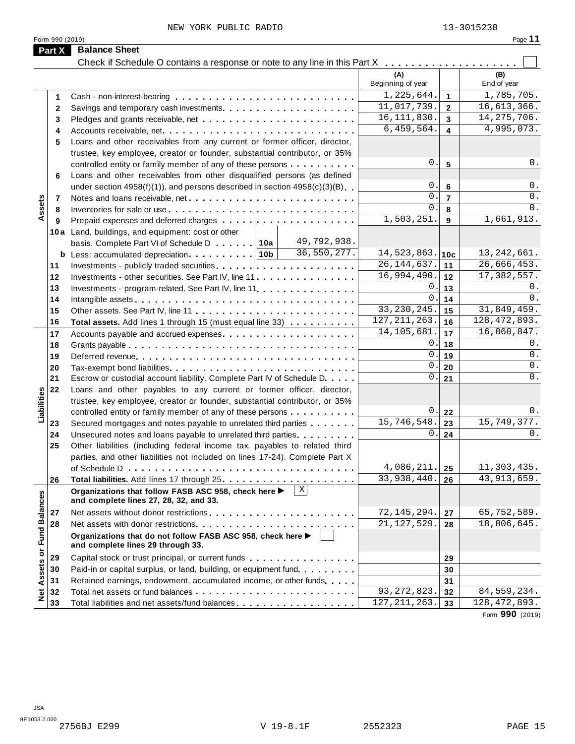|                             |                                                                                                | (A)<br>Beginning of year                 | (B)<br>End of year           |
|-----------------------------|------------------------------------------------------------------------------------------------|------------------------------------------|------------------------------|
|                             |                                                                                                | 1,225,644.<br>$\overline{1}$             | 1,785,705.                   |
| 1                           |                                                                                                | 11,017,739.<br>$\overline{2}$            | 16,613,366.                  |
| $\mathbf{2}$                |                                                                                                | 16, 111, 830.<br>$\overline{\mathbf{3}}$ | 14, 275, 706.                |
| 3                           |                                                                                                | 6,459,564.<br>$\overline{\mathbf{4}}$    | 4,995,073.                   |
| 4                           |                                                                                                |                                          |                              |
| 5                           | Loans and other receivables from any current or former officer, director,                      |                                          |                              |
|                             | trustee, key employee, creator or founder, substantial contributor, or 35%                     | 0.<br>$5\phantom{a}$                     | 0.                           |
|                             | controlled entity or family member of any of these persons                                     |                                          |                              |
| 6                           | Loans and other receivables from other disqualified persons (as defined                        | 0.                                       | 0.                           |
|                             | under section $4958(f)(1)$ , and persons described in section $4958(c)(3)(B)$                  | 6<br>$\mathbf{0}$ .                      | $0$ .                        |
| Assets<br>7                 |                                                                                                | $\overline{7}$<br>0.                     | $0$ .                        |
| 8                           |                                                                                                | 8<br>1,503,251.                          | 1,661,913.                   |
| 9                           |                                                                                                | 9                                        |                              |
|                             | 10a Land, buildings, and equipment: cost or other<br>49,792,938.                               |                                          |                              |
|                             | basis. Complete Part VI of Schedule D 10a<br>36,550,277.                                       | 14,523,863.                              | 13, 242, 661.                |
|                             |                                                                                                | 10c<br>26, 144, 637.                     | 26,666,453.                  |
| 11                          |                                                                                                | 11<br>16,994,490.                        | 17,382,557.                  |
| 12                          | Investments - other securities. See Part IV, line 11                                           | 12<br>0.                                 | $0$ .                        |
| 13                          | Investments - program-related. See Part IV, line 11.                                           | 13<br>0.                                 | 0.                           |
| 14                          |                                                                                                | 14<br>33, 230, 245.                      | 31,849,459.                  |
| 15                          |                                                                                                | 15<br>127, 211, 263.                     | 128, 472, 893.               |
| 16                          | <b>Total assets.</b> Add lines 1 through 15 (must equal line 33)                               | 16<br>14, 105, 681.                      |                              |
| 17                          |                                                                                                | 17                                       | 16,860,847.<br>0.            |
| 18                          |                                                                                                | 0.<br>18<br>0.                           | $0$ .                        |
| 19                          |                                                                                                | 19<br>0.                                 | $0$ .                        |
| 20                          | Tax-exempt bond liabilities                                                                    | 20<br>$0$ .                              | $0$ .                        |
| 21                          | Escrow or custodial account liability. Complete Part IV of Schedule D.                         | 21                                       |                              |
| 22                          | Loans and other payables to any current or former officer, director,                           |                                          |                              |
| Liabilities                 | trustee, key employee, creator or founder, substantial contributor, or 35%                     |                                          |                              |
|                             | controlled entity or family member of any of these persons                                     | 0.<br>22                                 | 0.<br>15,749,377.            |
| 23                          | Secured mortgages and notes payable to unrelated third parties                                 | 15,746,548.<br>23                        |                              |
| 24                          | Unsecured notes and loans payable to unrelated third parties                                   | 0.1<br>24                                | 0.                           |
| 25                          | Other liabilities (including federal income tax, payables to related third                     |                                          |                              |
|                             | parties, and other liabilities not included on lines 17-24). Complete Part X                   | 4,086,211.                               |                              |
|                             |                                                                                                | 25<br>33,938,440.                        | 11,303,435.<br>43, 913, 659. |
| 26                          | $\mathbf{X}$                                                                                   | 26                                       |                              |
|                             | Organizations that follow FASB ASC 958, check here ▶<br>and complete lines 27, 28, 32, and 33. |                                          |                              |
|                             |                                                                                                | 72, 145, 294.                            | 65,752,589.                  |
| 27<br>28                    |                                                                                                | 27<br>21, 127, 529.                      | 18,806,645.                  |
|                             |                                                                                                | 28                                       |                              |
|                             | Organizations that do not follow FASB ASC 958, check here<br>and complete lines 29 through 33. |                                          |                              |
| Net Assets or Fund Balances |                                                                                                |                                          |                              |
| 29                          | Capital stock or trust principal, or current funds                                             | 29                                       |                              |
| 30                          | Paid-in or capital surplus, or land, building, or equipment fund.                              | 30                                       |                              |
| 31                          | Retained earnings, endowment, accumulated income, or other funds                               | 31                                       |                              |
| 32                          |                                                                                                | 93, 272, 823.<br>32                      | 84, 559, 234.                |
| 33                          | Total liabilities and net assets/fund balances                                                 | 127, 211, 263.<br>33                     | 128, 472, 893.               |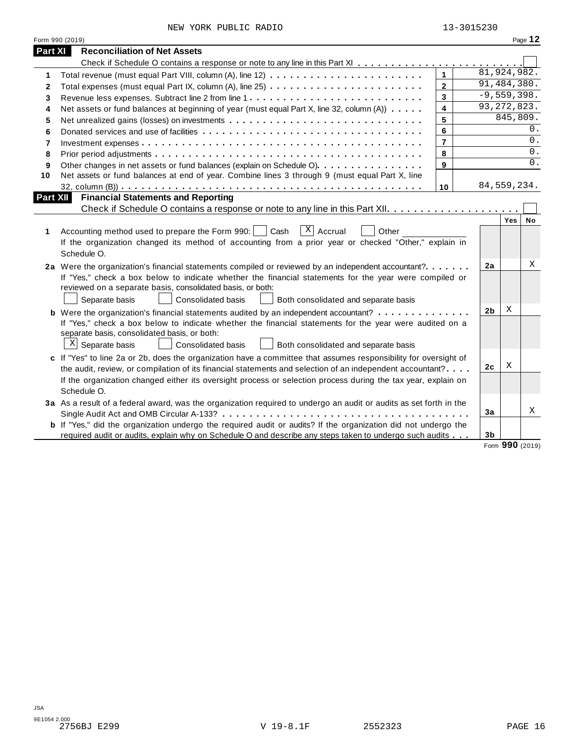|                | Form 990 (2019)                                                                                                                                                                                                                                                                                                                                                   |                         |                |          | Page 12 |
|----------------|-------------------------------------------------------------------------------------------------------------------------------------------------------------------------------------------------------------------------------------------------------------------------------------------------------------------------------------------------------------------|-------------------------|----------------|----------|---------|
| <b>Part XI</b> | <b>Reconciliation of Net Assets</b>                                                                                                                                                                                                                                                                                                                               |                         |                |          |         |
|                |                                                                                                                                                                                                                                                                                                                                                                   |                         |                |          |         |
| 1              |                                                                                                                                                                                                                                                                                                                                                                   | $\mathbf{1}$            | 81,924,982.    |          |         |
| 2              | Total expenses (must equal Part IX, column (A), line 25)                                                                                                                                                                                                                                                                                                          | $\overline{2}$          | 91,484,380.    |          |         |
| 3              |                                                                                                                                                                                                                                                                                                                                                                   | 3                       | $-9,559,398.$  |          |         |
| 4              | Net assets or fund balances at beginning of year (must equal Part X, line 32, column (A))                                                                                                                                                                                                                                                                         | $\overline{\mathbf{4}}$ | 93, 272, 823.  |          |         |
| 5              |                                                                                                                                                                                                                                                                                                                                                                   | 5                       |                | 845,809. |         |
| 6              |                                                                                                                                                                                                                                                                                                                                                                   | 6                       |                |          | 0.      |
| 7              |                                                                                                                                                                                                                                                                                                                                                                   | $\overline{7}$          |                |          | 0.      |
| 8              |                                                                                                                                                                                                                                                                                                                                                                   | 8                       |                |          | $0$ .   |
| 9              | Other changes in net assets or fund balances (explain on Schedule O).                                                                                                                                                                                                                                                                                             | 9                       |                |          | 0.      |
| 10             | Net assets or fund balances at end of year. Combine lines 3 through 9 (must equal Part X, line                                                                                                                                                                                                                                                                    |                         |                |          |         |
|                |                                                                                                                                                                                                                                                                                                                                                                   | 10                      | 84, 559, 234.  |          |         |
| Part XII       | <b>Financial Statements and Reporting</b>                                                                                                                                                                                                                                                                                                                         |                         |                |          |         |
|                |                                                                                                                                                                                                                                                                                                                                                                   |                         |                |          |         |
| 1              | $\overline{X}$ Accrual<br>Cash<br>Other<br>Accounting method used to prepare the Form 990:<br>If the organization changed its method of accounting from a prior year or checked "Other," explain in                                                                                                                                                               |                         |                | Yes      | No      |
|                | Schedule O.                                                                                                                                                                                                                                                                                                                                                       |                         |                |          |         |
|                | 2a Were the organization's financial statements compiled or reviewed by an independent accountant?<br>If "Yes," check a box below to indicate whether the financial statements for the year were compiled or<br>reviewed on a separate basis, consolidated basis, or both:<br>Separate basis<br><b>Consolidated basis</b><br>Both consolidated and separate basis |                         | 2a             |          |         |
|                | <b>b</b> Were the organization's financial statements audited by an independent accountant?                                                                                                                                                                                                                                                                       |                         | 2 <sub>b</sub> | Χ        |         |
|                | If "Yes," check a box below to indicate whether the financial statements for the year were audited on a<br>separate basis, consolidated basis, or both:<br>$X$ Separate basis<br>Consolidated basis<br>Both consolidated and separate basis                                                                                                                       |                         |                |          |         |
|                | c If "Yes" to line 2a or 2b, does the organization have a committee that assumes responsibility for oversight of                                                                                                                                                                                                                                                  |                         |                |          |         |
|                | the audit, review, or compilation of its financial statements and selection of an independent accountant?                                                                                                                                                                                                                                                         |                         | 2c             | Χ        |         |
|                | If the organization changed either its oversight process or selection process during the tax year, explain on<br>Schedule O.                                                                                                                                                                                                                                      |                         |                |          |         |
|                | 3a As a result of a federal award, was the organization required to undergo an audit or audits as set forth in the                                                                                                                                                                                                                                                |                         | 3a             |          |         |
|                | b If "Yes," did the organization undergo the required audit or audits? If the organization did not undergo the                                                                                                                                                                                                                                                    |                         |                |          | X<br>Χ  |

Form **990** (2019)

 $\overline{a}$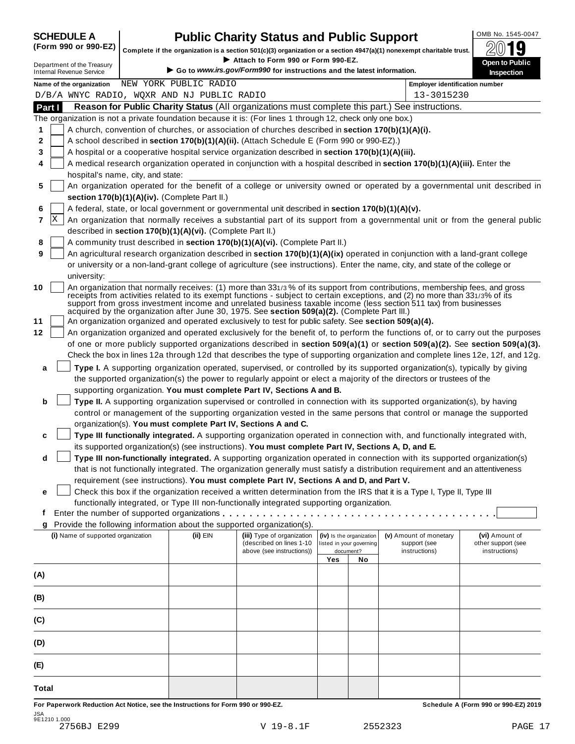| <b>SCHEDULE A</b> |      |  |
|-------------------|------|--|
|                   | ---- |  |

## **CHEDULE A Public Charity Status and Public Support**  $\frac{100\text{dB No. }1545-0047}{000\text{dB}}$

(Form 990 or 990-EZ) complete if the organization is a section 501(c)(3) organization or a section 4947(a)(1) nonexempt charitable trust.  $2019$ 

|                                                               |                                   |                                                            |                                                                                                              |     |                                       | Complete if the organization is a section 501(c)(3) organization or a section 4947(a)(1) nonexempt charitable trust.                                                                                                                                                                                                                                                            | ZW IJ                                                                                                                            |
|---------------------------------------------------------------|-----------------------------------|------------------------------------------------------------|--------------------------------------------------------------------------------------------------------------|-----|---------------------------------------|---------------------------------------------------------------------------------------------------------------------------------------------------------------------------------------------------------------------------------------------------------------------------------------------------------------------------------------------------------------------------------|----------------------------------------------------------------------------------------------------------------------------------|
| Department of the Treasury<br><b>Internal Revenue Service</b> |                                   |                                                            | Attach to Form 990 or Form 990-EZ.<br>Go to www.irs.gov/Form990 for instructions and the latest information. |     |                                       |                                                                                                                                                                                                                                                                                                                                                                                 | Open to Public<br><b>Inspection</b>                                                                                              |
| Name of the organization                                      |                                   | NEW YORK PUBLIC RADIO                                      |                                                                                                              |     |                                       | <b>Employer identification number</b>                                                                                                                                                                                                                                                                                                                                           |                                                                                                                                  |
| D/B/A WNYC RADIO, WQXR AND NJ PUBLIC RADIO                    |                                   |                                                            |                                                                                                              |     |                                       | 13-3015230                                                                                                                                                                                                                                                                                                                                                                      |                                                                                                                                  |
| Part I                                                        |                                   |                                                            |                                                                                                              |     |                                       | Reason for Public Charity Status (All organizations must complete this part.) See instructions.                                                                                                                                                                                                                                                                                 |                                                                                                                                  |
|                                                               |                                   |                                                            | The organization is not a private foundation because it is: (For lines 1 through 12, check only one box.)    |     |                                       |                                                                                                                                                                                                                                                                                                                                                                                 |                                                                                                                                  |
| 1                                                             |                                   |                                                            | A church, convention of churches, or association of churches described in section 170(b)(1)(A)(i).           |     |                                       |                                                                                                                                                                                                                                                                                                                                                                                 |                                                                                                                                  |
| 2                                                             |                                   |                                                            | A school described in section 170(b)(1)(A)(ii). (Attach Schedule E (Form 990 or 990-EZ).)                    |     |                                       |                                                                                                                                                                                                                                                                                                                                                                                 |                                                                                                                                  |
| 3                                                             |                                   |                                                            | A hospital or a cooperative hospital service organization described in section 170(b)(1)(A)(iii).            |     |                                       |                                                                                                                                                                                                                                                                                                                                                                                 |                                                                                                                                  |
| 4                                                             | hospital's name, city, and state: |                                                            |                                                                                                              |     |                                       | A medical research organization operated in conjunction with a hospital described in section 170(b)(1)(A)(iii). Enter the                                                                                                                                                                                                                                                       |                                                                                                                                  |
| 5                                                             |                                   |                                                            |                                                                                                              |     |                                       |                                                                                                                                                                                                                                                                                                                                                                                 | An organization operated for the benefit of a college or university owned or operated by a governmental unit described in        |
|                                                               |                                   | section 170(b)(1)(A)(iv). (Complete Part II.)              |                                                                                                              |     |                                       |                                                                                                                                                                                                                                                                                                                                                                                 |                                                                                                                                  |
| 6                                                             |                                   |                                                            | A federal, state, or local government or governmental unit described in section 170(b)(1)(A)(v).             |     |                                       |                                                                                                                                                                                                                                                                                                                                                                                 |                                                                                                                                  |
| x<br>7                                                        |                                   |                                                            |                                                                                                              |     |                                       |                                                                                                                                                                                                                                                                                                                                                                                 | An organization that normally receives a substantial part of its support from a governmental unit or from the general public     |
|                                                               |                                   | described in section 170(b)(1)(A)(vi). (Complete Part II.) |                                                                                                              |     |                                       |                                                                                                                                                                                                                                                                                                                                                                                 |                                                                                                                                  |
| 8                                                             |                                   |                                                            | A community trust described in section 170(b)(1)(A)(vi). (Complete Part II.)                                 |     |                                       |                                                                                                                                                                                                                                                                                                                                                                                 |                                                                                                                                  |
| 9                                                             |                                   |                                                            |                                                                                                              |     |                                       | An agricultural research organization described in section 170(b)(1)(A)(ix) operated in conjunction with a land-grant college                                                                                                                                                                                                                                                   |                                                                                                                                  |
|                                                               |                                   |                                                            |                                                                                                              |     |                                       | or university or a non-land-grant college of agriculture (see instructions). Enter the name, city, and state of the college or                                                                                                                                                                                                                                                  |                                                                                                                                  |
| university:                                                   |                                   |                                                            |                                                                                                              |     |                                       |                                                                                                                                                                                                                                                                                                                                                                                 |                                                                                                                                  |
| 10                                                            |                                   |                                                            | acquired by the organization after June 30, 1975. See section 509(a)(2). (Complete Part III.)                |     |                                       | An organization that normally receives: (1) more than 331/3% of its support from contributions, membership fees, and gross<br>receipts from activities related to its exempt functions - subject to certain exceptions, and (2) no more than 331/3% of its<br>support from gross investment income and unrelated business taxable income (less section 511 tax) from businesses |                                                                                                                                  |
| 11                                                            |                                   |                                                            | An organization organized and operated exclusively to test for public safety. See section 509(a)(4).         |     |                                       |                                                                                                                                                                                                                                                                                                                                                                                 |                                                                                                                                  |
| 12                                                            |                                   |                                                            |                                                                                                              |     |                                       |                                                                                                                                                                                                                                                                                                                                                                                 | An organization organized and operated exclusively for the benefit of, to perform the functions of, or to carry out the purposes |
|                                                               |                                   |                                                            |                                                                                                              |     |                                       |                                                                                                                                                                                                                                                                                                                                                                                 | of one or more publicly supported organizations described in section 509(a)(1) or section 509(a)(2). See section 509(a)(3).      |
|                                                               |                                   |                                                            |                                                                                                              |     |                                       | Check the box in lines 12a through 12d that describes the type of supporting organization and complete lines 12e, 12f, and 12g.                                                                                                                                                                                                                                                 |                                                                                                                                  |
| a                                                             |                                   |                                                            |                                                                                                              |     |                                       | Type I. A supporting organization operated, supervised, or controlled by its supported organization(s), typically by giving                                                                                                                                                                                                                                                     |                                                                                                                                  |
|                                                               |                                   |                                                            |                                                                                                              |     |                                       | the supported organization(s) the power to regularly appoint or elect a majority of the directors or trustees of the                                                                                                                                                                                                                                                            |                                                                                                                                  |
|                                                               |                                   |                                                            | supporting organization. You must complete Part IV, Sections A and B.                                        |     |                                       |                                                                                                                                                                                                                                                                                                                                                                                 |                                                                                                                                  |
| b                                                             |                                   |                                                            |                                                                                                              |     |                                       | Type II. A supporting organization supervised or controlled in connection with its supported organization(s), by having                                                                                                                                                                                                                                                         |                                                                                                                                  |
|                                                               |                                   |                                                            |                                                                                                              |     |                                       | control or management of the supporting organization vested in the same persons that control or manage the supported                                                                                                                                                                                                                                                            |                                                                                                                                  |
|                                                               |                                   |                                                            | organization(s). You must complete Part IV, Sections A and C.                                                |     |                                       |                                                                                                                                                                                                                                                                                                                                                                                 |                                                                                                                                  |
| c                                                             |                                   |                                                            |                                                                                                              |     |                                       | Type III functionally integrated. A supporting organization operated in connection with, and functionally integrated with,                                                                                                                                                                                                                                                      |                                                                                                                                  |
|                                                               |                                   |                                                            | its supported organization(s) (see instructions). You must complete Part IV, Sections A, D, and E.           |     |                                       |                                                                                                                                                                                                                                                                                                                                                                                 |                                                                                                                                  |
| d                                                             |                                   |                                                            |                                                                                                              |     |                                       | Type III non-functionally integrated. A supporting organization operated in connection with its supported organization(s)                                                                                                                                                                                                                                                       |                                                                                                                                  |
|                                                               |                                   |                                                            |                                                                                                              |     |                                       | that is not functionally integrated. The organization generally must satisfy a distribution requirement and an attentiveness                                                                                                                                                                                                                                                    |                                                                                                                                  |
|                                                               |                                   |                                                            | requirement (see instructions). You must complete Part IV, Sections A and D, and Part V.                     |     |                                       |                                                                                                                                                                                                                                                                                                                                                                                 |                                                                                                                                  |
| е                                                             |                                   |                                                            |                                                                                                              |     |                                       | Check this box if the organization received a written determination from the IRS that it is a Type I, Type II, Type III                                                                                                                                                                                                                                                         |                                                                                                                                  |
|                                                               |                                   |                                                            | functionally integrated, or Type III non-functionally integrated supporting organization.                    |     |                                       |                                                                                                                                                                                                                                                                                                                                                                                 |                                                                                                                                  |
| f                                                             |                                   |                                                            |                                                                                                              |     |                                       |                                                                                                                                                                                                                                                                                                                                                                                 |                                                                                                                                  |
| g                                                             |                                   |                                                            | Provide the following information about the supported organization(s).                                       |     |                                       |                                                                                                                                                                                                                                                                                                                                                                                 |                                                                                                                                  |
| (i) Name of supported organization                            |                                   | (ii) EIN                                                   | (iii) Type of organization                                                                                   |     | (iv) Is the organization              | (v) Amount of monetary                                                                                                                                                                                                                                                                                                                                                          | (vi) Amount of                                                                                                                   |
|                                                               |                                   |                                                            | (described on lines 1-10<br>above (see instructions))                                                        |     | listed in your governing<br>document? | support (see<br>instructions)                                                                                                                                                                                                                                                                                                                                                   | other support (see<br>instructions)                                                                                              |
|                                                               |                                   |                                                            |                                                                                                              | Yes | No                                    |                                                                                                                                                                                                                                                                                                                                                                                 |                                                                                                                                  |
| (A)                                                           |                                   |                                                            |                                                                                                              |     |                                       |                                                                                                                                                                                                                                                                                                                                                                                 |                                                                                                                                  |
|                                                               |                                   |                                                            |                                                                                                              |     |                                       |                                                                                                                                                                                                                                                                                                                                                                                 |                                                                                                                                  |
| (B)                                                           |                                   |                                                            |                                                                                                              |     |                                       |                                                                                                                                                                                                                                                                                                                                                                                 |                                                                                                                                  |
| (C)                                                           |                                   |                                                            |                                                                                                              |     |                                       |                                                                                                                                                                                                                                                                                                                                                                                 |                                                                                                                                  |
| (D)                                                           |                                   |                                                            |                                                                                                              |     |                                       |                                                                                                                                                                                                                                                                                                                                                                                 |                                                                                                                                  |
| (E)                                                           |                                   |                                                            |                                                                                                              |     |                                       |                                                                                                                                                                                                                                                                                                                                                                                 |                                                                                                                                  |
|                                                               |                                   |                                                            |                                                                                                              |     |                                       |                                                                                                                                                                                                                                                                                                                                                                                 |                                                                                                                                  |
| <b>Total</b>                                                  |                                   |                                                            |                                                                                                              |     |                                       |                                                                                                                                                                                                                                                                                                                                                                                 |                                                                                                                                  |

For Paperwork Reduction Act Notice, see the Instructions for Form 990 or 990-EZ. Schedule A (Form 990 or 990-EZ) 2019 JSA 9E1210 1.000 2756BJ E299 V 19-8.1F 2552323 PAGE 17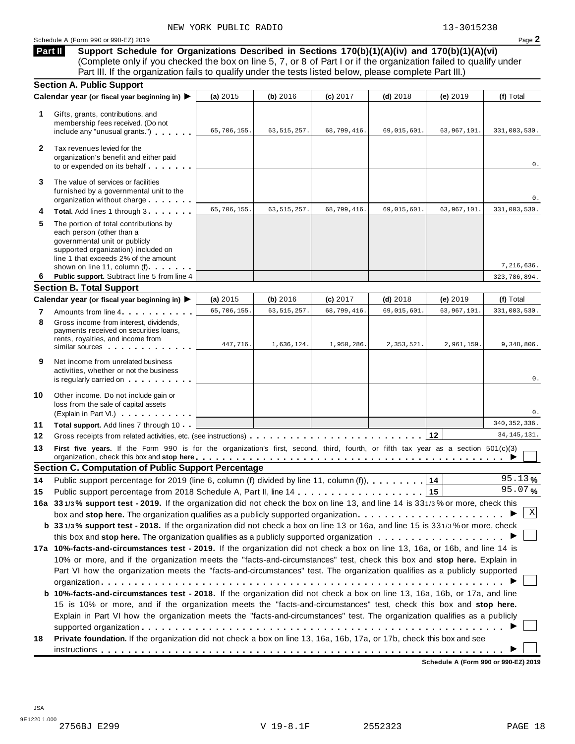**Support Schedule for Organizations Described in Sections 170(b)(1)(A)(iv) and 170(b)(1)(A)(vi)** Complete only if you checked the box on line 5, 7, or 8 of Part I or if the organization failed to qualify under Part III. If the organization fails to qualify under the tests listed below, please complete Part III.) **Part II**

|    | <b>Section A. Public Support</b>                                                                                                                                                                                   |             |               |             |             |               |                |
|----|--------------------------------------------------------------------------------------------------------------------------------------------------------------------------------------------------------------------|-------------|---------------|-------------|-------------|---------------|----------------|
|    | Calendar year (or fiscal year beginning in) ▶                                                                                                                                                                      | (a) 2015    | (b) 2016      | (c) 2017    | $(d)$ 2018  | (e) 2019      | (f) Total      |
| 1  | Gifts, grants, contributions, and<br>membership fees received. (Do not<br>include any "unusual grants.")                                                                                                           | 65,706,155. | 63, 515, 257. | 68,799,416. | 69,015,601. | 63,967,101.   | 331,003,530.   |
| 2  | Tax revenues levied for the<br>organization's benefit and either paid<br>to or expended on its behalf                                                                                                              |             |               |             |             |               | 0.             |
| 3  | The value of services or facilities<br>furnished by a governmental unit to the<br>organization without charge                                                                                                      |             |               |             |             |               | 0.             |
| 4  | Total. Add lines 1 through 3                                                                                                                                                                                       | 65,706,155. | 63, 515, 257. | 68,799,416. | 69,015,601. | 63, 967, 101. | 331,003,530.   |
| 5  | The portion of total contributions by<br>each person (other than a<br>governmental unit or publicly<br>supported organization) included on<br>line 1 that exceeds 2% of the amount<br>shown on line 11, column (f) |             |               |             |             |               | 7,216,636.     |
| 6  | Public support. Subtract line 5 from line 4                                                                                                                                                                        |             |               |             |             |               | 323,786,894.   |
|    | <b>Section B. Total Support</b>                                                                                                                                                                                    |             |               |             |             |               |                |
|    | Calendar year (or fiscal year beginning in) ▶                                                                                                                                                                      | (a) 2015    | (b) 2016      | (c) 2017    | $(d)$ 2018  | (e) 2019      | (f) Total      |
| 7  | Amounts from line 4                                                                                                                                                                                                | 65,706,155. | 63, 515, 257. | 68,799,416. | 69,015,601  | 63, 967, 101. | 331,003,530.   |
| 8  | Gross income from interest, dividends,<br>payments received on securities loans,<br>rents, royalties, and income from<br>similar sources experiences                                                               | 447,716.    | 1,636,124.    | 1,950,286.  | 2,353,521.  | 2,961,159.    | 9,348,806.     |
| 9  | Net income from unrelated business<br>activities, whether or not the business<br>is regularly carried on the control of the set of the set of the set of the set of the set of the set of the s                    |             |               |             |             |               | 0.             |
| 10 | Other income. Do not include gain or<br>loss from the sale of capital assets<br>(Explain in Part VI.)                                                                                                              |             |               |             |             |               | 0.             |
| 11 | Total support. Add lines 7 through 10                                                                                                                                                                              |             |               |             |             |               | 340, 352, 336. |
| 12 |                                                                                                                                                                                                                    |             |               |             |             |               | 34, 145, 131.  |
| 13 | First five years. If the Form 990 is for the organization's first, second, third, fourth, or fifth tax year as a section 501(c)(3)                                                                                 |             |               |             |             |               |                |
|    | <b>Section C. Computation of Public Support Percentage</b>                                                                                                                                                         |             |               |             |             |               |                |
| 14 | Public support percentage for 2019 (line 6, column (f) divided by line 11, column (f).                                                                                                                             |             |               |             |             | 14            | 95.13%         |
| 15 |                                                                                                                                                                                                                    |             |               |             |             | 15            | 95.07%         |
|    | 16a 331/3% support test - 2019. If the organization did not check the box on line 13, and line 14 is 331/3% or more, check this                                                                                    |             |               |             |             |               |                |
|    | box and stop here. The organization qualifies as a publicly supported organization                                                                                                                                 |             |               |             |             |               | Χ              |
|    | b 331/3% support test - 2018. If the organization did not check a box on line 13 or 16a, and line 15 is 331/3% or more, check                                                                                      |             |               |             |             |               |                |
|    |                                                                                                                                                                                                                    |             |               |             |             |               |                |
|    | 17a 10%-facts-and-circumstances test - 2019. If the organization did not check a box on line 13, 16a, or 16b, and line 14 is                                                                                       |             |               |             |             |               |                |
|    | 10% or more, and if the organization meets the "facts-and-circumstances" test, check this box and stop here. Explain in                                                                                            |             |               |             |             |               |                |
|    | Part VI how the organization meets the "facts-and-circumstances" test. The organization qualifies as a publicly supported                                                                                          |             |               |             |             |               |                |
|    |                                                                                                                                                                                                                    |             |               |             |             |               |                |
|    | b 10%-facts-and-circumstances test - 2018. If the organization did not check a box on line 13, 16a, 16b, or 17a, and line                                                                                          |             |               |             |             |               |                |
|    | 15 is 10% or more, and if the organization meets the "facts-and-circumstances" test, check this box and stop here.                                                                                                 |             |               |             |             |               |                |
|    | Explain in Part VI how the organization meets the "facts-and-circumstances" test. The organization qualifies as a publicly                                                                                         |             |               |             |             |               |                |
|    |                                                                                                                                                                                                                    |             |               |             |             |               |                |
|    |                                                                                                                                                                                                                    |             |               |             |             |               |                |
| 18 | Private foundation. If the organization did not check a box on line 13, 16a, 16b, 17a, or 17b, check this box and see                                                                                              |             |               |             |             |               |                |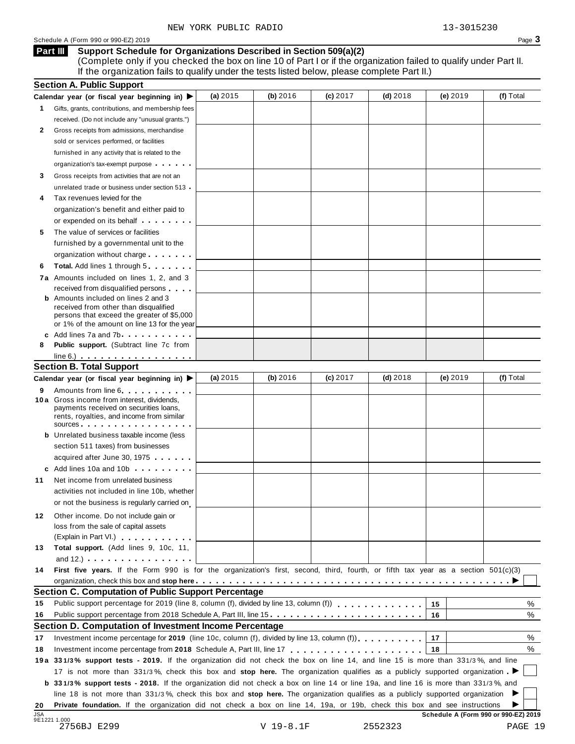#### **Support Schedule for Organizations Described in Section 509(a)(2) Part III**

(Complete only if you checked the box on line 10 of Part I or if the organization failed to qualify under Part II. If the organization fails to qualify under the tests listed below, please complete Part II.)

|            | <b>Section A. Public Support</b>                                                                                                                                                                                                     |            |           |          |            |                                      |           |
|------------|--------------------------------------------------------------------------------------------------------------------------------------------------------------------------------------------------------------------------------------|------------|-----------|----------|------------|--------------------------------------|-----------|
|            | Calendar year (or fiscal year beginning in) $\blacktriangleright$                                                                                                                                                                    | (a) $2015$ | (b) 2016  | (c) 2017 | $(d)$ 2018 | (e) 2019                             | (f) Total |
| 1.         | Gifts, grants, contributions, and membership fees                                                                                                                                                                                    |            |           |          |            |                                      |           |
|            | received. (Do not include any "unusual grants.")                                                                                                                                                                                     |            |           |          |            |                                      |           |
| 2          | Gross receipts from admissions, merchandise                                                                                                                                                                                          |            |           |          |            |                                      |           |
|            | sold or services performed, or facilities                                                                                                                                                                                            |            |           |          |            |                                      |           |
|            | furnished in any activity that is related to the                                                                                                                                                                                     |            |           |          |            |                                      |           |
|            | organization's tax-exempt purpose                                                                                                                                                                                                    |            |           |          |            |                                      |           |
| 3          | Gross receipts from activities that are not an                                                                                                                                                                                       |            |           |          |            |                                      |           |
|            | unrelated trade or business under section 513                                                                                                                                                                                        |            |           |          |            |                                      |           |
| 4          | Tax revenues levied for the                                                                                                                                                                                                          |            |           |          |            |                                      |           |
|            | organization's benefit and either paid to                                                                                                                                                                                            |            |           |          |            |                                      |           |
|            | or expended on its behalf <b>contains the set of the set of the set of the set of the set of the set of the set of the set of the set of the set of the set of the set of the set of the set of the set of the set of the set of</b> |            |           |          |            |                                      |           |
| 5          | The value of services or facilities                                                                                                                                                                                                  |            |           |          |            |                                      |           |
|            | furnished by a governmental unit to the                                                                                                                                                                                              |            |           |          |            |                                      |           |
|            | organization without charge                                                                                                                                                                                                          |            |           |          |            |                                      |           |
|            |                                                                                                                                                                                                                                      |            |           |          |            |                                      |           |
| 6          | <b>Total.</b> Add lines 1 through 5                                                                                                                                                                                                  |            |           |          |            |                                      |           |
|            | 7a Amounts included on lines 1, 2, and 3                                                                                                                                                                                             |            |           |          |            |                                      |           |
|            | received from disqualified persons<br><b>b</b> Amounts included on lines 2 and 3                                                                                                                                                     |            |           |          |            |                                      |           |
|            | received from other than disqualified                                                                                                                                                                                                |            |           |          |            |                                      |           |
|            | persons that exceed the greater of \$5,000                                                                                                                                                                                           |            |           |          |            |                                      |           |
|            | or 1% of the amount on line 13 for the year                                                                                                                                                                                          |            |           |          |            |                                      |           |
|            | c Add lines 7a and 7b                                                                                                                                                                                                                |            |           |          |            |                                      |           |
| 8          | <b>Public support.</b> (Subtract line 7c from                                                                                                                                                                                        |            |           |          |            |                                      |           |
|            | $line 6.)$ $\ldots$ $\ldots$ $\ldots$ $\ldots$ $\ldots$                                                                                                                                                                              |            |           |          |            |                                      |           |
|            | <b>Section B. Total Support</b>                                                                                                                                                                                                      |            |           |          |            |                                      |           |
|            | Calendar year (or fiscal year beginning in) ▶                                                                                                                                                                                        | (a) $2015$ | (b) 2016  | (c) 2017 | $(d)$ 2018 | $(e)$ 2019                           | (f) Total |
| 9          | Amounts from line 6 <b>Amounts</b> from line 6                                                                                                                                                                                       |            |           |          |            |                                      |           |
|            | 10 a Gross income from interest, dividends,<br>payments received on securities loans,                                                                                                                                                |            |           |          |            |                                      |           |
|            | rents, royalties, and income from similar                                                                                                                                                                                            |            |           |          |            |                                      |           |
|            | sources                                                                                                                                                                                                                              |            |           |          |            |                                      |           |
|            | <b>b</b> Unrelated business taxable income (less                                                                                                                                                                                     |            |           |          |            |                                      |           |
|            | section 511 taxes) from businesses                                                                                                                                                                                                   |            |           |          |            |                                      |           |
|            | acquired after June 30, 1975                                                                                                                                                                                                         |            |           |          |            |                                      |           |
|            | c Add lines 10a and 10b                                                                                                                                                                                                              |            |           |          |            |                                      |           |
| 11         | Net income from unrelated business                                                                                                                                                                                                   |            |           |          |            |                                      |           |
|            | activities not included in line 10b, whether                                                                                                                                                                                         |            |           |          |            |                                      |           |
|            | or not the business is regularly carried on                                                                                                                                                                                          |            |           |          |            |                                      |           |
| 12         | Other income. Do not include gain or                                                                                                                                                                                                 |            |           |          |            |                                      |           |
|            | loss from the sale of capital assets                                                                                                                                                                                                 |            |           |          |            |                                      |           |
|            | (Explain in Part VI.) <b>All Accords</b>                                                                                                                                                                                             |            |           |          |            |                                      |           |
| 13         | Total support. (Add lines 9, 10c, 11,                                                                                                                                                                                                |            |           |          |            |                                      |           |
|            | and $12.$ ) $\cdots$ $\cdots$ $\cdots$ $\cdots$ $\cdots$                                                                                                                                                                             |            |           |          |            |                                      |           |
| 14         | First five years. If the Form 990 is for the organization's first, second, third, fourth, or fifth tax year as a section 501(c)(3)                                                                                                   |            |           |          |            |                                      |           |
|            |                                                                                                                                                                                                                                      |            |           |          |            |                                      |           |
|            | Section C. Computation of Public Support Percentage                                                                                                                                                                                  |            |           |          |            |                                      |           |
| 15         | Public support percentage for 2019 (line 8, column (f), divided by line 13, column (f)                                                                                                                                               |            |           |          |            | 15                                   | %         |
| 16         | Public support percentage from 2018 Schedule A, Part III, line 15.                                                                                                                                                                   |            |           |          |            |                                      | %         |
|            |                                                                                                                                                                                                                                      |            |           |          |            | 16                                   |           |
|            | Section D. Computation of Investment Income Percentage                                                                                                                                                                               |            |           |          |            |                                      |           |
| 17         | Investment income percentage for 2019 (line 10c, column (f), divided by line 13, column (f)), $\ldots$ , , , , , , ,                                                                                                                 |            |           |          |            | 17                                   | %         |
| 18         |                                                                                                                                                                                                                                      |            |           |          |            | 18                                   | %         |
|            | 19a 331/3% support tests - 2019. If the organization did not check the box on line 14, and line 15 is more than 331/3%, and line                                                                                                     |            |           |          |            |                                      |           |
|            | 17 is not more than 331/3%, check this box and stop here. The organization qualifies as a publicly supported organization                                                                                                            |            |           |          |            |                                      |           |
|            | <b>b</b> 331/3% support tests - 2018. If the organization did not check a box on line 14 or line 19a, and line 16 is more than 331/3%, and                                                                                           |            |           |          |            |                                      |           |
|            | line 18 is not more than 331/3%, check this box and stop here. The organization qualifies as a publicly supported organization                                                                                                       |            |           |          |            |                                      |           |
| 20         | Private foundation. If the organization did not check a box on line 14, 19a, or 19b, check this box and see instructions                                                                                                             |            |           |          |            |                                      |           |
| <b>JSA</b> | 9E1221 1.000                                                                                                                                                                                                                         |            |           |          |            | Schedule A (Form 990 or 990-EZ) 2019 |           |
|            | 2756BJ E299                                                                                                                                                                                                                          |            | V 19-8.1F |          | 2552323    |                                      | PAGE 19   |

$$
\verb|V 19-8.1F|
$$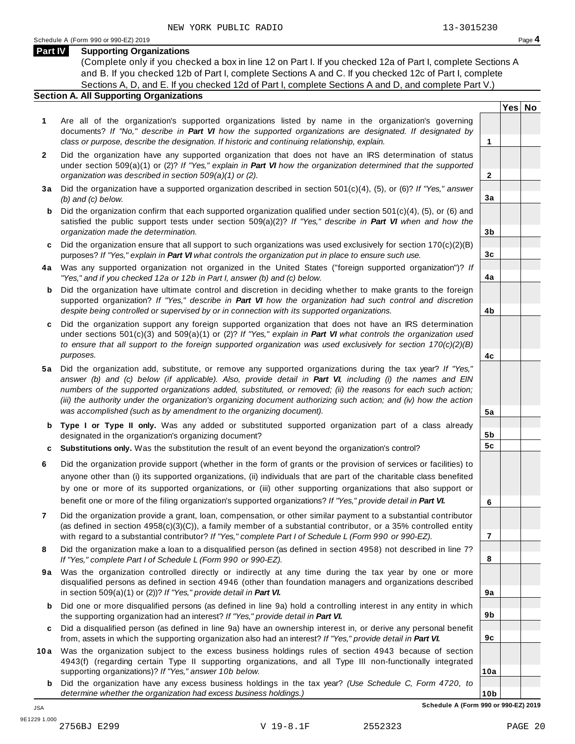#### **Part IV Supporting Organizations**

(Complete only if you checked a box in line 12 on Part I. If you checked 12a of Part I, complete Sections A and B. If you checked 12b of Part I, complete Sections A and C. If you checked 12c of Part I, complete Sections A, D, and E. If you checked 12d of Part I, complete Sections A and D, and complete Part V.)

### **Section A. All Supporting Organizations**

- **1** Are all of the organization's supported organizations listed by name in the organization's governing documents? *If "No," describe in Part VI how the supported organizations are designated. If designated by class or purpose, describe the designation. If historic and continuing relationship, explain.* **1**
- **2** Did the organization have any supported organization that does not have an IRS determination of status under section 509(a)(1) or (2)? *If"Yes," explain in Part VI how the organization determined that the supported organization was described in section 509(a)(1) or (2).*
- **3 a** Did the organization have a supported organization described in section 501(c)(4), (5), or (6)? *If "Yes," answer (b) and (c) below.*
- **b** Did the organization confirm that each supported organization qualified under section 501(c)(4), (5), or (6) and | satisfied the public support tests under section 509(a)(2)? *If "Yes," describe in Part VI when and how the organization made the determination.*
- **c** Did the organization ensure that all support to such organizations was used exclusively for section 170(c)(2)(B) purposes? *If"Yes," explain in Part VI what controls the organization put in place to ensure such use.*
- **4 a** Was any supported organization not organized in the United States ("foreign supported organization")? *If "Yes," and if you checked 12a or 12b in Part I, answer (b) and (c) below.*
- **b** Did the organization have ultimate control and discretion in deciding whether to make grants to the foreign | supported organization? *If "Yes," describe in Part VI how the organization had such control and discretion despite being controlled or supervised by or in connection with its supported organizations.*
- **c** Did the organization support any foreign supported organization that does not have an IRS determination | under sections 501(c)(3) and 509(a)(1) or (2)? *If "Yes," explain in Part VI what controls the organization used to ensure that all support to the foreign supported organization was used exclusively for section 170(c)(2)(B) purposes.*
- **5 a** Did the organization add, substitute, or remove any supported organizations during the tax year? *If "Yes,"* answer (b) and (c) below (if applicable). Also, provide detail in Part VI, including (i) the names and EIN *numbers of the supported organizations added, substituted, or removed; (ii) the reasons for each such action;* (iii) the authority under the organization's organizing document authorizing such action; and (iv) how the action *was accomplished (such as by amendment to the organizing document).*
- **b Type I or Type II only.** Was any added or substituted supported organization part of a class already designated in the organization's organizing document?
- **c Substitutions only.** Was the substitution the result of an event beyond the organization's control?
- **6** Did the organization provide support (whether in the form of grants or the provision of services or facilities) to anyone other than (i) its supported organizations, (ii) individuals that are part of the charitable class benefited by one or more of its supported organizations, or (iii) other supporting organizations that also support or benefit one or more of the filing organization's supported organizations? *If"Yes," provide detail in Part VI.*
- **7** Did the organization provide a grant, loan, compensation, or other similar payment to a substantial contributor (as defined in section 4958(c)(3)(C)), a family member of a substantial contributor, or a 35% controlled entity with regard to a substantial contributor? *If"Yes," complete Part I of Schedule L (Form 990 or 990-EZ).*
- **8** Did the organization make a loan to a disqualified person (as defined in section 4958) not described in line 7? *If "Yes," complete Part I of Schedule L (Form 990 or 990-EZ).*
- **9a** Was the organization controlled directly or indirectly at any time during the tax year by one or more | disqualified persons as defined in section 4946 (other than foundation managers and organizations described in section 509(a)(1) or (2))? *If"Yes," provide detail in Part VI.*
- **b** Did one or more disqualified persons (as defined in line 9a) hold a controlling interest in any entity in which | the supporting organization had an interest? *If"Yes," provide detail in Part VI.*
- **c** Did a disqualified person (as defined in line 9a) have an ownership interest in, or derive any personal benefit from, assets in which the supporting organization also had an interest? *If"Yes," provide detail in Part VI.*
- **10a** Was the organization subject to the excess business holdings rules of section 4943 because of section | 4943(f) (regarding certain Type II supporting organizations, and all Type III non-functionally integrated supporting organizations)? *If"Yes," answer 10b below.*
	- **b** Did the organization have any excess business holdings in the tax year? *(Use Schedule C, Form 4720, to determine whether the organization had excess business holdings.)*

**Yes No**

**2**

**3a**

**3b**

**3c**

**4a**

**4b**

**4c**

**5a**

**5b 5c**

**6**

**7**

**8**

**9a**

**9b**

**9c**

**10a**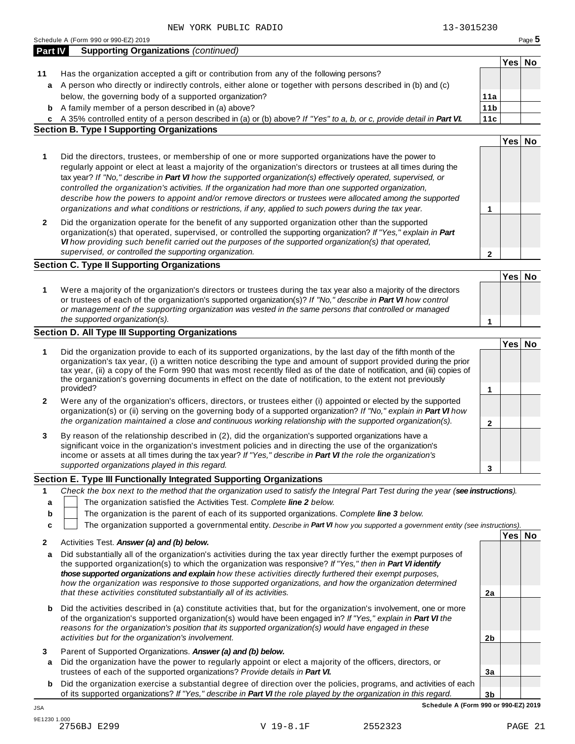|              | Schedule A (Form 990 or 990-EZ) 2019                                                                                                                                                                                                                                                                                                                                                                                                                                                                                                                                                                                                                                         |                 |        | Page 5 |
|--------------|------------------------------------------------------------------------------------------------------------------------------------------------------------------------------------------------------------------------------------------------------------------------------------------------------------------------------------------------------------------------------------------------------------------------------------------------------------------------------------------------------------------------------------------------------------------------------------------------------------------------------------------------------------------------------|-----------------|--------|--------|
| Part IV      | <b>Supporting Organizations (continued)</b>                                                                                                                                                                                                                                                                                                                                                                                                                                                                                                                                                                                                                                  |                 |        |        |
|              |                                                                                                                                                                                                                                                                                                                                                                                                                                                                                                                                                                                                                                                                              |                 | Yes No |        |
| 11           | Has the organization accepted a gift or contribution from any of the following persons?                                                                                                                                                                                                                                                                                                                                                                                                                                                                                                                                                                                      |                 |        |        |
|              | a A person who directly or indirectly controls, either alone or together with persons described in (b) and (c)                                                                                                                                                                                                                                                                                                                                                                                                                                                                                                                                                               |                 |        |        |
|              | below, the governing body of a supported organization?                                                                                                                                                                                                                                                                                                                                                                                                                                                                                                                                                                                                                       | 11a             |        |        |
|              | <b>b</b> A family member of a person described in (a) above?                                                                                                                                                                                                                                                                                                                                                                                                                                                                                                                                                                                                                 | 11 <sub>b</sub> |        |        |
|              | c A 35% controlled entity of a person described in (a) or (b) above? If "Yes" to a, b, or c, provide detail in Part VI.                                                                                                                                                                                                                                                                                                                                                                                                                                                                                                                                                      | 11c             |        |        |
|              | <b>Section B. Type I Supporting Organizations</b>                                                                                                                                                                                                                                                                                                                                                                                                                                                                                                                                                                                                                            |                 |        |        |
|              |                                                                                                                                                                                                                                                                                                                                                                                                                                                                                                                                                                                                                                                                              |                 | Yes No |        |
| 1            | Did the directors, trustees, or membership of one or more supported organizations have the power to<br>regularly appoint or elect at least a majority of the organization's directors or trustees at all times during the<br>tax year? If "No," describe in Part VI how the supported organization(s) effectively operated, supervised, or<br>controlled the organization's activities. If the organization had more than one supported organization,<br>describe how the powers to appoint and/or remove directors or trustees were allocated among the supported<br>organizations and what conditions or restrictions, if any, applied to such powers during the tax year. | 1               |        |        |
| 2            | Did the organization operate for the benefit of any supported organization other than the supported<br>organization(s) that operated, supervised, or controlled the supporting organization? If "Yes," explain in Part<br>VI how providing such benefit carried out the purposes of the supported organization(s) that operated,<br>supervised, or controlled the supporting organization.                                                                                                                                                                                                                                                                                   | $\mathbf{2}$    |        |        |
|              | <b>Section C. Type II Supporting Organizations</b>                                                                                                                                                                                                                                                                                                                                                                                                                                                                                                                                                                                                                           |                 |        |        |
|              |                                                                                                                                                                                                                                                                                                                                                                                                                                                                                                                                                                                                                                                                              |                 | Yes No |        |
| 1            | Were a majority of the organization's directors or trustees during the tax year also a majority of the directors<br>or trustees of each of the organization's supported organization(s)? If "No," describe in Part VI how control<br>or management of the supporting organization was vested in the same persons that controlled or managed                                                                                                                                                                                                                                                                                                                                  |                 |        |        |
|              | the supported organization(s).                                                                                                                                                                                                                                                                                                                                                                                                                                                                                                                                                                                                                                               | 1               |        |        |
|              | <b>Section D. All Type III Supporting Organizations</b>                                                                                                                                                                                                                                                                                                                                                                                                                                                                                                                                                                                                                      |                 |        |        |
| 1            | Did the organization provide to each of its supported organizations, by the last day of the fifth month of the<br>organization's tax year, (i) a written notice describing the type and amount of support provided during the prior<br>tax year, (ii) a copy of the Form 990 that was most recently filed as of the date of notification, and (iii) copies of<br>the organization's governing documents in effect on the date of notification, to the extent not previously<br>provided?                                                                                                                                                                                     | 1               | Yes No |        |
| $\mathbf{2}$ | Were any of the organization's officers, directors, or trustees either (i) appointed or elected by the supported<br>organization(s) or (ii) serving on the governing body of a supported organization? If "No," explain in Part VI how<br>the organization maintained a close and continuous working relationship with the supported organization(s).                                                                                                                                                                                                                                                                                                                        | $\mathbf{2}$    |        |        |
| 3            | By reason of the relationship described in (2), did the organization's supported organizations have a<br>significant voice in the organization's investment policies and in directing the use of the organization's<br>income or assets at all times during the tax year? If "Yes," describe in Part VI the role the organization's<br>supported organizations played in this regard.                                                                                                                                                                                                                                                                                        | 3               |        |        |
|              | Section E. Type III Functionally Integrated Supporting Organizations                                                                                                                                                                                                                                                                                                                                                                                                                                                                                                                                                                                                         |                 |        |        |
| 1            | Check the box next to the method that the organization used to satisfy the Integral Part Test during the year (see instructions).                                                                                                                                                                                                                                                                                                                                                                                                                                                                                                                                            |                 |        |        |
| a            | The organization satisfied the Activities Test. Complete line 2 below.                                                                                                                                                                                                                                                                                                                                                                                                                                                                                                                                                                                                       |                 |        |        |
| b            | The organization is the parent of each of its supported organizations. Complete line 3 below.                                                                                                                                                                                                                                                                                                                                                                                                                                                                                                                                                                                |                 |        |        |
| C            | The organization supported a governmental entity. Describe in Part VI how you supported a government entity (see instructions).                                                                                                                                                                                                                                                                                                                                                                                                                                                                                                                                              |                 |        |        |
|              |                                                                                                                                                                                                                                                                                                                                                                                                                                                                                                                                                                                                                                                                              |                 | Yes No |        |
| 2            | Activities Test. Answer (a) and (b) below.                                                                                                                                                                                                                                                                                                                                                                                                                                                                                                                                                                                                                                   |                 |        |        |
| a            | Did substantially all of the organization's activities during the tax year directly further the exempt purposes of<br>the supported organization(s) to which the organization was responsive? If "Yes," then in Part VI identify<br>those supported organizations and explain how these activities directly furthered their exempt purposes,<br>how the organization was responsive to those supported organizations, and how the organization determined                                                                                                                                                                                                                    |                 |        |        |
|              | that these activities constituted substantially all of its activities.                                                                                                                                                                                                                                                                                                                                                                                                                                                                                                                                                                                                       | 2a              |        |        |
| b            | Did the activities described in (a) constitute activities that, but for the organization's involvement, one or more<br>of the organization's supported organization(s) would have been engaged in? If "Yes," explain in Part VI the<br>reasons for the organization's position that its supported organization(s) would have engaged in these                                                                                                                                                                                                                                                                                                                                |                 |        |        |
|              | activities but for the organization's involvement.                                                                                                                                                                                                                                                                                                                                                                                                                                                                                                                                                                                                                           | 2 <sub>b</sub>  |        |        |
| 3            | Parent of Supported Organizations. Answer (a) and (b) below.                                                                                                                                                                                                                                                                                                                                                                                                                                                                                                                                                                                                                 |                 |        |        |
| a            | Did the organization have the power to regularly appoint or elect a majority of the officers, directors, or<br>trustees of each of the supported organizations? Provide details in Part VI.                                                                                                                                                                                                                                                                                                                                                                                                                                                                                  | 3a              |        |        |

**b** Did the organization exercise a substantial degree of direction over the policies, programs, and activities of each of its supported organizations? *If"Yes," describe in Part VI the role played by the organization in this regard.*

JSA 9E1230 1.000 2756BJ E299 V 19-8.1F 2552323 PAGE 21

**3b**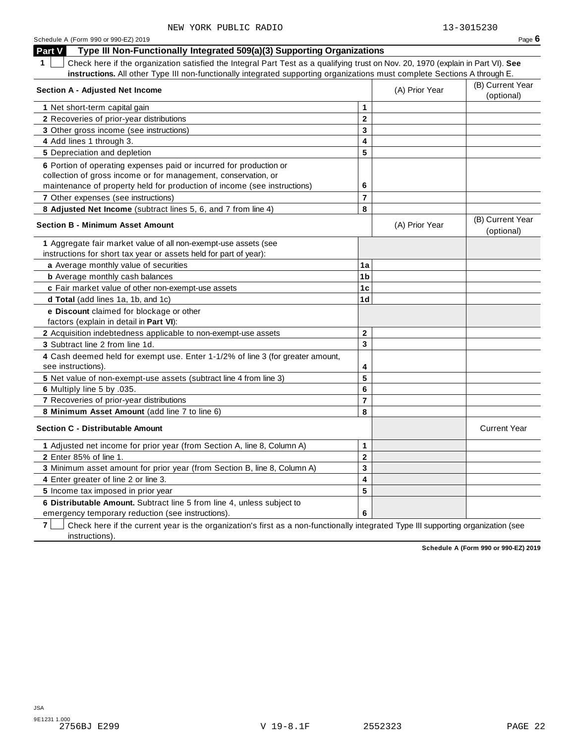| Part V<br>Type III Non-Functionally Integrated 509(a)(3) Supporting Organizations                                                                                                                                |                         |                                |                                |
|------------------------------------------------------------------------------------------------------------------------------------------------------------------------------------------------------------------|-------------------------|--------------------------------|--------------------------------|
| Check here if the organization satisfied the Integral Part Test as a qualifying trust on Nov. 20, 1970 (explain in Part VI). See                                                                                 |                         |                                |                                |
| instructions. All other Type III non-functionally integrated supporting organizations must complete Sections A through E.                                                                                        |                         |                                |                                |
| <b>Section A - Adjusted Net Income</b>                                                                                                                                                                           | (A) Prior Year          | (B) Current Year<br>(optional) |                                |
| 1 Net short-term capital gain                                                                                                                                                                                    | $\mathbf{1}$            |                                |                                |
| 2 Recoveries of prior-year distributions                                                                                                                                                                         | $\mathbf{2}$            |                                |                                |
| 3 Other gross income (see instructions)                                                                                                                                                                          | 3                       |                                |                                |
| 4 Add lines 1 through 3.                                                                                                                                                                                         | 4                       |                                |                                |
| 5 Depreciation and depletion                                                                                                                                                                                     | 5                       |                                |                                |
| 6 Portion of operating expenses paid or incurred for production or<br>collection of gross income or for management, conservation, or<br>maintenance of property held for production of income (see instructions) | 6                       |                                |                                |
| 7 Other expenses (see instructions)                                                                                                                                                                              | $\overline{7}$          |                                |                                |
| 8 Adjusted Net Income (subtract lines 5, 6, and 7 from line 4)                                                                                                                                                   | 8                       |                                |                                |
| <b>Section B - Minimum Asset Amount</b>                                                                                                                                                                          |                         | (A) Prior Year                 | (B) Current Year<br>(optional) |
| 1 Aggregate fair market value of all non-exempt-use assets (see<br>instructions for short tax year or assets held for part of year):                                                                             |                         |                                |                                |
| a Average monthly value of securities                                                                                                                                                                            | 1a                      |                                |                                |
| <b>b</b> Average monthly cash balances                                                                                                                                                                           | 1 <sub>b</sub>          |                                |                                |
| c Fair market value of other non-exempt-use assets                                                                                                                                                               | 1 <sub>c</sub>          |                                |                                |
| d Total (add lines 1a, 1b, and 1c)                                                                                                                                                                               | 1 <sub>d</sub>          |                                |                                |
| e Discount claimed for blockage or other<br>factors (explain in detail in Part VI):                                                                                                                              |                         |                                |                                |
| 2 Acquisition indebtedness applicable to non-exempt-use assets                                                                                                                                                   | $\mathbf{2}$            |                                |                                |
| 3 Subtract line 2 from line 1d.                                                                                                                                                                                  | 3                       |                                |                                |
| 4 Cash deemed held for exempt use. Enter 1-1/2% of line 3 (for greater amount,<br>see instructions).                                                                                                             | 4                       |                                |                                |
| 5 Net value of non-exempt-use assets (subtract line 4 from line 3)                                                                                                                                               | 5                       |                                |                                |
| 6 Multiply line 5 by .035.                                                                                                                                                                                       | 6                       |                                |                                |
| 7 Recoveries of prior-year distributions                                                                                                                                                                         | $\overline{7}$          |                                |                                |
| 8 Minimum Asset Amount (add line 7 to line 6)                                                                                                                                                                    | 8                       |                                |                                |
| <b>Section C - Distributable Amount</b>                                                                                                                                                                          |                         |                                | <b>Current Year</b>            |
| 1 Adjusted net income for prior year (from Section A, line 8, Column A)                                                                                                                                          | $\mathbf{1}$            |                                |                                |
| <b>2</b> Enter 85% of line 1.                                                                                                                                                                                    | $\overline{2}$          |                                |                                |
| 3 Minimum asset amount for prior year (from Section B, line 8, Column A)                                                                                                                                         | 3                       |                                |                                |
| 4 Enter greater of line 2 or line 3.                                                                                                                                                                             | $\overline{\mathbf{4}}$ |                                |                                |
| 5 Income tax imposed in prior year                                                                                                                                                                               | 5                       |                                |                                |
| 6 Distributable Amount. Subtract line 5 from line 4, unless subject to<br>emergency temporary reduction (see instructions).                                                                                      | 6                       |                                |                                |

**7 Check here if the current year is the organization's first as a non-functionally integrated Type III supporting organization (see** instructions).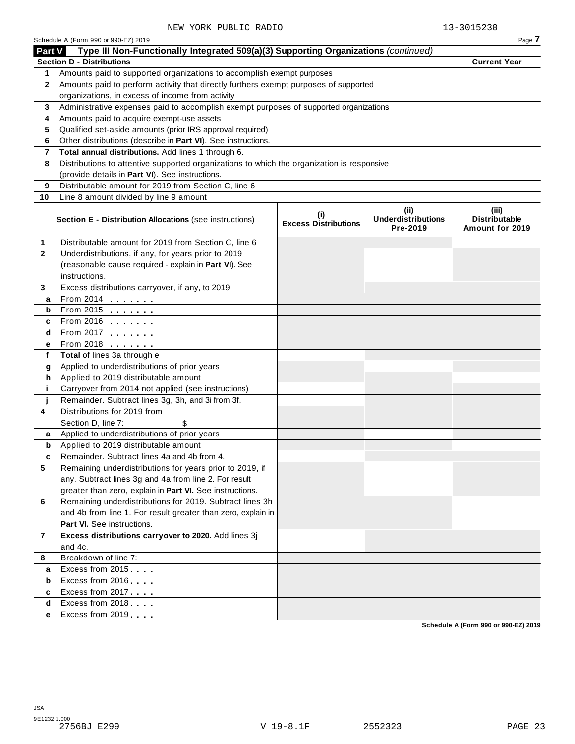|               | Schedule A (Form 990 or 990-EZ) 2019                                                       |                                    |                                               | Page 7                                           |
|---------------|--------------------------------------------------------------------------------------------|------------------------------------|-----------------------------------------------|--------------------------------------------------|
| <b>Part V</b> | Type III Non-Functionally Integrated 509(a)(3) Supporting Organizations (continued)        |                                    |                                               |                                                  |
|               | <b>Section D - Distributions</b>                                                           |                                    |                                               | <b>Current Year</b>                              |
| 1.            | Amounts paid to supported organizations to accomplish exempt purposes                      |                                    |                                               |                                                  |
| $\mathbf{2}$  | Amounts paid to perform activity that directly furthers exempt purposes of supported       |                                    |                                               |                                                  |
|               | organizations, in excess of income from activity                                           |                                    |                                               |                                                  |
| 3             | Administrative expenses paid to accomplish exempt purposes of supported organizations      |                                    |                                               |                                                  |
| 4             | Amounts paid to acquire exempt-use assets                                                  |                                    |                                               |                                                  |
| 5             | Qualified set-aside amounts (prior IRS approval required)                                  |                                    |                                               |                                                  |
| 6             | Other distributions (describe in Part VI). See instructions.                               |                                    |                                               |                                                  |
| 7             | Total annual distributions. Add lines 1 through 6.                                         |                                    |                                               |                                                  |
| 8             | Distributions to attentive supported organizations to which the organization is responsive |                                    |                                               |                                                  |
|               | (provide details in Part VI). See instructions.                                            |                                    |                                               |                                                  |
| 9             | Distributable amount for 2019 from Section C, line 6                                       |                                    |                                               |                                                  |
| 10            | Line 8 amount divided by line 9 amount                                                     |                                    |                                               |                                                  |
|               | <b>Section E - Distribution Allocations (see instructions)</b>                             | (i)<br><b>Excess Distributions</b> | (ii)<br><b>Underdistributions</b><br>Pre-2019 | (iii)<br><b>Distributable</b><br>Amount for 2019 |
| 1             | Distributable amount for 2019 from Section C, line 6                                       |                                    |                                               |                                                  |
| $\mathbf{2}$  | Underdistributions, if any, for years prior to 2019                                        |                                    |                                               |                                                  |
|               | (reasonable cause required - explain in Part VI). See                                      |                                    |                                               |                                                  |
|               | instructions.                                                                              |                                    |                                               |                                                  |
| 3             | Excess distributions carryover, if any, to 2019                                            |                                    |                                               |                                                  |
| а             | From 2014                                                                                  |                                    |                                               |                                                  |
| b             | From 2015                                                                                  |                                    |                                               |                                                  |
| c             | From 2016 $\qquad \qquad \qquad$                                                           |                                    |                                               |                                                  |
| d             | From 2017 $\qquad \qquad \qquad$                                                           |                                    |                                               |                                                  |
| е             | From 2018                                                                                  |                                    |                                               |                                                  |
| f             | Total of lines 3a through e                                                                |                                    |                                               |                                                  |
| g             | Applied to underdistributions of prior years                                               |                                    |                                               |                                                  |
| h             | Applied to 2019 distributable amount                                                       |                                    |                                               |                                                  |
| j.            | Carryover from 2014 not applied (see instructions)                                         |                                    |                                               |                                                  |
|               | Remainder. Subtract lines 3g, 3h, and 3i from 3f.                                          |                                    |                                               |                                                  |
| 4             | Distributions for 2019 from                                                                |                                    |                                               |                                                  |
|               | Section D, line 7:<br>\$                                                                   |                                    |                                               |                                                  |
| a             | Applied to underdistributions of prior years                                               |                                    |                                               |                                                  |
| b             | Applied to 2019 distributable amount                                                       |                                    |                                               |                                                  |
|               | Remainder. Subtract lines 4a and 4b from 4.                                                |                                    |                                               |                                                  |
| 5             | Remaining underdistributions for years prior to 2019, if                                   |                                    |                                               |                                                  |
|               | any. Subtract lines 3g and 4a from line 2. For result                                      |                                    |                                               |                                                  |
|               | greater than zero, explain in Part VI. See instructions.                                   |                                    |                                               |                                                  |
| 6             | Remaining underdistributions for 2019. Subtract lines 3h                                   |                                    |                                               |                                                  |
|               | and 4b from line 1. For result greater than zero, explain in                               |                                    |                                               |                                                  |
|               | Part VI. See instructions.                                                                 |                                    |                                               |                                                  |
| $\mathbf{7}$  | Excess distributions carryover to 2020. Add lines 3j                                       |                                    |                                               |                                                  |
|               | and 4c.                                                                                    |                                    |                                               |                                                  |
| 8             | Breakdown of line 7:                                                                       |                                    |                                               |                                                  |
| a             | Excess from 2015                                                                           |                                    |                                               |                                                  |
| b             | Excess from 2016                                                                           |                                    |                                               |                                                  |
| c             | Excess from 2017                                                                           |                                    |                                               |                                                  |
| d             | Excess from 2018                                                                           |                                    |                                               |                                                  |
| е             | Excess from 2019                                                                           |                                    |                                               |                                                  |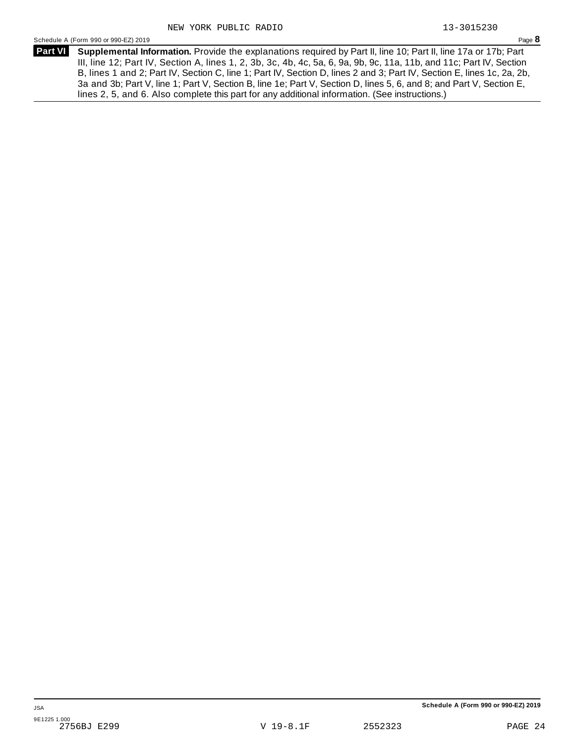Schedule <sup>A</sup> (Form <sup>990</sup> or 990-EZ) <sup>2019</sup> Page **8**

**Supplemental Information.** Provide the explanations required by Part II, line 10; Part II, line 17a or 17b; Part **Part VI** III, line 12; Part IV, Section A, lines 1, 2, 3b, 3c, 4b, 4c, 5a, 6, 9a, 9b, 9c, 11a, 11b, and 11c; Part IV, Section B, lines 1 and 2; Part IV, Section C, line 1; Part IV, Section D, lines 2 and 3; Part IV, Section E, lines 1c, 2a, 2b, 3a and 3b; Part V, line 1; Part V, Section B, line 1e; Part V, Section D, lines 5, 6, and 8; and Part V, Section E, lines 2, 5, and 6. Also complete this part for any additional information. (See instructions.)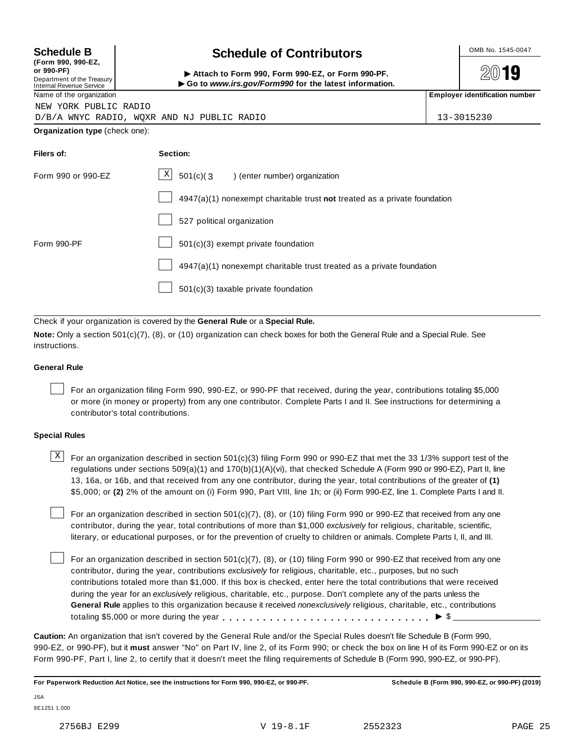| <b>Schedule B</b>                                                           | <b>Schedule of Contributors</b>                                                                                                 | OMB No. 1545-0047                     |  |  |  |
|-----------------------------------------------------------------------------|---------------------------------------------------------------------------------------------------------------------------------|---------------------------------------|--|--|--|
| or 990-PF)<br>Department of the Treasury<br><b>Internal Revenue Service</b> | (Form 990, 990-EZ,<br>Attach to Form 990, Form 990-EZ, or Form 990-PF.<br>Go to www.irs.gov/Form990 for the latest information. |                                       |  |  |  |
| Name of the organization                                                    |                                                                                                                                 | <b>Employer identification number</b> |  |  |  |
| NEW YORK PUBLIC RADIO                                                       |                                                                                                                                 |                                       |  |  |  |
|                                                                             | D/B/A WNYC RADIO, WOXR AND NJ PUBLIC RADIO                                                                                      | 13-3015230                            |  |  |  |
| Organization type (check one):                                              |                                                                                                                                 |                                       |  |  |  |
| Filers of:                                                                  | Section:                                                                                                                        |                                       |  |  |  |
| Form 990 or 990-EZ                                                          | X<br>$501(c)$ $(3$<br>) (enter number) organization                                                                             |                                       |  |  |  |
| $4947(a)(1)$ nonexempt charitable trust not treated as a private foundation |                                                                                                                                 |                                       |  |  |  |
|                                                                             | 527 political organization                                                                                                      |                                       |  |  |  |
| Form 990-PF                                                                 | 501(c)(3) exempt private foundation                                                                                             |                                       |  |  |  |

4947(a)(1) nonexempt charitable trust treated as a private foundation

501(c)(3) taxable private foundation

Check if your organization is covered by the **General Rule** or a **Special Rule.**

**Note:** Only a section 501(c)(7), (8), or (10) organization can check boxes for both the General Rule and a Special Rule. See instructions.

#### **General Rule**

For an organization filing Form 990, 990-EZ, or 990-PF that received, during the year, contributions totaling \$5,000 or more (in money or property) from any one contributor. Complete Parts I and II. See instructions for determining a contributor's total contributions.

#### **Special Rules**

 $\text{X}$  For an organization described in section 501(c)(3) filing Form 990 or 990-EZ that met the 33 1/3% support test of the regulations under sections 509(a)(1) and 170(b)(1)(A)(vi), that checked Schedule A (Form 990 or 990-EZ), Part II, line 13, 16a, or 16b, and that received from any one contributor, during the year, total contributions of the greater of **(1)** \$5,000; or **(2)** 2% of the amount on (i) Form 990, Part VIII, line 1h; or (ii) Form 990-EZ, line 1. Complete Parts I and II.

For an organization described in section 501(c)(7), (8), or (10) filing Form 990 or 990-EZ that received from any one contributor, during the year, total contributions of more than \$1,000 *exclusively* for religious, charitable, scientific, literary, or educational purposes, or for the prevention of cruelty to children or animals. Complete Parts I, II, and III.

For an organization described in section 501(c)(7), (8), or (10) filing Form 990 or 990-EZ that received from any one contributor, during the year, contributions *exclusively* for religious, charitable, etc., purposes, but no such contributions totaled more than \$1,000. If this box is checked, enter here the total contributions that were received during the year for an *exclusively* religious, charitable, etc., purpose. Don't complete any of the parts unless the **General Rule** applies to this organization because it received *nonexclusively* religious, charitable, etc., contributions totaling \$5,000 or more during the year m m m m m m m m m m m m m m m m m m m m m m m m m m m m m m m I \$

**Caution:** An organization that isn't covered by the General Rule and/or the Special Rules doesn't file Schedule B (Form 990, 990-EZ, or 990-PF), but it **must** answer "No" on Part IV, line 2, of its Form 990; or check the box on line H of its Form 990-EZ or on its Form 990-PF, Part I, line 2, to certify that it doesn't meet the filing requirements of Schedule B (Form 990, 990-EZ, or 990-PF).

For Paperwork Reduction Act Notice, see the instructions for Form 990, 990-EZ, or 990-PF. Schedule B (Form 990, 990-EZ, or 990-PF) (2019)

JSA 9E1251 1.000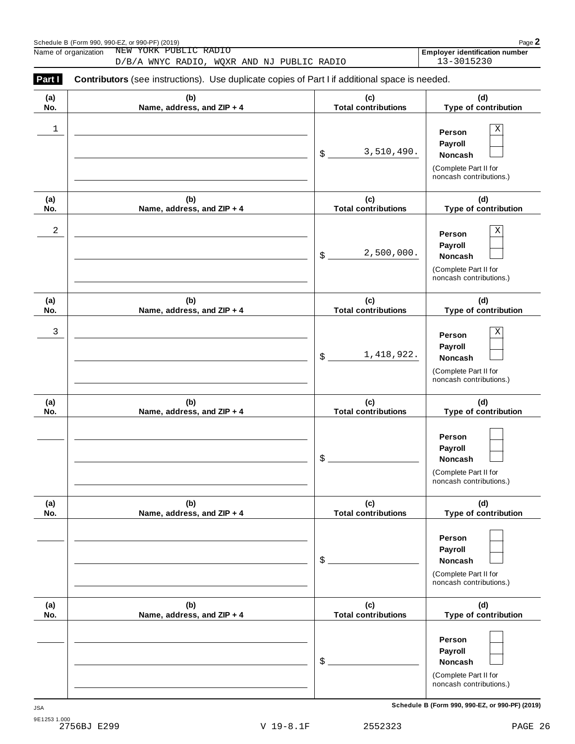|            | Schedule B (Form 990, 990-EZ, or 990-PF) (2019)<br>NEW YORK PUBLIC RADIO<br>Name of organization                                                    |                                   | Page 2<br>Employer identification number                                                        |
|------------|-----------------------------------------------------------------------------------------------------------------------------------------------------|-----------------------------------|-------------------------------------------------------------------------------------------------|
| Part I     | D/B/A WNYC RADIO, WQXR AND NJ PUBLIC RADIO<br><b>Contributors</b> (see instructions). Use duplicate copies of Part I if additional space is needed. |                                   | 13-3015230                                                                                      |
| (a)<br>No. | (b)<br>Name, address, and ZIP + 4                                                                                                                   | (c)<br><b>Total contributions</b> | (d)<br>Type of contribution                                                                     |
| 1          |                                                                                                                                                     | 3,510,490.<br>$\frac{1}{2}$       | $\mathbf X$<br>Person<br>Payroll<br>Noncash<br>(Complete Part II for<br>noncash contributions.) |
| (a)<br>No. | (b)<br>Name, address, and ZIP + 4                                                                                                                   | (c)<br><b>Total contributions</b> | (d)<br>Type of contribution                                                                     |
| 2          |                                                                                                                                                     | 2,500,000.<br>\$                  | $\mathbf X$<br>Person<br>Payroll<br>Noncash<br>(Complete Part II for<br>noncash contributions.) |
| (a)<br>No. | (b)<br>Name, address, and ZIP + 4                                                                                                                   | (c)<br><b>Total contributions</b> | (d)<br>Type of contribution                                                                     |
| 3          |                                                                                                                                                     | 1,418,922.<br>$\$\,$              | $\mathbf X$<br>Person<br>Payroll<br>Noncash<br>(Complete Part II for<br>noncash contributions.) |
| (a)<br>No. | (b)<br>Name, address, and ZIP + 4                                                                                                                   | (c)<br><b>Total contributions</b> | (d)<br>Type of contribution                                                                     |
|            |                                                                                                                                                     | \$                                | Person<br>Payroll<br><b>Noncash</b><br>(Complete Part II for<br>noncash contributions.)         |
| (a)<br>No. | (b)<br>Name, address, and ZIP + 4                                                                                                                   | (c)<br><b>Total contributions</b> | (d)<br>Type of contribution                                                                     |
|            |                                                                                                                                                     | $$^{\circ}$                       | Person<br>Payroll<br>Noncash<br>(Complete Part II for<br>noncash contributions.)                |
| (a)<br>No. | (b)<br>Name, address, and ZIP + 4                                                                                                                   | (c)<br><b>Total contributions</b> | (d)<br>Type of contribution                                                                     |
|            |                                                                                                                                                     | $\frac{1}{2}$                     | Person<br>Payroll<br>Noncash<br>(Complete Part II for<br>noncash contributions.)                |

**Schedule B (Form 990, 990-EZ, or 990-PF) (2019)** JSA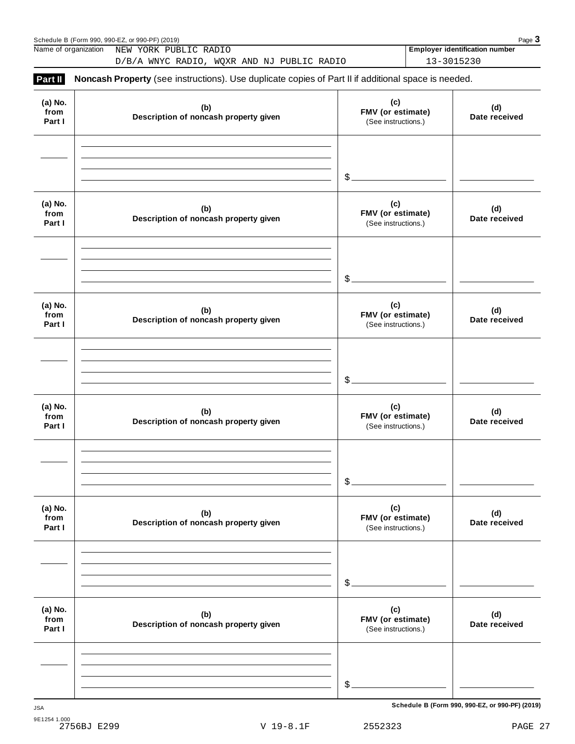|                           | Schedule B (Form 990, 990-EZ, or 990-PF) (2019)                                                     |                                                 | Page 3                                              |
|---------------------------|-----------------------------------------------------------------------------------------------------|-------------------------------------------------|-----------------------------------------------------|
|                           | Name of organization NEW YORK PUBLIC RADIO<br>D/B/A WNYC RADIO, WQXR AND NJ PUBLIC RADIO            |                                                 | <b>Employer identification number</b><br>13-3015230 |
| Part II                   | Noncash Property (see instructions). Use duplicate copies of Part II if additional space is needed. |                                                 |                                                     |
| (a) No.<br>from<br>Part I | (b)<br>Description of noncash property given                                                        | (c)<br>FMV (or estimate)<br>(See instructions.) | (d)<br>Date received                                |
|                           |                                                                                                     |                                                 |                                                     |
|                           |                                                                                                     | $$$ .                                           |                                                     |
| (a) No.<br>from<br>Part I | (b)<br>Description of noncash property given                                                        | (c)<br>FMV (or estimate)<br>(See instructions.) | (d)<br>Date received                                |
|                           |                                                                                                     |                                                 |                                                     |
|                           |                                                                                                     | $$$ .                                           |                                                     |
| (a) No.<br>from<br>Part I | (b)<br>Description of noncash property given                                                        | (c)<br>FMV (or estimate)<br>(See instructions.) | (d)<br>Date received                                |
|                           |                                                                                                     |                                                 |                                                     |
|                           |                                                                                                     | $$$ .                                           |                                                     |
| (a) No.<br>from<br>Part I | (b)<br>Description of noncash property given                                                        | (c)<br>FMV (or estimate)<br>(See instructions.) | (d)<br>Date received                                |
|                           |                                                                                                     |                                                 |                                                     |
|                           |                                                                                                     | \$                                              |                                                     |
| (a) No.<br>from<br>Part I | (b)<br>Description of noncash property given                                                        | (c)<br>FMV (or estimate)<br>(See instructions.) | (d)<br>Date received                                |
|                           |                                                                                                     |                                                 |                                                     |
|                           |                                                                                                     | \$                                              |                                                     |
| (a) No.<br>from<br>Part I | (b)<br>Description of noncash property given                                                        | (c)<br>FMV (or estimate)<br>(See instructions.) | (d)<br>Date received                                |
|                           |                                                                                                     |                                                 |                                                     |
|                           |                                                                                                     | \$                                              |                                                     |
|                           |                                                                                                     |                                                 |                                                     |

**Schedule B (Form 990, 990-EZ, or 990-PF) (2019)** JSA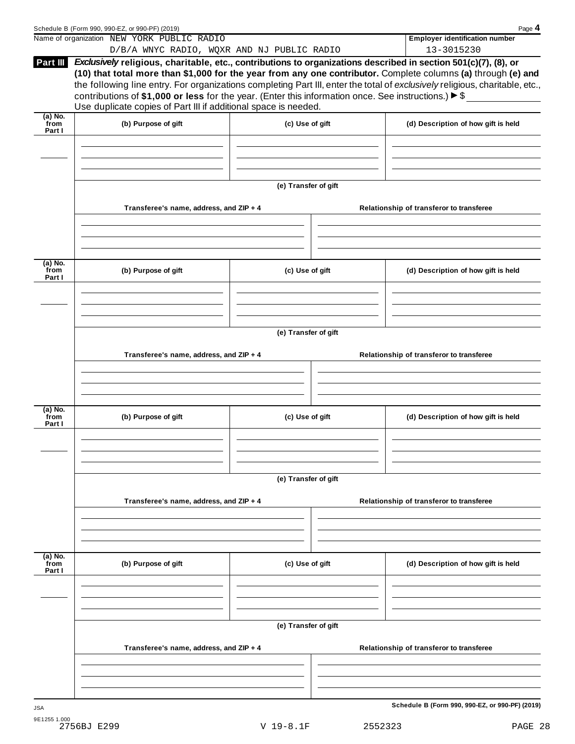|                             | Schedule B (Form 990, 990-EZ, or 990-PF) (2019)                                                                                                                                                                                                                                                                                                              |                      |                 | Page 4                                                                                                                                                                                                                                        |  |  |  |
|-----------------------------|--------------------------------------------------------------------------------------------------------------------------------------------------------------------------------------------------------------------------------------------------------------------------------------------------------------------------------------------------------------|----------------------|-----------------|-----------------------------------------------------------------------------------------------------------------------------------------------------------------------------------------------------------------------------------------------|--|--|--|
|                             | Name of organization NEW YORK PUBLIC RADIO                                                                                                                                                                                                                                                                                                                   |                      |                 | <b>Employer identification number</b><br>13-3015230                                                                                                                                                                                           |  |  |  |
| Part III                    | D/B/A WNYC RADIO, WQXR AND NJ PUBLIC RADIO<br>Exclusively religious, charitable, etc., contributions to organizations described in section 501(c)(7), (8), or<br>contributions of \$1,000 or less for the year. (Enter this information once. See instructions.) $\blacktriangleright$ \$<br>Use duplicate copies of Part III if additional space is needed. |                      |                 | (10) that total more than \$1,000 for the year from any one contributor. Complete columns (a) through (e) and<br>the following line entry. For organizations completing Part III, enter the total of exclusively religious, charitable, etc., |  |  |  |
| $(a)$ No.<br>from<br>Part I | (b) Purpose of gift                                                                                                                                                                                                                                                                                                                                          | (c) Use of gift      |                 | (d) Description of how gift is held                                                                                                                                                                                                           |  |  |  |
|                             |                                                                                                                                                                                                                                                                                                                                                              |                      |                 |                                                                                                                                                                                                                                               |  |  |  |
|                             | (e) Transfer of gift                                                                                                                                                                                                                                                                                                                                         |                      |                 |                                                                                                                                                                                                                                               |  |  |  |
|                             | Transferee's name, address, and ZIP + 4                                                                                                                                                                                                                                                                                                                      |                      |                 | Relationship of transferor to transferee                                                                                                                                                                                                      |  |  |  |
| $(a)$ No.<br>from<br>Part I | (b) Purpose of gift                                                                                                                                                                                                                                                                                                                                          | (c) Use of gift      |                 | (d) Description of how gift is held                                                                                                                                                                                                           |  |  |  |
|                             |                                                                                                                                                                                                                                                                                                                                                              |                      |                 |                                                                                                                                                                                                                                               |  |  |  |
|                             | (e) Transfer of gift                                                                                                                                                                                                                                                                                                                                         |                      |                 |                                                                                                                                                                                                                                               |  |  |  |
|                             | Transferee's name, address, and ZIP + 4                                                                                                                                                                                                                                                                                                                      |                      |                 | Relationship of transferor to transferee                                                                                                                                                                                                      |  |  |  |
| $(a)$ No.<br>from<br>Part I | (b) Purpose of gift                                                                                                                                                                                                                                                                                                                                          |                      | (c) Use of gift | (d) Description of how gift is held                                                                                                                                                                                                           |  |  |  |
|                             |                                                                                                                                                                                                                                                                                                                                                              |                      |                 |                                                                                                                                                                                                                                               |  |  |  |
|                             | (e) Transfer of gift                                                                                                                                                                                                                                                                                                                                         |                      |                 |                                                                                                                                                                                                                                               |  |  |  |
|                             | Transferee's name, address, and ZIP + 4                                                                                                                                                                                                                                                                                                                      |                      |                 | Relationship of transferor to transferee                                                                                                                                                                                                      |  |  |  |
| (a) No.<br>from             | (b) Purpose of gift                                                                                                                                                                                                                                                                                                                                          | (c) Use of gift      |                 | (d) Description of how gift is held                                                                                                                                                                                                           |  |  |  |
| Part I                      |                                                                                                                                                                                                                                                                                                                                                              |                      |                 |                                                                                                                                                                                                                                               |  |  |  |
|                             |                                                                                                                                                                                                                                                                                                                                                              | (e) Transfer of gift |                 |                                                                                                                                                                                                                                               |  |  |  |
|                             | Transferee's name, address, and ZIP + 4                                                                                                                                                                                                                                                                                                                      |                      |                 | Relationship of transferor to transferee                                                                                                                                                                                                      |  |  |  |
|                             |                                                                                                                                                                                                                                                                                                                                                              |                      |                 |                                                                                                                                                                                                                                               |  |  |  |
|                             |                                                                                                                                                                                                                                                                                                                                                              |                      |                 | Schedule B (Form 990, 990-EZ, or 990-PF) (2019)                                                                                                                                                                                               |  |  |  |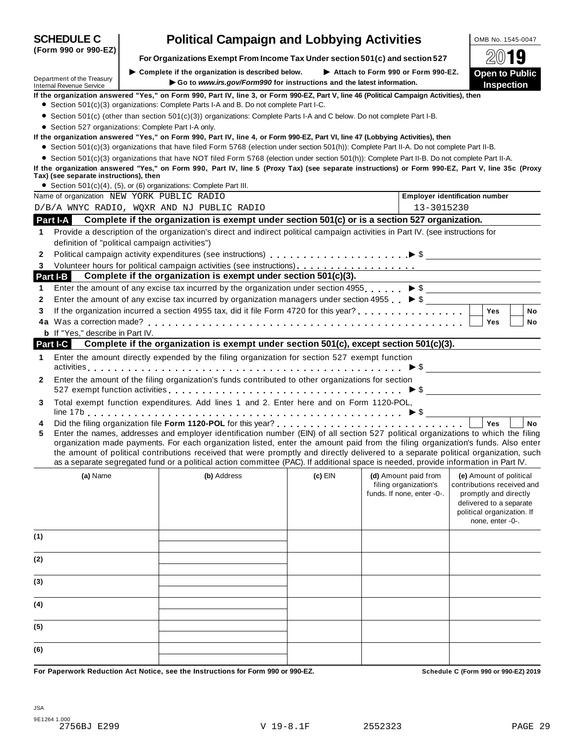|              | <b>Political Campaign and Lobbying Activities</b><br><b>SCHEDULE C</b>                                                                                                                                                                                                                                                                                                                                                                                                                                                                                                   |  |                                                                                                                                                  |           |  |                                                     | OMB No. 1545-0047 |                                                                                                                                  |    |  |  |
|--------------|--------------------------------------------------------------------------------------------------------------------------------------------------------------------------------------------------------------------------------------------------------------------------------------------------------------------------------------------------------------------------------------------------------------------------------------------------------------------------------------------------------------------------------------------------------------------------|--|--------------------------------------------------------------------------------------------------------------------------------------------------|-----------|--|-----------------------------------------------------|-------------------|----------------------------------------------------------------------------------------------------------------------------------|----|--|--|
|              | (Form 990 or 990-EZ)                                                                                                                                                                                                                                                                                                                                                                                                                                                                                                                                                     |  | For Organizations Exempt From Income Tax Under section 501(c) and section 527                                                                    |           |  |                                                     |                   |                                                                                                                                  | 19 |  |  |
|              | Department of the Treasury<br><b>Internal Revenue Service</b>                                                                                                                                                                                                                                                                                                                                                                                                                                                                                                            |  | Complete if the organization is described below.<br>Go to www.irs.gov/Form990 for instructions and the latest information.                       |           |  | Attach to Form 990 or Form 990-EZ.                  |                   | <b>Open to Public</b><br><b>Inspection</b>                                                                                       |    |  |  |
|              | If the organization answered "Yes," on Form 990, Part IV, line 3, or Form 990-EZ, Part V, line 46 (Political Campaign Activities), then<br>• Section 501(c)(3) organizations: Complete Parts I-A and B. Do not complete Part I-C.                                                                                                                                                                                                                                                                                                                                        |  |                                                                                                                                                  |           |  |                                                     |                   |                                                                                                                                  |    |  |  |
|              |                                                                                                                                                                                                                                                                                                                                                                                                                                                                                                                                                                          |  |                                                                                                                                                  |           |  |                                                     |                   |                                                                                                                                  |    |  |  |
|              | • Section 501(c) (other than section 501(c)(3)) organizations: Complete Parts I-A and C below. Do not complete Part I-B.<br>• Section 527 organizations: Complete Part I-A only.                                                                                                                                                                                                                                                                                                                                                                                         |  |                                                                                                                                                  |           |  |                                                     |                   |                                                                                                                                  |    |  |  |
|              |                                                                                                                                                                                                                                                                                                                                                                                                                                                                                                                                                                          |  | If the organization answered "Yes," on Form 990, Part IV, line 4, or Form 990-EZ, Part VI, line 47 (Lobbying Activities), then                   |           |  |                                                     |                   |                                                                                                                                  |    |  |  |
|              |                                                                                                                                                                                                                                                                                                                                                                                                                                                                                                                                                                          |  | • Section 501(c)(3) organizations that have filed Form 5768 (election under section 501(h)): Complete Part II-A. Do not complete Part II-B.      |           |  |                                                     |                   |                                                                                                                                  |    |  |  |
|              |                                                                                                                                                                                                                                                                                                                                                                                                                                                                                                                                                                          |  | • Section 501(c)(3) organizations that have NOT filed Form 5768 (election under section 501(h)): Complete Part II-B. Do not complete Part II-A.  |           |  |                                                     |                   |                                                                                                                                  |    |  |  |
|              | Tax) (see separate instructions), then                                                                                                                                                                                                                                                                                                                                                                                                                                                                                                                                   |  | If the organization answered "Yes," on Form 990, Part IV, line 5 (Proxy Tax) (see separate instructions) or Form 990-EZ, Part V, line 35c (Proxy |           |  |                                                     |                   |                                                                                                                                  |    |  |  |
|              |                                                                                                                                                                                                                                                                                                                                                                                                                                                                                                                                                                          |  | • Section $501(c)(4)$ , $(5)$ , or $(6)$ organizations: Complete Part III.                                                                       |           |  |                                                     |                   |                                                                                                                                  |    |  |  |
|              | Name of organization NEW YORK PUBLIC RADIO                                                                                                                                                                                                                                                                                                                                                                                                                                                                                                                               |  |                                                                                                                                                  |           |  | <b>Employer identification number</b>               |                   |                                                                                                                                  |    |  |  |
|              |                                                                                                                                                                                                                                                                                                                                                                                                                                                                                                                                                                          |  | D/B/A WNYC RADIO, WQXR AND NJ PUBLIC RADIO                                                                                                       |           |  | 13-3015230                                          |                   |                                                                                                                                  |    |  |  |
|              |                                                                                                                                                                                                                                                                                                                                                                                                                                                                                                                                                                          |  | Part I-A Complete if the organization is exempt under section 501(c) or is a section 527 organization.                                           |           |  |                                                     |                   |                                                                                                                                  |    |  |  |
| 1            |                                                                                                                                                                                                                                                                                                                                                                                                                                                                                                                                                                          |  | Provide a description of the organization's direct and indirect political campaign activities in Part IV. (see instructions for                  |           |  |                                                     |                   |                                                                                                                                  |    |  |  |
|              | definition of "political campaign activities")                                                                                                                                                                                                                                                                                                                                                                                                                                                                                                                           |  |                                                                                                                                                  |           |  |                                                     |                   |                                                                                                                                  |    |  |  |
| 2            |                                                                                                                                                                                                                                                                                                                                                                                                                                                                                                                                                                          |  |                                                                                                                                                  |           |  |                                                     |                   |                                                                                                                                  |    |  |  |
| 3            |                                                                                                                                                                                                                                                                                                                                                                                                                                                                                                                                                                          |  |                                                                                                                                                  |           |  |                                                     |                   |                                                                                                                                  |    |  |  |
|              | Part I-B                                                                                                                                                                                                                                                                                                                                                                                                                                                                                                                                                                 |  | Complete if the organization is exempt under section 501(c)(3).                                                                                  |           |  |                                                     |                   |                                                                                                                                  |    |  |  |
| 1            |                                                                                                                                                                                                                                                                                                                                                                                                                                                                                                                                                                          |  | Enter the amount of any excise tax incurred by the organization under section 4955. $\triangleright$ \$                                          |           |  |                                                     |                   |                                                                                                                                  |    |  |  |
| 2<br>3       |                                                                                                                                                                                                                                                                                                                                                                                                                                                                                                                                                                          |  | Enter the amount of any excise tax incurred by organization managers under section 4955 $\triangleright$ \$                                      |           |  |                                                     |                   | <b>Yes</b>                                                                                                                       | No |  |  |
|              |                                                                                                                                                                                                                                                                                                                                                                                                                                                                                                                                                                          |  |                                                                                                                                                  |           |  |                                                     |                   | <b>Yes</b>                                                                                                                       | No |  |  |
|              | <b>b</b> If "Yes," describe in Part IV.                                                                                                                                                                                                                                                                                                                                                                                                                                                                                                                                  |  |                                                                                                                                                  |           |  |                                                     |                   |                                                                                                                                  |    |  |  |
|              | Part I-C                                                                                                                                                                                                                                                                                                                                                                                                                                                                                                                                                                 |  | Complete if the organization is exempt under section 501(c), except section 501(c)(3).                                                           |           |  |                                                     |                   |                                                                                                                                  |    |  |  |
| 1            |                                                                                                                                                                                                                                                                                                                                                                                                                                                                                                                                                                          |  | Enter the amount directly expended by the filing organization for section 527 exempt function                                                    |           |  |                                                     |                   |                                                                                                                                  |    |  |  |
| $\mathbf{2}$ |                                                                                                                                                                                                                                                                                                                                                                                                                                                                                                                                                                          |  | Enter the amount of the filing organization's funds contributed to other organizations for section                                               |           |  |                                                     |                   |                                                                                                                                  |    |  |  |
|              |                                                                                                                                                                                                                                                                                                                                                                                                                                                                                                                                                                          |  | 527 exempt function activities $\ldots \ldots \ldots \ldots \ldots \ldots \ldots \ldots \ldots \ldots \ldots \vdots$                             |           |  |                                                     |                   |                                                                                                                                  |    |  |  |
| 3            |                                                                                                                                                                                                                                                                                                                                                                                                                                                                                                                                                                          |  | Total exempt function expenditures. Add lines 1 and 2. Enter here and on Form 1120-POL,                                                          |           |  |                                                     |                   |                                                                                                                                  |    |  |  |
| 4<br>5       | Yes<br><b>No</b><br>Enter the names, addresses and employer identification number (EIN) of all section 527 political organizations to which the filing<br>organization made payments. For each organization listed, enter the amount paid from the filing organization's funds. Also enter<br>the amount of political contributions received that were promptly and directly delivered to a separate political organization, such<br>as a separate segregated fund or a political action committee (PAC). If additional space is needed, provide information in Part IV. |  |                                                                                                                                                  |           |  |                                                     |                   |                                                                                                                                  |    |  |  |
|              | (a) Name                                                                                                                                                                                                                                                                                                                                                                                                                                                                                                                                                                 |  | (b) Address                                                                                                                                      | $(c)$ EIN |  | (d) Amount paid from                                |                   | (e) Amount of political                                                                                                          |    |  |  |
|              |                                                                                                                                                                                                                                                                                                                                                                                                                                                                                                                                                                          |  |                                                                                                                                                  |           |  | filing organization's<br>funds. If none, enter -0-. |                   | contributions received and<br>promptly and directly<br>delivered to a separate<br>political organization. If<br>none, enter -0-. |    |  |  |
| (1)          |                                                                                                                                                                                                                                                                                                                                                                                                                                                                                                                                                                          |  |                                                                                                                                                  |           |  |                                                     |                   |                                                                                                                                  |    |  |  |
| (2)          |                                                                                                                                                                                                                                                                                                                                                                                                                                                                                                                                                                          |  |                                                                                                                                                  |           |  |                                                     |                   |                                                                                                                                  |    |  |  |
| (3)          |                                                                                                                                                                                                                                                                                                                                                                                                                                                                                                                                                                          |  |                                                                                                                                                  |           |  |                                                     |                   |                                                                                                                                  |    |  |  |
| (4)          |                                                                                                                                                                                                                                                                                                                                                                                                                                                                                                                                                                          |  |                                                                                                                                                  |           |  |                                                     |                   |                                                                                                                                  |    |  |  |
| (5)          |                                                                                                                                                                                                                                                                                                                                                                                                                                                                                                                                                                          |  |                                                                                                                                                  |           |  |                                                     |                   |                                                                                                                                  |    |  |  |
| (6)          |                                                                                                                                                                                                                                                                                                                                                                                                                                                                                                                                                                          |  |                                                                                                                                                  |           |  |                                                     |                   |                                                                                                                                  |    |  |  |
|              |                                                                                                                                                                                                                                                                                                                                                                                                                                                                                                                                                                          |  |                                                                                                                                                  |           |  |                                                     |                   |                                                                                                                                  |    |  |  |

For Paperwork Reduction Act Notice, see the Instructions for Form 990 or 990-EZ. Schedule C (Form 990 or 990-EZ) 2019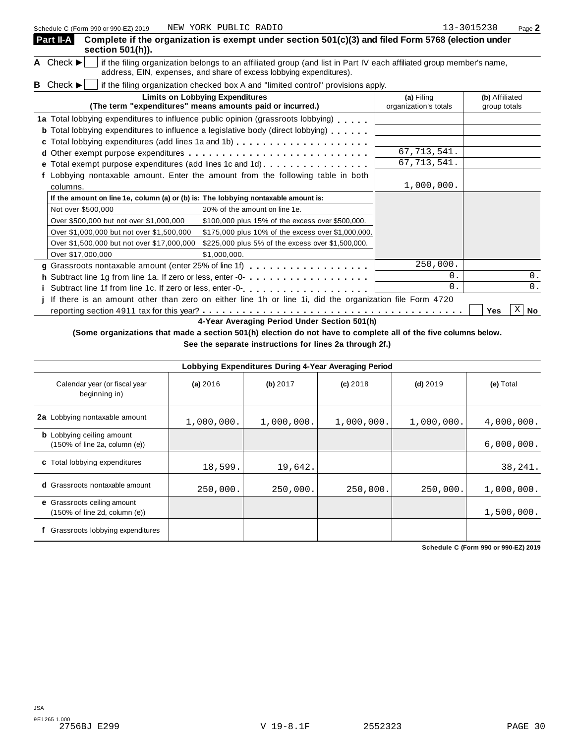| Schedule C (Form 990 or 990-EZ) 2019                                               | NEW YORK PUBLIC RADIO                                                                                                                                                                                                                          |               | 13-3015230<br>Page 2  |  |  |  |
|------------------------------------------------------------------------------------|------------------------------------------------------------------------------------------------------------------------------------------------------------------------------------------------------------------------------------------------|---------------|-----------------------|--|--|--|
| Part II-A<br>section 501(h)).                                                      | Complete if the organization is exempt under section 501(c)(3) and filed Form 5768 (election under                                                                                                                                             |               |                       |  |  |  |
| A Check $\blacktriangleright$                                                      | if the filing organization belongs to an affiliated group (and list in Part IV each affiliated group member's name,<br>address, EIN, expenses, and share of excess lobbying expenditures).                                                     |               |                       |  |  |  |
| <b>B</b> Check $\blacktriangleright$                                               | if the filing organization checked box A and "limited control" provisions apply.                                                                                                                                                               |               |                       |  |  |  |
|                                                                                    | <b>Limits on Lobbying Expenditures</b><br>(The term "expenditures" means amounts paid or incurred.)                                                                                                                                            |               |                       |  |  |  |
|                                                                                    | 1a Total lobbying expenditures to influence public opinion (grassroots lobbying)                                                                                                                                                               |               |                       |  |  |  |
|                                                                                    | <b>b</b> Total lobbying expenditures to influence a legislative body (direct lobbying)                                                                                                                                                         |               |                       |  |  |  |
|                                                                                    | c Total lobbying expenditures (add lines 1a and 1b)                                                                                                                                                                                            |               |                       |  |  |  |
|                                                                                    |                                                                                                                                                                                                                                                | 67, 713, 541. |                       |  |  |  |
|                                                                                    | e Total exempt purpose expenditures (add lines 1c and 1d).                                                                                                                                                                                     | 67, 713, 541. |                       |  |  |  |
|                                                                                    | Lobbying nontaxable amount. Enter the amount from the following table in both                                                                                                                                                                  |               |                       |  |  |  |
| columns.                                                                           |                                                                                                                                                                                                                                                | 1,000,000.    |                       |  |  |  |
| If the amount on line 1e, column (a) or (b) is: The lobbying nontaxable amount is: |                                                                                                                                                                                                                                                |               |                       |  |  |  |
| Not over \$500,000                                                                 | 20% of the amount on line 1e.                                                                                                                                                                                                                  |               |                       |  |  |  |
| Over \$500,000 but not over \$1,000,000                                            | \$100,000 plus 15% of the excess over \$500,000.                                                                                                                                                                                               |               |                       |  |  |  |
| Over \$1,000,000 but not over \$1,500,000                                          | \$175,000 plus 10% of the excess over \$1,000,000.                                                                                                                                                                                             |               |                       |  |  |  |
| Over \$1,500,000 but not over \$17,000,000                                         | \$225,000 plus 5% of the excess over \$1,500,000.                                                                                                                                                                                              |               |                       |  |  |  |
| Over \$17,000,000                                                                  | \$1,000,000.                                                                                                                                                                                                                                   |               |                       |  |  |  |
|                                                                                    | g Grassroots nontaxable amount (enter 25% of line 1f)<br>The 11 (1998)<br>Subset of the 16 (1999)<br>Subset of the 16 (1999)<br>Subset of the 16 (1999)<br>Subset of the 16 (1999)<br>Subset of the 16 (1999)<br>Subset of the 16 (1999)<br>Su | 250,000.      |                       |  |  |  |
|                                                                                    |                                                                                                                                                                                                                                                | $0$ .         | 0.                    |  |  |  |
|                                                                                    |                                                                                                                                                                                                                                                | 0.            | 0.                    |  |  |  |
|                                                                                    | If there is an amount other than zero on either line 1h or line 1i, did the organization file Form 4720                                                                                                                                        |               |                       |  |  |  |
|                                                                                    |                                                                                                                                                                                                                                                |               | Χ<br><b>No</b><br>Yes |  |  |  |

**4-Year Averaging Period Under Section 501(h)**

(Some organizations that made a section 501(h) election do not have to complete all of the five columns below.

**See the separate instructions for lines 2a through 2f.)**

| Lobbying Expenditures During 4-Year Averaging Period                                   |            |            |            |            |            |  |  |  |
|----------------------------------------------------------------------------------------|------------|------------|------------|------------|------------|--|--|--|
| Calendar year (or fiscal year<br>beginning in)                                         | (a) 2016   | (b) 2017   | $(c)$ 2018 | $(d)$ 2019 | (e) Total  |  |  |  |
| 2a Lobbying nontaxable amount                                                          | 1,000,000. | 1,000,000. | 1,000,000. | 1,000,000. | 4,000,000. |  |  |  |
| <b>b</b> Lobbying ceiling amount<br>$(150\% \text{ of line } 2a, \text{ column } (e))$ |            |            |            |            | 6,000,000. |  |  |  |
| c Total lobbying expenditures                                                          | 18,599.    | 19,642.    |            |            | 38,241.    |  |  |  |
| <b>d</b> Grassroots nontaxable amount                                                  | 250,000.   | 250,000.   | 250,000.   | 250,000.   | 1,000,000. |  |  |  |
| e Grassroots ceiling amount<br>$(150\% \text{ of line } 2d, \text{ column } (e))$      |            |            |            |            | 1,500,000. |  |  |  |
| Grassroots lobbying expenditures                                                       |            |            |            |            |            |  |  |  |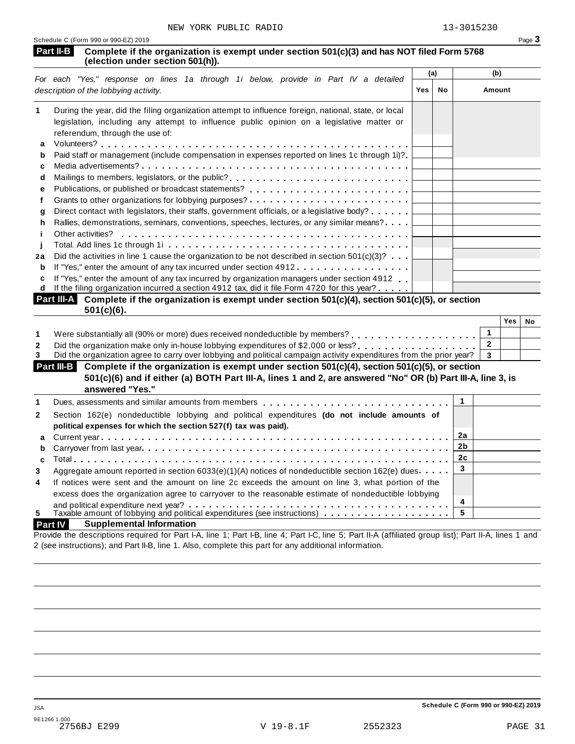| <b>Part II-B</b> Complete if the organization is exempt under section 501(c)(3) and has NOT filed Form 5768 |
|-------------------------------------------------------------------------------------------------------------|
| (election under section 501(h)).                                                                            |

|    | For each "Yes," response on lines 1a through 1i below, provide in Part IV a detailed                 | (a) |    | (b)    |
|----|------------------------------------------------------------------------------------------------------|-----|----|--------|
|    | description of the lobbying activity.                                                                | Yes | No | Amount |
| 1  | During the year, did the filing organization attempt to influence foreign, national, state, or local |     |    |        |
|    | legislation, including any attempt to influence public opinion on a legislative matter or            |     |    |        |
|    | referendum, through the use of:                                                                      |     |    |        |
| a  |                                                                                                      |     |    |        |
| b  | Paid staff or management (include compensation in expenses reported on lines 1c through 1i)?         |     |    |        |
| c  |                                                                                                      |     |    |        |
| d  | Mailings to members, legislators, or the public?                                                     |     |    |        |
| е  |                                                                                                      |     |    |        |
|    |                                                                                                      |     |    |        |
| q  | Direct contact with legislators, their staffs, government officials, or a legislative body?          |     |    |        |
| h  | Rallies, demonstrations, seminars, conventions, speeches, lectures, or any similar means?            |     |    |        |
|    | Other activities?                                                                                    |     |    |        |
|    |                                                                                                      |     |    |        |
| 2a | Did the activities in line 1 cause the organization to be not described in section $501(c)(3)$ ?     |     |    |        |
| b  | If "Yes," enter the amount of any tax incurred under section 4912                                    |     |    |        |
| c  |                                                                                                      |     |    |        |
| d  | If the filing organization incurred a section 4912 tax, did it file Form 4720 for this year?         |     |    |        |
|    | If "Yes," enter the amount of any tax incurred by organization managers under section 4912           |     |    |        |

| Part III-A Complete if the organization is exempt under section 501(c)(4), section 501(c)(5), or section |  |
|----------------------------------------------------------------------------------------------------------|--|
| $501(c)(6)$ .                                                                                            |  |

|                                                                                                                                                                       | Yes | No |
|-----------------------------------------------------------------------------------------------------------------------------------------------------------------------|-----|----|
| Were substantially all (90% or more) dues received nondeductible by members? [1] [1] [1] Were substantially all (90% or more) dues received nondeductible by members? |     |    |
|                                                                                                                                                                       |     |    |
| Did the organization agree to carry over lobbying and political campaign activity expenditures from the prior year?                                                   |     |    |

| Part III-B Complete if the organization is exempt under section 501(c)(4), section 501(c)(5), or section<br>501(c)(6) and if either (a) BOTH Part III-A, lines 1 and 2, are answered "No" OR (b) Part III-A, line 3, is<br>answered "Yes." |  |
|--------------------------------------------------------------------------------------------------------------------------------------------------------------------------------------------------------------------------------------------|--|
| Dues, assessments and similar amounts from members $\ldots, \ldots, \ldots, \ldots, \ldots, \ldots, \ldots, \lfloor 1$                                                                                                                     |  |
|                                                                                                                                                                                                                                            |  |

| $\mathbf{2}$   | Section 162(e) nondeductible lobbying and political expenditures (do not include amounts of            |   |  |
|----------------|--------------------------------------------------------------------------------------------------------|---|--|
|                | political expenses for which the section 527(f) tax was paid).                                         |   |  |
|                |                                                                                                        |   |  |
|                |                                                                                                        |   |  |
|                |                                                                                                        |   |  |
| 3              | Aggregate amount reported in section 6033(e)(1)(A) notices of nondeductible section 162(e) dues        |   |  |
| $\overline{4}$ | If notices were sent and the amount on line 2c exceeds the amount on line 3, what portion of the       |   |  |
|                | excess does the organization agree to carryover to the reasonable estimate of nondeductible lobbying   |   |  |
|                |                                                                                                        | 4 |  |
| 5              | Taxable amount of lobbying and political expenditures (see instructions) $\ldots \ldots \ldots \ldots$ |   |  |

### **Part IV Supplemental Information**

Provide the descriptions required for Part I-A, line 1; Part I-B, line 4; Part I-C, line 5; Part II-A (affiliated group list); Part II-A, lines 1 and 2 (see instructions); and Part II-B, line 1. Also, complete this part for any additional information.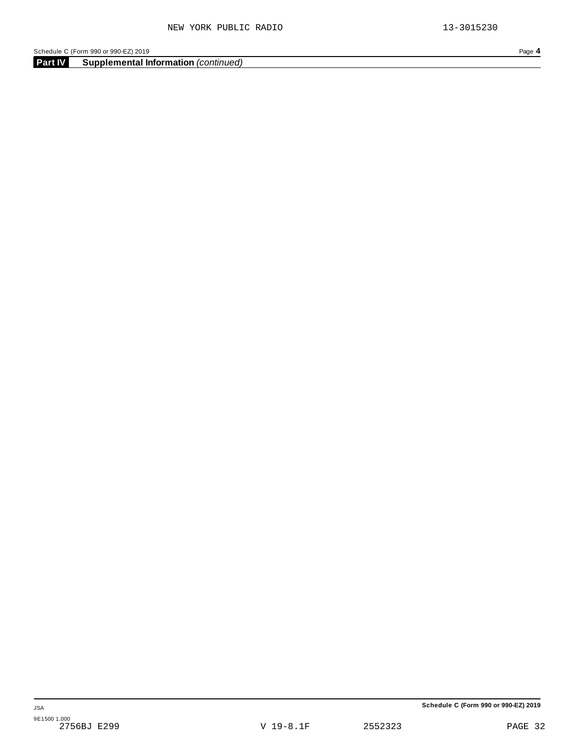**Part IV Supplemental Information** *(continued)*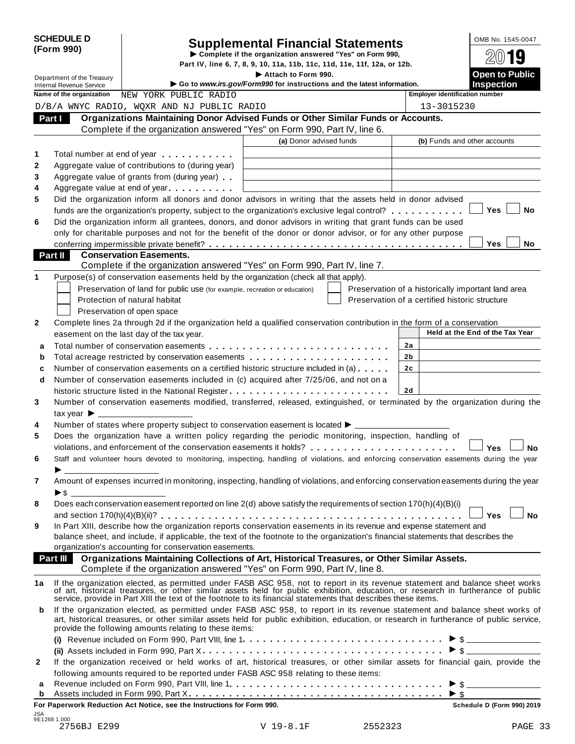| <b>SCHEDULE D</b> |  |
|-------------------|--|
| (Form 990)        |  |

# SCHEDULE D<br>
Supplemental Financial Statements<br>
Form 990)<br>
Part IV, line 6, 7, 8, 9, 10, 11a, 11b, 11c, 11d, 11e, 11f, 12a, or 12b.<br>
Part IV, line 6, 7, 8, 9, 10, 11a, 11b, 11c, 11d, 11e, 11f, 12a, or 12b.

Department of the Treasury **I Attach 1990.** The S. 7, 8, 9, 10, 11a, 11b, 11c, 11d, 11e, 11f, 12a, or 12b.<br> **Department of the Treasury Inches Containery Containery Containery Containery Containery Containery** 

| Department of the Treasury<br><b>Internal Revenue Service</b> |                                               |                                                                                                                                                                                                                                                                                                                                                     | Attach to Form 990.<br>Go to www.irs.gov/Form990 for instructions and the latest information. |                                                | <b>Open to Public</b><br><b>Inspection</b>         |
|---------------------------------------------------------------|-----------------------------------------------|-----------------------------------------------------------------------------------------------------------------------------------------------------------------------------------------------------------------------------------------------------------------------------------------------------------------------------------------------------|-----------------------------------------------------------------------------------------------|------------------------------------------------|----------------------------------------------------|
|                                                               | Name of the organization                      | NEW YORK PUBLIC RADIO                                                                                                                                                                                                                                                                                                                               |                                                                                               | <b>Employer identification number</b>          |                                                    |
|                                                               |                                               | D/B/A WNYC RADIO, WQXR AND NJ PUBLIC RADIO                                                                                                                                                                                                                                                                                                          |                                                                                               | 13-3015230                                     |                                                    |
|                                                               | Part I                                        | Organizations Maintaining Donor Advised Funds or Other Similar Funds or Accounts.                                                                                                                                                                                                                                                                   |                                                                                               |                                                |                                                    |
|                                                               |                                               | Complete if the organization answered "Yes" on Form 990, Part IV, line 6.                                                                                                                                                                                                                                                                           |                                                                                               |                                                |                                                    |
|                                                               |                                               |                                                                                                                                                                                                                                                                                                                                                     | (a) Donor advised funds                                                                       |                                                | (b) Funds and other accounts                       |
| 1                                                             |                                               | Total number at end of year                                                                                                                                                                                                                                                                                                                         |                                                                                               |                                                |                                                    |
| $\mathbf{2}$                                                  |                                               | Aggregate value of contributions to (during year)                                                                                                                                                                                                                                                                                                   |                                                                                               |                                                |                                                    |
| 3                                                             |                                               | Aggregate value of grants from (during year)                                                                                                                                                                                                                                                                                                        |                                                                                               |                                                |                                                    |
| 4                                                             |                                               | Aggregate value at end of year                                                                                                                                                                                                                                                                                                                      |                                                                                               |                                                |                                                    |
| 5                                                             |                                               | Did the organization inform all donors and donor advisors in writing that the assets held in donor advised                                                                                                                                                                                                                                          |                                                                                               |                                                |                                                    |
|                                                               |                                               | funds are the organization's property, subject to the organization's exclusive legal control?                                                                                                                                                                                                                                                       |                                                                                               |                                                | <b>Yes</b><br>No                                   |
| 6                                                             |                                               | Did the organization inform all grantees, donors, and donor advisors in writing that grant funds can be used                                                                                                                                                                                                                                        |                                                                                               |                                                |                                                    |
|                                                               |                                               | only for charitable purposes and not for the benefit of the donor or donor advisor, or for any other purpose                                                                                                                                                                                                                                        |                                                                                               |                                                |                                                    |
|                                                               |                                               |                                                                                                                                                                                                                                                                                                                                                     |                                                                                               |                                                | Yes<br>No.                                         |
|                                                               | <b>Part II</b>                                | <b>Conservation Easements.</b>                                                                                                                                                                                                                                                                                                                      |                                                                                               |                                                |                                                    |
|                                                               |                                               | Complete if the organization answered "Yes" on Form 990, Part IV, line 7.                                                                                                                                                                                                                                                                           |                                                                                               |                                                |                                                    |
| 1                                                             |                                               | Purpose(s) of conservation easements held by the organization (check all that apply).                                                                                                                                                                                                                                                               |                                                                                               |                                                |                                                    |
|                                                               |                                               | Preservation of land for public use (for example, recreation or education)                                                                                                                                                                                                                                                                          |                                                                                               |                                                | Preservation of a historically important land area |
|                                                               |                                               | Protection of natural habitat                                                                                                                                                                                                                                                                                                                       |                                                                                               | Preservation of a certified historic structure |                                                    |
|                                                               |                                               | Preservation of open space                                                                                                                                                                                                                                                                                                                          |                                                                                               |                                                |                                                    |
| $\mathbf{2}$                                                  |                                               | Complete lines 2a through 2d if the organization held a qualified conservation contribution in the form of a conservation                                                                                                                                                                                                                           |                                                                                               |                                                |                                                    |
|                                                               |                                               | easement on the last day of the tax year.                                                                                                                                                                                                                                                                                                           |                                                                                               |                                                | Held at the End of the Tax Year                    |
| a                                                             |                                               |                                                                                                                                                                                                                                                                                                                                                     |                                                                                               | 2a                                             |                                                    |
| b                                                             |                                               | Total acreage restricted by conservation easements entitled results are not all results and results are not a                                                                                                                                                                                                                                       |                                                                                               | 2b                                             |                                                    |
| c                                                             |                                               | Number of conservation easements on a certified historic structure included in (a)                                                                                                                                                                                                                                                                  |                                                                                               | 2c                                             |                                                    |
| d                                                             |                                               | Number of conservation easements included in (c) acquired after 7/25/06, and not on a                                                                                                                                                                                                                                                               |                                                                                               |                                                |                                                    |
|                                                               |                                               |                                                                                                                                                                                                                                                                                                                                                     |                                                                                               | 2d                                             |                                                    |
| 3                                                             |                                               | Number of conservation easements modified, transferred, released, extinguished, or terminated by the organization during the                                                                                                                                                                                                                        |                                                                                               |                                                |                                                    |
|                                                               | tax year $\blacktriangleright$ $\blacksquare$ |                                                                                                                                                                                                                                                                                                                                                     |                                                                                               |                                                |                                                    |
| 4                                                             |                                               | Number of states where property subject to conservation easement is located ▶ _____                                                                                                                                                                                                                                                                 |                                                                                               |                                                |                                                    |
| 5                                                             |                                               | Does the organization have a written policy regarding the periodic monitoring, inspection, handling of                                                                                                                                                                                                                                              |                                                                                               |                                                |                                                    |
|                                                               |                                               |                                                                                                                                                                                                                                                                                                                                                     |                                                                                               |                                                | Yes<br>No                                          |
| 6                                                             |                                               | Staff and volunteer hours devoted to monitoring, inspecting, handling of violations, and enforcing conservation easements during the year                                                                                                                                                                                                           |                                                                                               |                                                |                                                    |
| $\overline{7}$                                                | ▶\$                                           | Amount of expenses incurred in monitoring, inspecting, handling of violations, and enforcing conservation easements during the year                                                                                                                                                                                                                 |                                                                                               |                                                |                                                    |
| 8                                                             |                                               | Does each conservation easement reported on line 2(d) above satisfy the requirements of section 170(h)(4)(B)(i)                                                                                                                                                                                                                                     |                                                                                               |                                                |                                                    |
|                                                               |                                               |                                                                                                                                                                                                                                                                                                                                                     |                                                                                               |                                                | <b>Yes</b><br><b>No</b>                            |
| 9                                                             |                                               | In Part XIII, describe how the organization reports conservation easements in its revenue and expense statement and                                                                                                                                                                                                                                 |                                                                                               |                                                |                                                    |
|                                                               |                                               | balance sheet, and include, if applicable, the text of the footnote to the organization's financial statements that describes the                                                                                                                                                                                                                   |                                                                                               |                                                |                                                    |
|                                                               |                                               | organization's accounting for conservation easements.                                                                                                                                                                                                                                                                                               |                                                                                               |                                                |                                                    |
|                                                               | Part III                                      | Organizations Maintaining Collections of Art, Historical Treasures, or Other Similar Assets.<br>Complete if the organization answered "Yes" on Form 990, Part IV, line 8.                                                                                                                                                                           |                                                                                               |                                                |                                                    |
| 1a                                                            |                                               | If the organization elected, as permitted under FASB ASC 958, not to report in its revenue statement and balance sheet works<br>of art, historical treasures, or other similar assets held for public exhibition, education, or r<br>service, provide in Part XIII the text of the footnote to its financial statements that describes these items. |                                                                                               |                                                |                                                    |
| b                                                             |                                               | If the organization elected, as permitted under FASB ASC 958, to report in its revenue statement and balance sheet works of<br>art, historical treasures, or other similar assets held for public exhibition, education, or research in furtherance of public service,<br>provide the following amounts relating to these items:                    |                                                                                               |                                                |                                                    |
|                                                               |                                               |                                                                                                                                                                                                                                                                                                                                                     |                                                                                               |                                                |                                                    |
|                                                               |                                               |                                                                                                                                                                                                                                                                                                                                                     |                                                                                               |                                                | $\triangleright$ \$                                |
| 2                                                             |                                               | If the organization received or held works of art, historical treasures, or other similar assets for financial gain, provide the                                                                                                                                                                                                                    |                                                                                               |                                                |                                                    |
|                                                               |                                               | following amounts required to be reported under FASB ASC 958 relating to these items:                                                                                                                                                                                                                                                               |                                                                                               |                                                |                                                    |
| а                                                             |                                               |                                                                                                                                                                                                                                                                                                                                                     |                                                                                               |                                                |                                                    |
| b                                                             |                                               |                                                                                                                                                                                                                                                                                                                                                     |                                                                                               |                                                |                                                    |

**For Paperwork Reduction Act Notice, see the Instructions for Form 990. Schedule D (Form 990) 2019**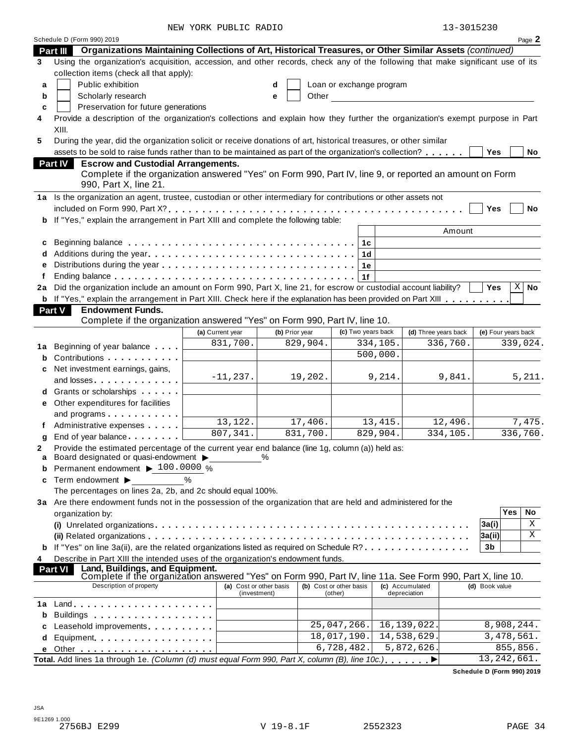| 13-3015230 |  |
|------------|--|
|------------|--|

|         |                                                                                                                                                                                                                                                               | NEW YORK PUBLIC RADIO                   |                |                                    |                                 | 13-3015230          |              |           |
|---------|---------------------------------------------------------------------------------------------------------------------------------------------------------------------------------------------------------------------------------------------------------------|-----------------------------------------|----------------|------------------------------------|---------------------------------|---------------------|--------------|-----------|
|         | Schedule D (Form 990) 2019                                                                                                                                                                                                                                    |                                         |                |                                    |                                 |                     |              | Page 2    |
|         | Organizations Maintaining Collections of Art, Historical Treasures, or Other Similar Assets (continued)<br><b>Part III</b><br>Using the organization's acquisition, accession, and other records, check any of the following that make significant use of its |                                         |                |                                    |                                 |                     |              |           |
| 3       |                                                                                                                                                                                                                                                               |                                         |                |                                    |                                 |                     |              |           |
|         | collection items (check all that apply):                                                                                                                                                                                                                      |                                         |                |                                    |                                 |                     |              |           |
| a       | Public exhibition                                                                                                                                                                                                                                             |                                         | d              | Loan or exchange program           |                                 |                     |              |           |
| b       | Scholarly research                                                                                                                                                                                                                                            |                                         | Other<br>e     |                                    |                                 |                     |              |           |
| c       | Preservation for future generations                                                                                                                                                                                                                           |                                         |                |                                    |                                 |                     |              |           |
| 4       | Provide a description of the organization's collections and explain how they further the organization's exempt purpose in Part                                                                                                                                |                                         |                |                                    |                                 |                     |              |           |
|         | XIII.<br>During the year, did the organization solicit or receive donations of art, historical treasures, or other similar                                                                                                                                    |                                         |                |                                    |                                 |                     |              |           |
| 5       |                                                                                                                                                                                                                                                               |                                         |                |                                    |                                 |                     |              |           |
|         | assets to be sold to raise funds rather than to be maintained as part of the organization's collection?                                                                                                                                                       |                                         |                |                                    |                                 | Yes                 |              | No        |
|         | <b>Escrow and Custodial Arrangements.</b><br><b>Part IV</b><br>Complete if the organization answered "Yes" on Form 990, Part IV, line 9, or reported an amount on Form<br>990, Part X, line 21.                                                               |                                         |                |                                    |                                 |                     |              |           |
|         | 1a Is the organization an agent, trustee, custodian or other intermediary for contributions or other assets not                                                                                                                                               |                                         |                |                                    |                                 |                     |              |           |
|         |                                                                                                                                                                                                                                                               |                                         |                |                                    |                                 | Yes                 |              | <b>No</b> |
|         | b If "Yes," explain the arrangement in Part XIII and complete the following table:                                                                                                                                                                            |                                         |                |                                    |                                 |                     |              |           |
|         |                                                                                                                                                                                                                                                               |                                         |                |                                    | Amount                          |                     |              |           |
| c       |                                                                                                                                                                                                                                                               |                                         |                |                                    |                                 |                     |              |           |
|         |                                                                                                                                                                                                                                                               |                                         |                | 1d                                 |                                 |                     |              |           |
| e       |                                                                                                                                                                                                                                                               |                                         |                | 1е                                 |                                 |                     |              |           |
|         |                                                                                                                                                                                                                                                               |                                         |                | 1f                                 |                                 |                     |              |           |
| 2a      | Did the organization include an amount on Form 990, Part X, line 21, for escrow or custodial account liability?                                                                                                                                               |                                         |                |                                    |                                 | <b>Yes</b>          | Χ            | <b>No</b> |
|         | <b>b</b> If "Yes," explain the arrangement in Part XIII. Check here if the explanation has been provided on Part XIII                                                                                                                                         |                                         |                |                                    |                                 |                     |              |           |
|         | <b>Part V</b><br><b>Endowment Funds.</b>                                                                                                                                                                                                                      |                                         |                |                                    |                                 |                     |              |           |
|         | Complete if the organization answered "Yes" on Form 990, Part IV, line 10.                                                                                                                                                                                    |                                         |                |                                    |                                 |                     |              |           |
|         |                                                                                                                                                                                                                                                               | (a) Current year                        | (b) Prior year | (c) Two years back                 | (d) Three years back            | (e) Four years back |              |           |
|         | Beginning of year balance                                                                                                                                                                                                                                     | 831,700.                                | 829,904.       | 334,105.                           | 336,760.                        |                     |              | 339,024.  |
| 1а<br>b | Contributions                                                                                                                                                                                                                                                 |                                         |                | 500,000.                           |                                 |                     |              |           |
|         | Net investment earnings, gains,                                                                                                                                                                                                                               |                                         |                |                                    |                                 |                     |              |           |
| c       | and losses                                                                                                                                                                                                                                                    | $-11, 237.$                             | 19,202.        |                                    | 9,841.<br>9,214.                |                     |              | 5,211.    |
|         | d Grants or scholarships                                                                                                                                                                                                                                      |                                         |                |                                    |                                 |                     |              |           |
|         | e Other expenditures for facilities                                                                                                                                                                                                                           |                                         |                |                                    |                                 |                     |              |           |
|         |                                                                                                                                                                                                                                                               |                                         |                |                                    |                                 |                     |              |           |
|         | and programs<br>Administrative expenses <b>Administrative</b>                                                                                                                                                                                                 | 13,122.                                 | 17,406.        | 13,415.                            | 12,496.                         |                     |              | 7,475.    |
|         |                                                                                                                                                                                                                                                               | 807, 341.                               | 831,700.       | 829,904.                           | 334,105.                        |                     |              | 336,760.  |
| g       | End of year balance<br>Provide the estimated percentage of the current year end balance (line 1g, column (a)) held as:                                                                                                                                        |                                         |                |                                    |                                 |                     |              |           |
| a       | Board designated or quasi-endowment >                                                                                                                                                                                                                         | %                                       |                |                                    |                                 |                     |              |           |
| b       | Permanent endowment ▶ 100.0000 %                                                                                                                                                                                                                              |                                         |                |                                    |                                 |                     |              |           |
| c       | Term endowment ><br>$\%$                                                                                                                                                                                                                                      |                                         |                |                                    |                                 |                     |              |           |
|         | The percentages on lines 2a, 2b, and 2c should equal 100%.                                                                                                                                                                                                    |                                         |                |                                    |                                 |                     |              |           |
|         | 3a Are there endowment funds not in the possession of the organization that are held and administered for the                                                                                                                                                 |                                         |                |                                    |                                 |                     |              |           |
|         | organization by:                                                                                                                                                                                                                                              |                                         |                |                                    |                                 |                     | Yes          | No        |
|         |                                                                                                                                                                                                                                                               |                                         |                |                                    |                                 | 3a(i)               |              | Χ         |
|         |                                                                                                                                                                                                                                                               |                                         |                |                                    |                                 | 3a(ii)              |              | Χ         |
| b       | If "Yes" on line 3a(ii), are the related organizations listed as required on Schedule R?                                                                                                                                                                      |                                         |                |                                    |                                 | 3 <sub>b</sub>      |              |           |
| 4       | Describe in Part XIII the intended uses of the organization's endowment funds.                                                                                                                                                                                |                                         |                |                                    |                                 |                     |              |           |
|         | Land, Buildings, and Equipment.<br><b>Part VI</b>                                                                                                                                                                                                             |                                         |                |                                    |                                 |                     |              |           |
|         | Complete if the organization answered "Yes" on Form 990, Part IV, line 11a. See Form 990, Part X, line 10.                                                                                                                                                    |                                         |                |                                    |                                 |                     |              |           |
|         | Description of property                                                                                                                                                                                                                                       | (a) Cost or other basis<br>(investment) |                | (b) Cost or other basis<br>(other) | (c) Accumulated<br>depreciation | (d) Book value      |              |           |
|         |                                                                                                                                                                                                                                                               |                                         |                |                                    |                                 |                     |              |           |
| b       |                                                                                                                                                                                                                                                               |                                         |                |                                    |                                 |                     |              |           |
| c       | Leasehold improvements <b>Leasehold</b> improvements                                                                                                                                                                                                          |                                         |                | 25,047,266.                        | 16, 139, 022.                   |                     | 8,908,244.   |           |
| d       | Equipment                                                                                                                                                                                                                                                     |                                         |                | 18,017,190.                        | 14,538,629.                     |                     | 3, 478, 561. |           |
| e       |                                                                                                                                                                                                                                                               |                                         |                | 6,728,482.                         | 5,872,626.                      |                     | 855,856.     |           |
|         | Total. Add lines 1a through 1e. (Column (d) must equal Form 990, Part X, column (B), line 10c.)                                                                                                                                                               |                                         |                |                                    |                                 | 13, 242, 661.       |              |           |
|         |                                                                                                                                                                                                                                                               |                                         |                |                                    |                                 |                     |              |           |

**Schedule D (Form 990) 2019**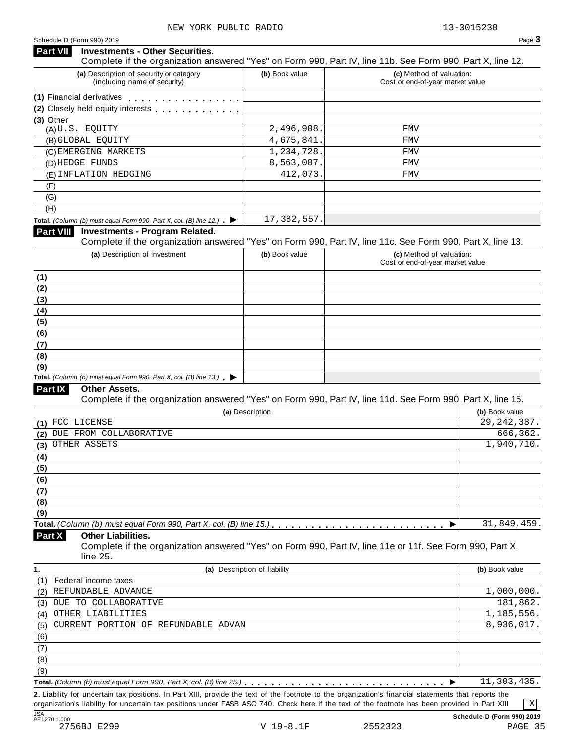#### **Investments - Other Securities. Part VII** Investments - Other Securities.<br>Complete if the organization answered "Yes" on Form 990, Part IV, line 11b. See Form 990, Part X, line 12. **(a)** Description of security or category (including name of security) **(b)** Book value **(c)** Method of valuation: Cost or end-of-year market value **(1)** Financial derivatives **manual (2)** Closely held equity interests **(3)** Other (A) U.S. EQUITY 2,496,908. FMV (B) GLOBAL EQUITY 4,675,841. FMV (C) EMERGING MARKETS 1,234,728. FMV (D) HEDGE FUNDS 8,563,007. FMV (E) INFLATION HEDGING 412,073. FMV (F) (G) (H) **Total.** *(Column (b) must equal Form 990, Part X, col. (B) line 12.)* **Part VIII Investments - Program Related. Investments - Program Related.** Complete if the organization answered "Yes" on Form 990, Part IV, line 11c. See Form 990, Part X, line 13. **(a)** Description of investment **(b)** Book value **(c)** Method of valuation: Cost or end-of-year market value **(1) (2) (3) (4) (5) (6) (7) (8) (9) Total.** *(Column (b) must equal Form* 990, *Part X, col. (B) line* 13.) **►**<br> **Part IX** Other Assets. **Other Assets.** Complete if the organization answered "Yes" on Form 990, Part IV, line 11d. See Form 990, Part X, line 15. **(a)** Description **(b)** Book value **(1) (2) (3) (4) (5) (6) (7) (8) (9) Total.** *(Column (b) must equal Form 990, Part X, col. (B) line 15.)* m m m m m m m m m m m m m m m m m m m m m m m m m m I **Other Liabilities.** Complete if the organization answered "Yes" on Form 990, Part IV, line 11e or 11f. See Form 990, Part X, line 25. **Part X 1. (a)** Description of liability **(b)** Book value (1) Federal income taxes (2) (3) (4) (5) (6) (7) (8) (9) **Total.** *(Column (b) must equal Form 990, Part X, col. (B) line 25.)* m m m m m m m m m m m m m m m m m m m m m m m m m m m m m m I **2.** Liability for uncertain tax positions. In Part XIII, provide the text of the footnote to the organization's financial statements that reports the 17,382,557. 29,242,387. DUE FROM COLLABORATIVE  $\sim$  666,362. OTHER ASSETS 1,940,710. 31,849,459. REFUNDABLE ADVANCE 1,000,000. DUE TO COLLABORATIVE 181,862. OTHER LIABILITIES 1,185,556. CURRENT PORTION OF REFUNDABLE ADVAN 8,936,017. 11,303,435.

organization's liability for uncertain tax positions under FASB ASC 740. Check here if the text of the footnote has been provided in Part XIII

X

JSA **Schedule D (Form 990) 2019**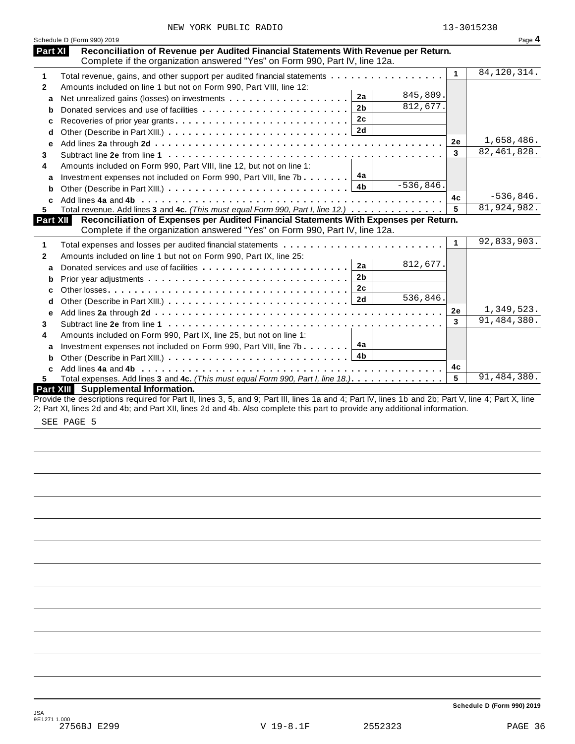| NEW YORK PUBLIC RADIO |  |  |  |  |
|-----------------------|--|--|--|--|
|-----------------------|--|--|--|--|

|              | Schedule D (Form 990) 2019                                                                                                                                                           |             |              | Page 4        |
|--------------|--------------------------------------------------------------------------------------------------------------------------------------------------------------------------------------|-------------|--------------|---------------|
|              | Reconciliation of Revenue per Audited Financial Statements With Revenue per Return.<br><b>Part XI</b><br>Complete if the organization answered "Yes" on Form 990, Part IV, line 12a. |             |              |               |
| 1            | Total revenue, gains, and other support per audited financial statements                                                                                                             |             | $\mathbf{1}$ | 84, 120, 314. |
| $\mathbf{2}$ | Amounts included on line 1 but not on Form 990, Part VIII, line 12:                                                                                                                  |             |              |               |
| a            | 2a<br>Net unrealized gains (losses) on investments                                                                                                                                   | 845,809.    |              |               |
| b            | 2 <sub>b</sub>                                                                                                                                                                       | 812,677.    |              |               |
| c            | 2c<br>Recoveries of prior year grants                                                                                                                                                |             |              |               |
| d            | 2d                                                                                                                                                                                   |             |              |               |
| е            |                                                                                                                                                                                      |             | 2e           | 1,658,486.    |
| 3            |                                                                                                                                                                                      |             | 3            | 82, 461, 828. |
| 4            | Amounts included on Form 990, Part VIII, line 12, but not on line 1:                                                                                                                 |             |              |               |
| a            | 4a<br>Investment expenses not included on Form 990, Part VIII, line 7b $\ldots$                                                                                                      |             |              |               |
| b            | 4 <sub>b</sub>                                                                                                                                                                       | $-536,846.$ |              |               |
| C            |                                                                                                                                                                                      |             | 4c           | $-536,846.$   |
| 5.           | Total revenue. Add lines 3 and 4c. (This must equal Form 990, Part I, line 12.) $\ldots \ldots \ldots \ldots$                                                                        |             | 5            | 81,924,982.   |
|              | Part XII<br>Reconciliation of Expenses per Audited Financial Statements With Expenses per Return.<br>Complete if the organization answered "Yes" on Form 990, Part IV, line 12a.     |             |              |               |
| 1            |                                                                                                                                                                                      |             | $\mathbf{1}$ | 92,833,903.   |
| 2            | Amounts included on line 1 but not on Form 990, Part IX, line 25:                                                                                                                    |             |              |               |
| a            | 2a                                                                                                                                                                                   | 812,677.    |              |               |
| b            | 2 <sub>b</sub>                                                                                                                                                                       |             |              |               |
| c            | 2 <sub>c</sub>                                                                                                                                                                       |             |              |               |
| d            | 2d                                                                                                                                                                                   | 536,846.    |              |               |
| е            |                                                                                                                                                                                      |             | 2e           | 1,349,523.    |
| 3            |                                                                                                                                                                                      |             | 3            | 91,484,380.   |
|              | Amounts included on Form 990, Part IX, line 25, but not on line 1:                                                                                                                   |             |              |               |
|              |                                                                                                                                                                                      |             |              |               |
|              |                                                                                                                                                                                      |             |              |               |
| a            | 4a<br>Investment expenses not included on Form 990, Part VIII, line 7b                                                                                                               |             |              |               |
| b            | 4 <sub>b</sub>                                                                                                                                                                       |             |              |               |
| 4<br>C<br>5. | Total expenses. Add lines 3 and 4c. (This must equal Form 990, Part I, line 18.).                                                                                                    |             | 4c<br>5      | 91,484,380.   |

SEE PAGE 5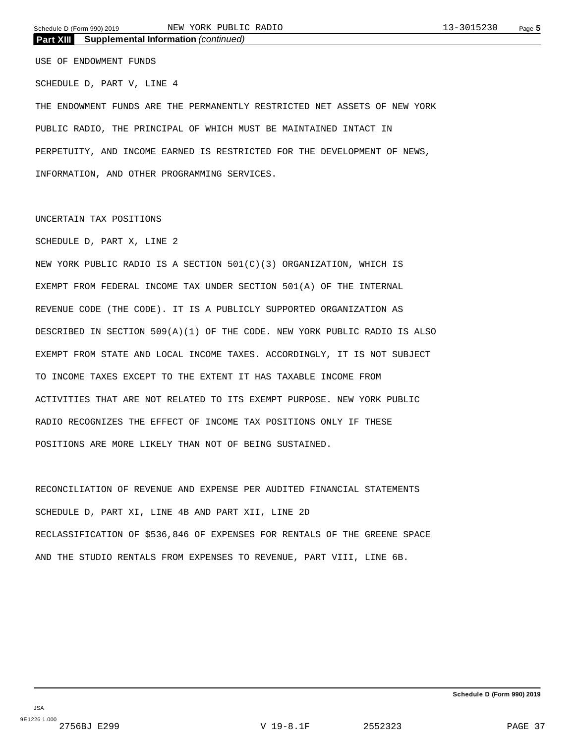#### **Part XIII Supplemental Information** *(continued)*

USE OF ENDOWMENT FUNDS

SCHEDULE D, PART V, LINE 4

THE ENDOWMENT FUNDS ARE THE PERMANENTLY RESTRICTED NET ASSETS OF NEW YORK PUBLIC RADIO, THE PRINCIPAL OF WHICH MUST BE MAINTAINED INTACT IN PERPETUITY, AND INCOME EARNED IS RESTRICTED FOR THE DEVELOPMENT OF NEWS, INFORMATION, AND OTHER PROGRAMMING SERVICES.

#### UNCERTAIN TAX POSITIONS

#### SCHEDULE D, PART X, LINE 2

NEW YORK PUBLIC RADIO IS A SECTION 501(C)(3) ORGANIZATION, WHICH IS EXEMPT FROM FEDERAL INCOME TAX UNDER SECTION 501(A) OF THE INTERNAL REVENUE CODE (THE CODE). IT IS A PUBLICLY SUPPORTED ORGANIZATION AS DESCRIBED IN SECTION 509(A)(1) OF THE CODE. NEW YORK PUBLIC RADIO IS ALSO EXEMPT FROM STATE AND LOCAL INCOME TAXES. ACCORDINGLY, IT IS NOT SUBJECT TO INCOME TAXES EXCEPT TO THE EXTENT IT HAS TAXABLE INCOME FROM ACTIVITIES THAT ARE NOT RELATED TO ITS EXEMPT PURPOSE. NEW YORK PUBLIC RADIO RECOGNIZES THE EFFECT OF INCOME TAX POSITIONS ONLY IF THESE POSITIONS ARE MORE LIKELY THAN NOT OF BEING SUSTAINED.

RECONCILIATION OF REVENUE AND EXPENSE PER AUDITED FINANCIAL STATEMENTS SCHEDULE D, PART XI, LINE 4B AND PART XII, LINE 2D RECLASSIFICATION OF \$536,846 OF EXPENSES FOR RENTALS OF THE GREENE SPACE AND THE STUDIO RENTALS FROM EXPENSES TO REVENUE, PART VIII, LINE 6B.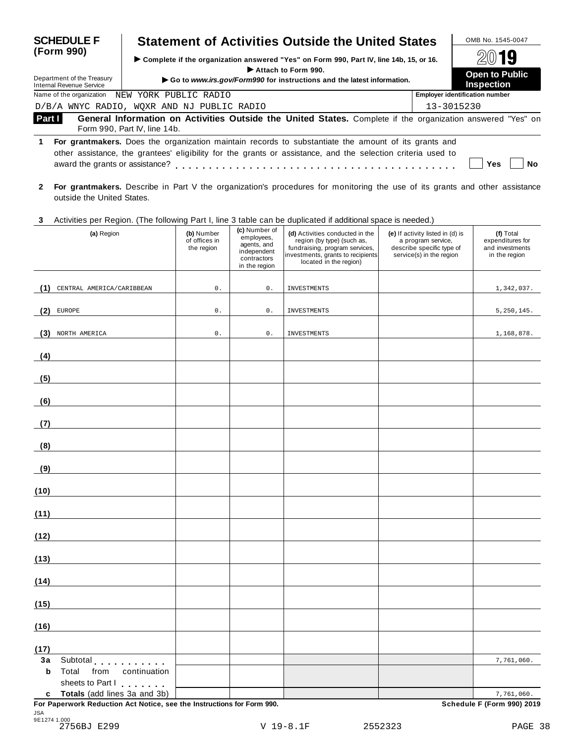| <b>SCHEDULE F</b>                                                                                                                                                                                                                                                          | <b>Statement of Activities Outside the United States</b>                                                                                    | OMB No. 1545-0047                          |  |  |  |  |  |
|----------------------------------------------------------------------------------------------------------------------------------------------------------------------------------------------------------------------------------------------------------------------------|---------------------------------------------------------------------------------------------------------------------------------------------|--------------------------------------------|--|--|--|--|--|
| (Form 990)                                                                                                                                                                                                                                                                 | ► Complete if the organization answered "Yes" on Form 990, Part IV, line 14b, 15, or 16.                                                    | 2019                                       |  |  |  |  |  |
| Department of the Treasury<br>Internal Revenue Service                                                                                                                                                                                                                     | Attach to Form 990.<br>Go to www.irs.gov/Form990 for instructions and the latest information.                                               | <b>Open to Public</b><br><b>Inspection</b> |  |  |  |  |  |
| Name of the organization                                                                                                                                                                                                                                                   | NEW YORK PUBLIC RADIO                                                                                                                       | <b>Employer identification number</b>      |  |  |  |  |  |
|                                                                                                                                                                                                                                                                            | D/B/A WNYC RADIO, WOXR AND NJ PUBLIC RADIO                                                                                                  | 13-3015230                                 |  |  |  |  |  |
| Part I                                                                                                                                                                                                                                                                     | General Information on Activities Outside the United States. Complete if the organization answered "Yes" on<br>Form 990, Part IV, line 14b. |                                            |  |  |  |  |  |
| For grantmakers. Does the organization maintain records to substantiate the amount of its grants and<br>1.<br>other assistance, the grantees' eligibility for the grants or assistance, and the selection criteria used to<br>award the grants or assistance?<br>Yes<br>Nο |                                                                                                                                             |                                            |  |  |  |  |  |

- **2 For grantmakers.** Describe in Part V the organization's procedures for monitoring the use of its grants and other assistance outside the United States.
- **3** Activities per Region. (The following Part I, line 3 table can be duplicated ifadditional space is needed.)

|                   | Notification por region. This reliefing material line or table ban be admitted in additional opace is nobacar,<br>(a) Region | (b) Number<br>of offices in<br>the region | (c) Number of<br>employees,<br>agents, and<br>independent<br>contractors<br>in the region | (d) Activities conducted in the<br>region (by type) (such as,<br>fundraising, program services,<br>investments, grants to recipients<br>located in the region) | (e) If activity listed in (d) is<br>a program service,<br>describe specific type of<br>service(s) in the region | (f) Total<br>expenditures for<br>and investments<br>in the region |
|-------------------|------------------------------------------------------------------------------------------------------------------------------|-------------------------------------------|-------------------------------------------------------------------------------------------|----------------------------------------------------------------------------------------------------------------------------------------------------------------|-----------------------------------------------------------------------------------------------------------------|-------------------------------------------------------------------|
| (1)               | CENTRAL AMERICA/CARIBBEAN                                                                                                    | 0.                                        | $\mathsf 0$ .                                                                             | INVESTMENTS                                                                                                                                                    |                                                                                                                 | 1,342,037.                                                        |
| (2)               | <b>EUROPE</b>                                                                                                                | 0.                                        | $\mathsf{0}$ .                                                                            | INVESTMENTS                                                                                                                                                    |                                                                                                                 | 5, 250, 145.                                                      |
| (3)               | NORTH AMERICA                                                                                                                | 0.                                        | $\mathsf{0}$ .                                                                            | INVESTMENTS                                                                                                                                                    |                                                                                                                 | 1,168,878.                                                        |
| (4)               |                                                                                                                              |                                           |                                                                                           |                                                                                                                                                                |                                                                                                                 |                                                                   |
| (5)               |                                                                                                                              |                                           |                                                                                           |                                                                                                                                                                |                                                                                                                 |                                                                   |
| (6)               |                                                                                                                              |                                           |                                                                                           |                                                                                                                                                                |                                                                                                                 |                                                                   |
| (7)               |                                                                                                                              |                                           |                                                                                           |                                                                                                                                                                |                                                                                                                 |                                                                   |
| (8)               |                                                                                                                              |                                           |                                                                                           |                                                                                                                                                                |                                                                                                                 |                                                                   |
| (9)               |                                                                                                                              |                                           |                                                                                           |                                                                                                                                                                |                                                                                                                 |                                                                   |
| (10)              |                                                                                                                              |                                           |                                                                                           |                                                                                                                                                                |                                                                                                                 |                                                                   |
| (11)              |                                                                                                                              |                                           |                                                                                           |                                                                                                                                                                |                                                                                                                 |                                                                   |
| (12)              |                                                                                                                              |                                           |                                                                                           |                                                                                                                                                                |                                                                                                                 |                                                                   |
| (13)              |                                                                                                                              |                                           |                                                                                           |                                                                                                                                                                |                                                                                                                 |                                                                   |
| (14)              |                                                                                                                              |                                           |                                                                                           |                                                                                                                                                                |                                                                                                                 |                                                                   |
| (15)              |                                                                                                                              |                                           |                                                                                           |                                                                                                                                                                |                                                                                                                 |                                                                   |
| (16)              |                                                                                                                              |                                           |                                                                                           |                                                                                                                                                                |                                                                                                                 |                                                                   |
| (17)              |                                                                                                                              |                                           |                                                                                           |                                                                                                                                                                |                                                                                                                 |                                                                   |
| 3a<br>$\mathbf b$ | Subtotal experiences<br>Total<br>from<br>continuation<br>sheets to Part I                                                    |                                           |                                                                                           |                                                                                                                                                                |                                                                                                                 | 7,761,060.                                                        |
| $\mathbf c$       | Totals (add lines 3a and 3b)<br>For Paperwork Reduction Act Notice, see the Instructions for Form 990.                       |                                           |                                                                                           |                                                                                                                                                                |                                                                                                                 | 7,761,060.<br>Schedule F (Form 990) 2019                          |

JSA 9E1274 1.000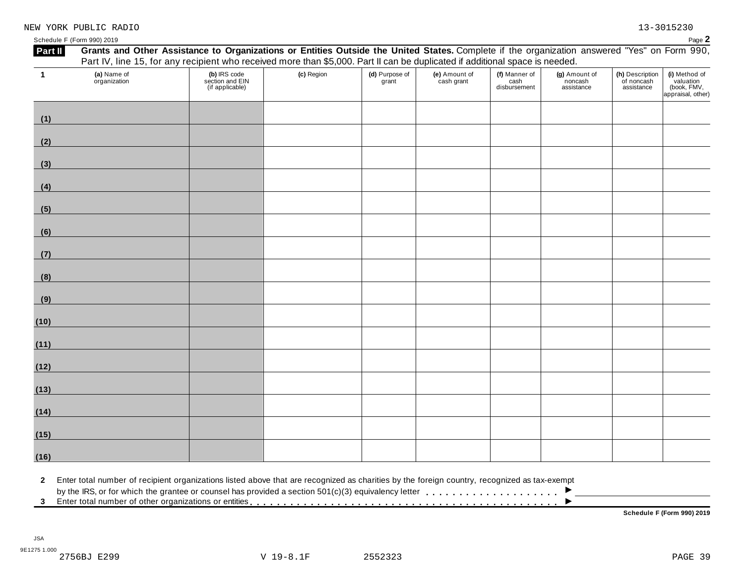| (10) |  |  |
|------|--|--|

| (5)  |  |  |  |  |
|------|--|--|--|--|
| (6)  |  |  |  |  |
| (7)  |  |  |  |  |
| (8)  |  |  |  |  |
| (9)  |  |  |  |  |
| (10) |  |  |  |  |
| (11) |  |  |  |  |
| (12) |  |  |  |  |
| (13) |  |  |  |  |
|      |  |  |  |  |
| (14) |  |  |  |  |
| (15) |  |  |  |  |
| (16) |  |  |  |  |

**(a)** Name of organization

**1**

**(1)**

**(2)**

**(3)**

**(4)**

#### Schedule <sup>F</sup> (Form 990) <sup>2019</sup> Page **2** Part II Grants and Other Assistance to Organizations or Entities Outside the United States. Complete if the organization answered "Yes" on Form 990, Part IV, line 15, for any recipient who received more than \$5,000. Part II can be duplicated if additional space is needed. **(b)** IRS code section and EIN (if applicable) **(c)** Region **(d)** Purpose of grant **(e)** Amount of cash grant **(f)** Manner of cash disbursement **(g)** Amount of noncash assistance **(h)** Description of noncash assistance **(i)** Method of valuation (book, FMV, appraisal, other)

**2** Enter total number of recipient organizations listed above that are recognized as charities by the foreign country, recognized as tax-exempt

2 Enter total number of recipient organizations listed above that are recognized as charities by the foreign country, recognized as tax-exempt<br>by the IRS, or for which the grantee or counsel has provided a section 501(c)(

**Schedule F (Form 990) 2019**

 $\overline{\phantom{a}}$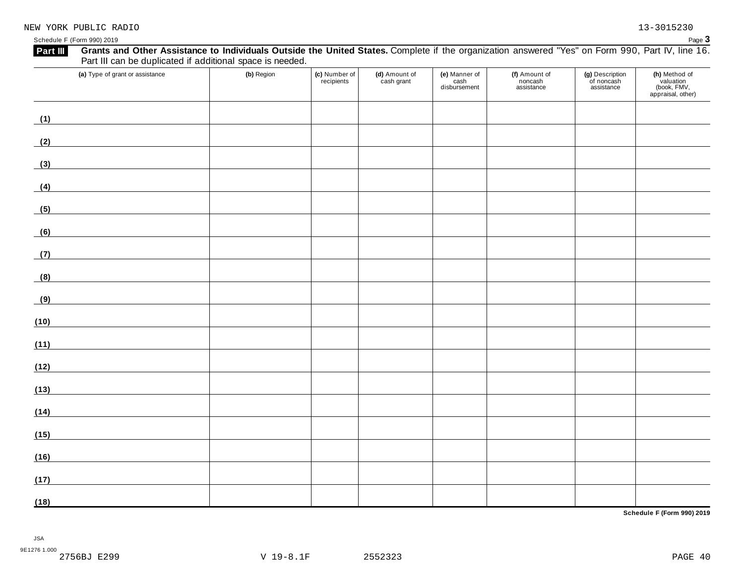| Grants and Other Assistance to Individuals Outside the United States. Complete if the organization answered "Yes" on Form 990, Part IV, line 16.<br>Part III<br>Part III can be duplicated if additional space is needed. |            |                             |                             |                                       |                                        |                                             |                                                                |
|---------------------------------------------------------------------------------------------------------------------------------------------------------------------------------------------------------------------------|------------|-----------------------------|-----------------------------|---------------------------------------|----------------------------------------|---------------------------------------------|----------------------------------------------------------------|
| (a) Type of grant or assistance                                                                                                                                                                                           | (b) Region | (c) Number of<br>recipients | (d) Amount of<br>cash grant | (e) Manner of<br>cash<br>disbursement | (f) Amount of<br>noncash<br>assistance | (g) Description<br>of noncash<br>assistance | (h) Method of<br>valuation<br>(book, FMV,<br>appraisal, other) |
| (1)                                                                                                                                                                                                                       |            |                             |                             |                                       |                                        |                                             |                                                                |
| (2)                                                                                                                                                                                                                       |            |                             |                             |                                       |                                        |                                             |                                                                |
| (3)                                                                                                                                                                                                                       |            |                             |                             |                                       |                                        |                                             |                                                                |
| (4)<br><u> 1980 - Johann Barbara, martxa a</u>                                                                                                                                                                            |            |                             |                             |                                       |                                        |                                             |                                                                |
| (5)                                                                                                                                                                                                                       |            |                             |                             |                                       |                                        |                                             |                                                                |
| (6)                                                                                                                                                                                                                       |            |                             |                             |                                       |                                        |                                             |                                                                |
| (7)                                                                                                                                                                                                                       |            |                             |                             |                                       |                                        |                                             |                                                                |
| (8)                                                                                                                                                                                                                       |            |                             |                             |                                       |                                        |                                             |                                                                |
| (9)                                                                                                                                                                                                                       |            |                             |                             |                                       |                                        |                                             |                                                                |
| (10)                                                                                                                                                                                                                      |            |                             |                             |                                       |                                        |                                             |                                                                |
| (11)                                                                                                                                                                                                                      |            |                             |                             |                                       |                                        |                                             |                                                                |
| (12)                                                                                                                                                                                                                      |            |                             |                             |                                       |                                        |                                             |                                                                |
| (13)                                                                                                                                                                                                                      |            |                             |                             |                                       |                                        |                                             |                                                                |
| (14)<br><u> 1990 - Johann Barbara, martxa a</u>                                                                                                                                                                           |            |                             |                             |                                       |                                        |                                             |                                                                |
| (15)                                                                                                                                                                                                                      |            |                             |                             |                                       |                                        |                                             |                                                                |
| (16)                                                                                                                                                                                                                      |            |                             |                             |                                       |                                        |                                             |                                                                |
| (17)                                                                                                                                                                                                                      |            |                             |                             |                                       |                                        |                                             |                                                                |
| (18)                                                                                                                                                                                                                      |            |                             |                             |                                       |                                        |                                             |                                                                |

**Schedule F (Form 990) 2019**

JSA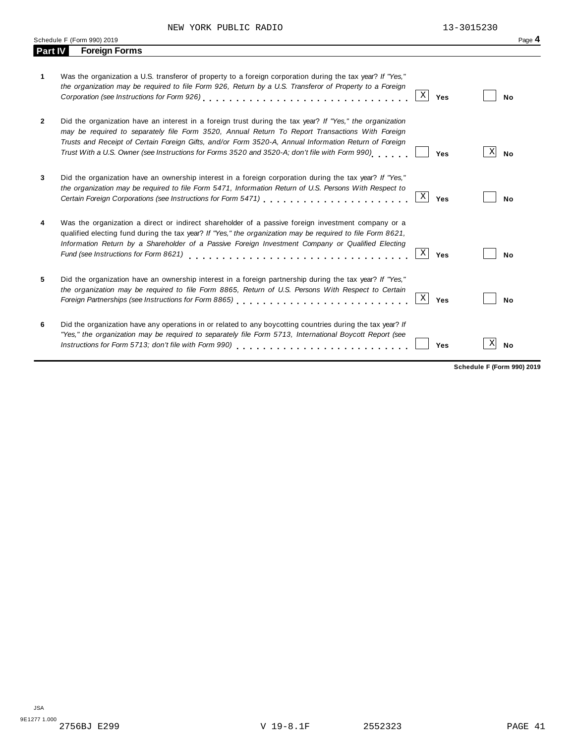|              | Schedule F (Form 990) 2019                                                                                                                                                                                                                                                                                                                                                                                                    | Page 4                     |
|--------------|-------------------------------------------------------------------------------------------------------------------------------------------------------------------------------------------------------------------------------------------------------------------------------------------------------------------------------------------------------------------------------------------------------------------------------|----------------------------|
| Part IV      | <b>Foreign Forms</b>                                                                                                                                                                                                                                                                                                                                                                                                          |                            |
| 1            | Was the organization a U.S. transferor of property to a foreign corporation during the tax year? If "Yes,"<br>the organization may be required to file Form 926, Return by a U.S. Transferor of Property to a Foreign<br>$\mathbf X$<br>Yes                                                                                                                                                                                   | <b>No</b>                  |
| $\mathbf{2}$ | Did the organization have an interest in a foreign trust during the tax year? If "Yes," the organization<br>may be required to separately file Form 3520, Annual Return To Report Transactions With Foreign<br>Trusts and Receipt of Certain Foreign Gifts, and/or Form 3520-A, Annual Information Return of Foreign<br>Trust With a U.S. Owner (see Instructions for Forms 3520 and 3520-A; don't file with Form 990)<br>Yes | X<br><b>No</b>             |
| 3            | Did the organization have an ownership interest in a foreign corporation during the tax year? If "Yes,"<br>the organization may be required to file Form 5471, Information Return of U.S. Persons With Respect to<br>Χ<br>Yes                                                                                                                                                                                                 | No                         |
| 4            | Was the organization a direct or indirect shareholder of a passive foreign investment company or a<br>qualified electing fund during the tax year? If "Yes," the organization may be required to file Form 8621,<br>Information Return by a Shareholder of a Passive Foreign Investment Company or Qualified Electing<br>$\mathbf X$<br>Fund (see Instructions for Form 8621)<br>Yes                                          | No                         |
| 5            | Did the organization have an ownership interest in a foreign partnership during the tax year? If "Yes,"<br>the organization may be required to file Form 8865, Return of U.S. Persons With Respect to Certain<br>Χ<br>Yes                                                                                                                                                                                                     | No                         |
| 6            | Did the organization have any operations in or related to any boycotting countries during the tax year? If<br>"Yes," the organization may be required to separately file Form 5713, International Boycott Report (see<br>Yes                                                                                                                                                                                                  | Χ<br>No                    |
|              |                                                                                                                                                                                                                                                                                                                                                                                                                               | Schedule F (Form 990) 2019 |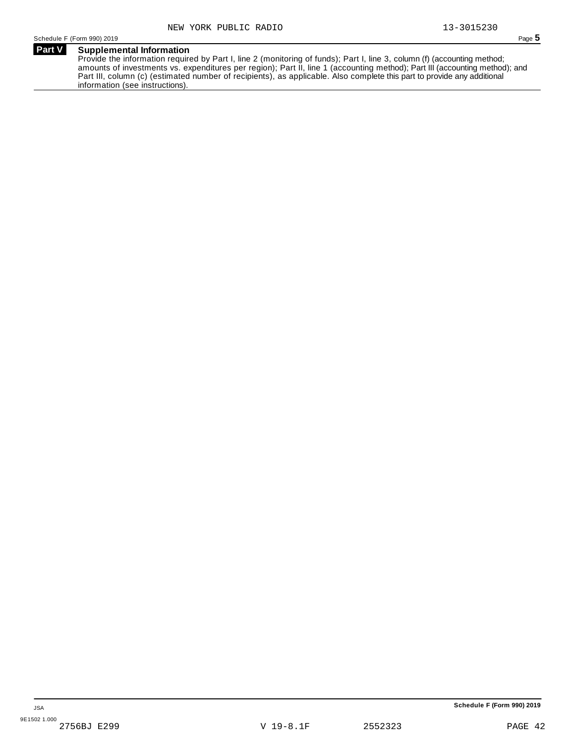### **Part V Supplemental Information**

Provide the information required by Part I, line 2 (monitoring of funds); Part I, line 3, column (f) (accounting method; amounts of investments vs. expenditures per region); Part II, line 1 (accounting method); Part III (accounting method); and Part III, column (c) (estimated number of recipients), as applicable. Also complete this part to provide any additional information (see instructions).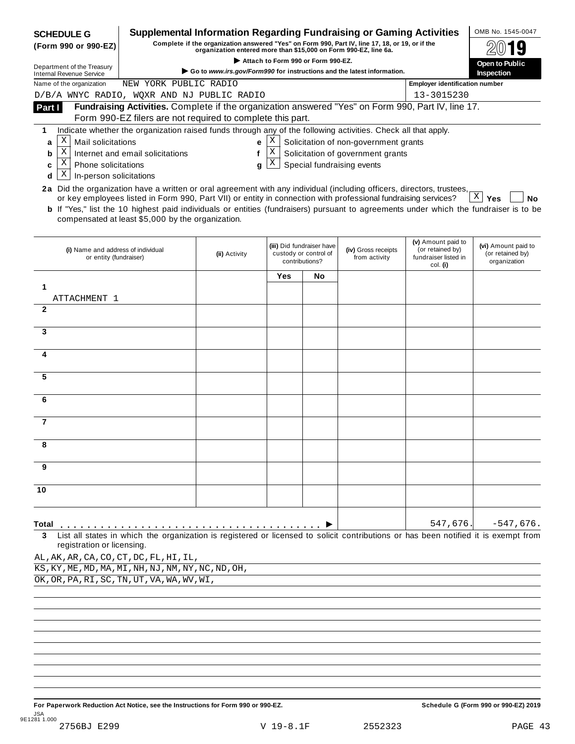| <b>SCHEDULE G</b>                                                                                                                                                                           |                                                                                                                                                                                                   | <b>Supplemental Information Regarding Fundraising or Gaming Activities</b> |                  |                                         |                                                                            |                                                      | OMB No. 1545-0047                |  |
|---------------------------------------------------------------------------------------------------------------------------------------------------------------------------------------------|---------------------------------------------------------------------------------------------------------------------------------------------------------------------------------------------------|----------------------------------------------------------------------------|------------------|-----------------------------------------|----------------------------------------------------------------------------|------------------------------------------------------|----------------------------------|--|
| Complete if the organization answered "Yes" on Form 990, Part IV, line 17, 18, or 19, or if the<br>(Form 990 or 990-EZ)<br>organization entered more than \$15,000 on Form 990-EZ, line 6a. |                                                                                                                                                                                                   |                                                                            |                  |                                         |                                                                            |                                                      |                                  |  |
| Department of the Treasury                                                                                                                                                                  | Attach to Form 990 or Form 990-EZ.<br>Go to www.irs.gov/Form990 for instructions and the latest information.                                                                                      |                                                                            |                  |                                         |                                                                            |                                                      |                                  |  |
| <b>Internal Revenue Service</b><br>Name of the organization                                                                                                                                 | NEW YORK PUBLIC RADIO                                                                                                                                                                             |                                                                            |                  |                                         |                                                                            | <b>Employer identification number</b>                | Inspection                       |  |
| D/B/A WNYC RADIO, WQXR AND NJ PUBLIC RADIO                                                                                                                                                  |                                                                                                                                                                                                   |                                                                            |                  |                                         |                                                                            | 13-3015230                                           |                                  |  |
| Part I                                                                                                                                                                                      | Fundraising Activities. Complete if the organization answered "Yes" on Form 990, Part IV, line 17.                                                                                                |                                                                            |                  |                                         |                                                                            |                                                      |                                  |  |
|                                                                                                                                                                                             | Form 990-EZ filers are not required to complete this part.                                                                                                                                        |                                                                            |                  |                                         |                                                                            |                                                      |                                  |  |
| 1<br>Χ                                                                                                                                                                                      | Indicate whether the organization raised funds through any of the following activities. Check all that apply.                                                                                     |                                                                            |                  |                                         |                                                                            |                                                      |                                  |  |
| Mail solicitations<br>a<br>X                                                                                                                                                                | Internet and email solicitations                                                                                                                                                                  | е<br>f                                                                     | Χ<br>$\mathbf X$ |                                         | Solicitation of non-government grants<br>Solicitation of government grants |                                                      |                                  |  |
| b<br>Χ<br>Phone solicitations<br>c                                                                                                                                                          |                                                                                                                                                                                                   | g                                                                          | X                |                                         | Special fundraising events                                                 |                                                      |                                  |  |
| Χ<br>In-person solicitations<br>d                                                                                                                                                           |                                                                                                                                                                                                   |                                                                            |                  |                                         |                                                                            |                                                      |                                  |  |
| 2a Did the organization have a written or oral agreement with any individual (including officers, directors, trustees,                                                                      |                                                                                                                                                                                                   |                                                                            |                  |                                         |                                                                            |                                                      |                                  |  |
|                                                                                                                                                                                             | or key employees listed in Form 990, Part VII) or entity in connection with professional fundraising services?                                                                                    |                                                                            |                  |                                         |                                                                            |                                                      | X<br><b>No</b><br>Yes            |  |
|                                                                                                                                                                                             | <b>b</b> If "Yes," list the 10 highest paid individuals or entities (fundraisers) pursuant to agreements under which the fundraiser is to be<br>compensated at least \$5,000 by the organization. |                                                                            |                  |                                         |                                                                            |                                                      |                                  |  |
|                                                                                                                                                                                             |                                                                                                                                                                                                   |                                                                            |                  | (iii) Did fundraiser have               |                                                                            | (v) Amount paid to                                   | (vi) Amount paid to              |  |
| (i) Name and address of individual<br>or entity (fundraiser)                                                                                                                                |                                                                                                                                                                                                   | (ii) Activity                                                              |                  | custody or control of<br>contributions? | (iv) Gross receipts<br>from activity                                       | (or retained by)<br>fundraiser listed in<br>col. (i) | (or retained by)<br>organization |  |
|                                                                                                                                                                                             |                                                                                                                                                                                                   |                                                                            | Yes              | No                                      |                                                                            |                                                      |                                  |  |
| 1                                                                                                                                                                                           |                                                                                                                                                                                                   |                                                                            |                  |                                         |                                                                            |                                                      |                                  |  |
| ATTACHMENT 1<br>$\mathbf{2}$                                                                                                                                                                |                                                                                                                                                                                                   |                                                                            |                  |                                         |                                                                            |                                                      |                                  |  |
|                                                                                                                                                                                             |                                                                                                                                                                                                   |                                                                            |                  |                                         |                                                                            |                                                      |                                  |  |
| 3                                                                                                                                                                                           |                                                                                                                                                                                                   |                                                                            |                  |                                         |                                                                            |                                                      |                                  |  |
| 4                                                                                                                                                                                           |                                                                                                                                                                                                   |                                                                            |                  |                                         |                                                                            |                                                      |                                  |  |
| 5                                                                                                                                                                                           |                                                                                                                                                                                                   |                                                                            |                  |                                         |                                                                            |                                                      |                                  |  |
| 6                                                                                                                                                                                           |                                                                                                                                                                                                   |                                                                            |                  |                                         |                                                                            |                                                      |                                  |  |
|                                                                                                                                                                                             |                                                                                                                                                                                                   |                                                                            |                  |                                         |                                                                            |                                                      |                                  |  |
| $\overline{7}$                                                                                                                                                                              |                                                                                                                                                                                                   |                                                                            |                  |                                         |                                                                            |                                                      |                                  |  |
| 8                                                                                                                                                                                           |                                                                                                                                                                                                   |                                                                            |                  |                                         |                                                                            |                                                      |                                  |  |
| 9                                                                                                                                                                                           |                                                                                                                                                                                                   |                                                                            |                  |                                         |                                                                            |                                                      |                                  |  |
| 10                                                                                                                                                                                          |                                                                                                                                                                                                   |                                                                            |                  |                                         |                                                                            |                                                      |                                  |  |
|                                                                                                                                                                                             |                                                                                                                                                                                                   |                                                                            |                  |                                         |                                                                            |                                                      |                                  |  |
| Total                                                                                                                                                                                       |                                                                                                                                                                                                   |                                                                            |                  |                                         |                                                                            | 547,676.                                             | $-547,676.$                      |  |
| 3<br>registration or licensing.                                                                                                                                                             | List all states in which the organization is registered or licensed to solicit contributions or has been notified it is exempt from                                                               |                                                                            |                  |                                         |                                                                            |                                                      |                                  |  |
| AL, AK, AR, CA, CO, CT, DC, FL, HI, IL,                                                                                                                                                     |                                                                                                                                                                                                   |                                                                            |                  |                                         |                                                                            |                                                      |                                  |  |
| KS, KY, ME, MD, MA, MI, NH, NJ, NM, NY, NC, ND, OH,                                                                                                                                         |                                                                                                                                                                                                   |                                                                            |                  |                                         |                                                                            |                                                      |                                  |  |
| OK, OR, PA, RI, SC, TN, UT, VA, WA, WV, WI,                                                                                                                                                 |                                                                                                                                                                                                   |                                                                            |                  |                                         |                                                                            |                                                      |                                  |  |
|                                                                                                                                                                                             |                                                                                                                                                                                                   |                                                                            |                  |                                         |                                                                            |                                                      |                                  |  |
|                                                                                                                                                                                             |                                                                                                                                                                                                   |                                                                            |                  |                                         |                                                                            |                                                      |                                  |  |
|                                                                                                                                                                                             |                                                                                                                                                                                                   |                                                                            |                  |                                         |                                                                            |                                                      |                                  |  |
|                                                                                                                                                                                             |                                                                                                                                                                                                   |                                                                            |                  |                                         |                                                                            |                                                      |                                  |  |
|                                                                                                                                                                                             |                                                                                                                                                                                                   |                                                                            |                  |                                         |                                                                            |                                                      |                                  |  |
|                                                                                                                                                                                             |                                                                                                                                                                                                   |                                                                            |                  |                                         |                                                                            |                                                      |                                  |  |
|                                                                                                                                                                                             |                                                                                                                                                                                                   |                                                                            |                  |                                         |                                                                            |                                                      |                                  |  |

For Paperwork Reduction Act Notice, see the Instructions for Form 990 or 990-EZ. Schedule G (Form 990 or 990-EZ) 2019 JSA 9E1281 1.000 2756BJ E299 V 19-8.1F 2552323 PAGE 43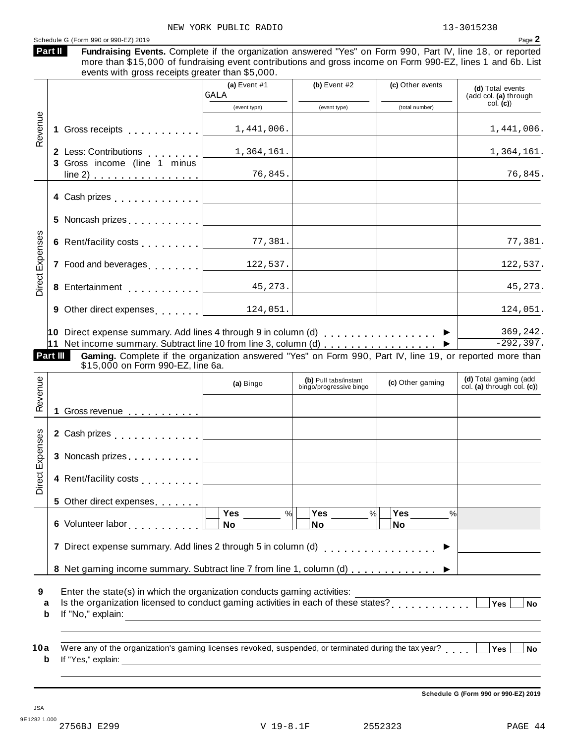#### Schedule <sup>G</sup> (Form <sup>990</sup> or 990-EZ) <sup>2019</sup> Page **2**

| Part II | Fundra |
|---------|--------|
|         |        |

aising Events. Complete if the organization answered "Yes" on Form 990, Part IV, line 18, or reported more than \$15,000 of fundraising event contributions and gross income on Form 990-EZ, lines 1 and 6b. List events with gross receipts greater than \$5,000.

|                                        |                                                                                                                                                                                                                                                                                     | (a) Event $#1$<br>GALA | (b) Event $#2$                                   | (c) Other events      | (d) Total events<br>(add col. (a) through           |
|----------------------------------------|-------------------------------------------------------------------------------------------------------------------------------------------------------------------------------------------------------------------------------------------------------------------------------------|------------------------|--------------------------------------------------|-----------------------|-----------------------------------------------------|
|                                        |                                                                                                                                                                                                                                                                                     | (event type)           | (event type)                                     | (total number)        | col. (c)                                            |
| Revenue<br>1.                          | Gross receipts <b>Container and Street Street Street</b>                                                                                                                                                                                                                            | 1,441,006.             |                                                  |                       | 1,441,006.                                          |
|                                        | 2 Less: Contributions                                                                                                                                                                                                                                                               | 1,364,161.             |                                                  |                       | 1,364,161.                                          |
|                                        | 3 Gross income (line 1 minus<br>$line 2)$                                                                                                                                                                                                                                           | 76,845.                |                                                  |                       | 76,845.                                             |
|                                        | 4 Cash prizes [19]                                                                                                                                                                                                                                                                  |                        |                                                  |                       |                                                     |
|                                        | 5 Noncash prizes [1,1,1,1,1,1,1]                                                                                                                                                                                                                                                    |                        |                                                  |                       |                                                     |
|                                        | 6 Rent/facility costs [                                                                                                                                                                                                                                                             | 77,381.                |                                                  |                       | 77,381.                                             |
| Direct Expenses                        | 7 Food and beverages [1, 1, 1, 1, 1]                                                                                                                                                                                                                                                | 122,537.               |                                                  |                       | 122,537.                                            |
|                                        |                                                                                                                                                                                                                                                                                     | 45,273.                |                                                  |                       | 45,273.                                             |
|                                        | 9 Other direct expenses and set of the set of the set of the set of the set of the set of the set o                                                                                                                                                                                 | 124,051.               |                                                  |                       | 124,051.                                            |
|                                        |                                                                                                                                                                                                                                                                                     |                        |                                                  |                       |                                                     |
|                                        | 10 Direct expense summary. Add lines 4 through 9 in column (d) $\ldots \ldots \ldots \ldots$                                                                                                                                                                                        |                        |                                                  |                       |                                                     |
|                                        | 11 Net income summary. Subtract line 10 from line 3, column (d) <u> ▶</u><br>Gaming. Complete if the organization answered "Yes" on Form 990, Part IV, line 19, or reported more than                                                                                               |                        |                                                  |                       |                                                     |
|                                        | \$15,000 on Form 990-EZ, line 6a.                                                                                                                                                                                                                                                   | (a) Bingo              | (b) Pull tabs/instant<br>bingo/progressive bingo | (c) Other gaming      | (d) Total gaming (add<br>col. (a) through col. (c)) |
| 1                                      |                                                                                                                                                                                                                                                                                     |                        |                                                  |                       | 369,242.<br>$-292, 397.$                            |
|                                        | Gross revenue <b>container</b> contains the containing of the containing of the containing of the containing of the containing of the containing of the containing of the containing of the containing of the containing of the con<br>2 Cash prizes <b>contained 2</b> Cash prizes |                        |                                                  |                       |                                                     |
|                                        | 3 Noncash prizes                                                                                                                                                                                                                                                                    |                        |                                                  |                       |                                                     |
|                                        | 4 Rent/facility costs                                                                                                                                                                                                                                                               |                        |                                                  |                       |                                                     |
| Part III<br>Revenue<br>Direct Expenses | Other direct expenses expenses<br>5.                                                                                                                                                                                                                                                |                        |                                                  |                       |                                                     |
|                                        | 6 Volunteer labor                                                                                                                                                                                                                                                                   | Yes<br>%<br>No         | <b>Yes</b><br>$\%$<br>No                         | <b>Yes</b><br>%<br>No |                                                     |
|                                        | 7 Direct expense summary. Add lines 2 through 5 in column (d)                                                                                                                                                                                                                       |                        |                                                  |                       |                                                     |

Erner the state(s) in which the organization conducts gaming activities.<br> **a** Is the organization licensed to conduct gaming activities in each of these states?<br> **b** If the theoretic state of the state of the states of the **b** If "No," explain:

| 10a Were any of the organization's gaming licenses revoked, suspended, or terminated during the tax year? $\Box$ Yes $\Box$ No |  |
|--------------------------------------------------------------------------------------------------------------------------------|--|
| <b>b</b> If "Yes," explain:                                                                                                    |  |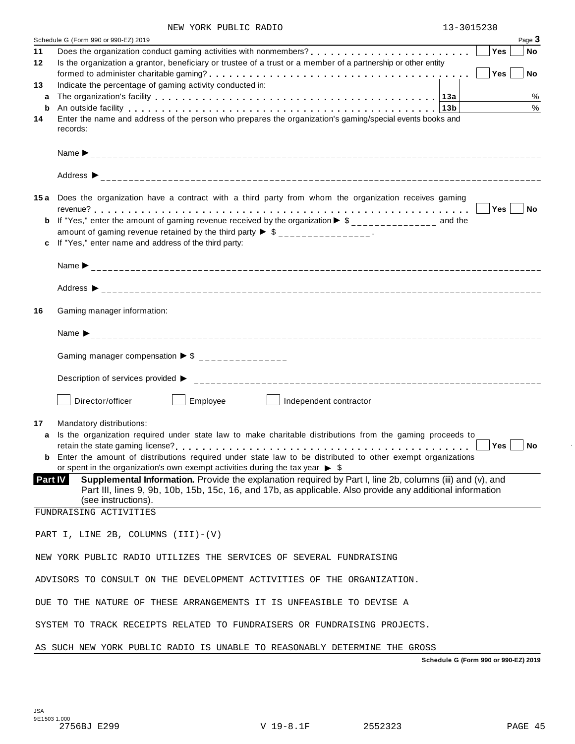|  | NEW YORK PUBLIC RADIO |  | 13-3015230 |
|--|-----------------------|--|------------|
|--|-----------------------|--|------------|

|         | Page 3<br>Schedule G (Form 990 or 990-EZ) 2019                                                                                                                                                                                         |
|---------|----------------------------------------------------------------------------------------------------------------------------------------------------------------------------------------------------------------------------------------|
| 11      | Yes<br>No                                                                                                                                                                                                                              |
| 12      | Is the organization a grantor, beneficiary or trustee of a trust or a member of a partnership or other entity                                                                                                                          |
|         | Yes <sup></sup><br>No                                                                                                                                                                                                                  |
| 13<br>a | Indicate the percentage of gaming activity conducted in:<br>%<br>The organization's facility enterpreened in the enterpreened in the crystal of the organization's facility enterpreened in the crystal of the organization's facility |
| b       | $\%$<br>An outside facility enterpreteration of the control of the control of the control of the control of the control of the control of the control of the control of the control of the control of the control of the control of th |
| 14      | Enter the name and address of the person who prepares the organization's gaming/special events books and                                                                                                                               |
|         | records:                                                                                                                                                                                                                               |
|         |                                                                                                                                                                                                                                        |
|         |                                                                                                                                                                                                                                        |
|         |                                                                                                                                                                                                                                        |
|         | 15a Does the organization have a contract with a third party from whom the organization receives gaming                                                                                                                                |
|         | Yes No                                                                                                                                                                                                                                 |
|         | <b>b</b> If "Yes," enter the amount of gaming revenue received by the organization $\triangleright$ \$_______________ and the                                                                                                          |
|         | amount of gaming revenue retained by the third party $\triangleright$ \$ _______________.                                                                                                                                              |
|         | c If "Yes," enter name and address of the third party:                                                                                                                                                                                 |
|         |                                                                                                                                                                                                                                        |
|         |                                                                                                                                                                                                                                        |
| 16      | Gaming manager information:                                                                                                                                                                                                            |
|         |                                                                                                                                                                                                                                        |
|         | Gaming manager compensation $\triangleright$ \$ _______________                                                                                                                                                                        |
|         |                                                                                                                                                                                                                                        |
|         | Director/officer<br>Employee   Independent contractor                                                                                                                                                                                  |
| 17      | Mandatory distributions:                                                                                                                                                                                                               |
| a       | Is the organization required under state law to make charitable distributions from the gaming proceeds to                                                                                                                              |
|         | Yes<br>No                                                                                                                                                                                                                              |
|         | <b>b</b> Enter the amount of distributions required under state law to be distributed to other exempt organizations                                                                                                                    |
| Part IV | or spent in the organization's own exempt activities during the tax year $\triangleright$ \$<br>Supplemental Information. Provide the explanation required by Part I, line 2b, columns (iii) and (v), and                              |
|         | Part III, lines 9, 9b, 10b, 15b, 15c, 16, and 17b, as applicable. Also provide any additional information                                                                                                                              |
|         | (see instructions).                                                                                                                                                                                                                    |
|         | FUNDRAISING ACTIVITIES                                                                                                                                                                                                                 |
|         | PART I, LINE 2B, COLUMNS (III)-(V)                                                                                                                                                                                                     |
|         | NEW YORK PUBLIC RADIO UTILIZES THE SERVICES OF SEVERAL FUNDRAISING                                                                                                                                                                     |
|         | ADVISORS TO CONSULT ON THE DEVELOPMENT ACTIVITIES OF THE ORGANIZATION.                                                                                                                                                                 |
|         | DUE TO THE NATURE OF THESE ARRANGEMENTS IT IS UNFEASIBLE TO DEVISE A                                                                                                                                                                   |
|         | SYSTEM TO TRACK RECEIPTS RELATED TO FUNDRAISERS OR FUNDRAISING PROJECTS.                                                                                                                                                               |
|         | AS SUCH NEW YORK PUBLIC RADIO IS UNABLE TO REASONABLY DETERMINE THE GROSS                                                                                                                                                              |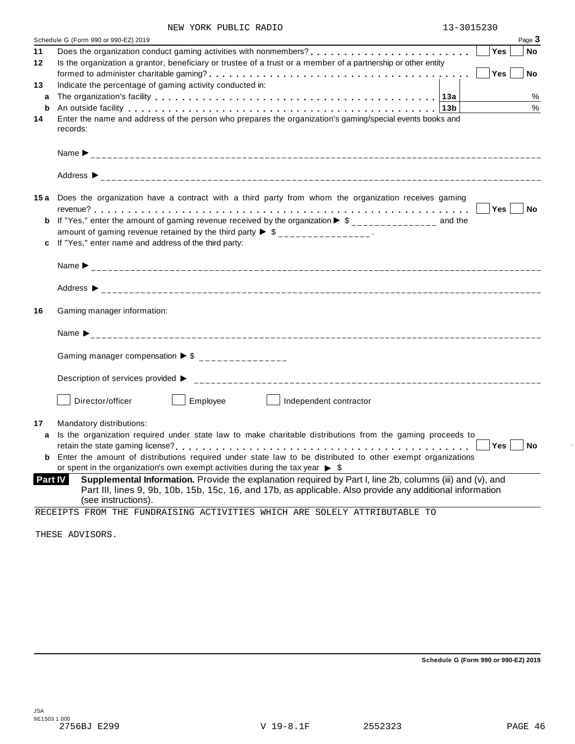| NEW YORK PUBLIC RADIO |  | 13-3015230 |  |
|-----------------------|--|------------|--|
|                       |  |            |  |

|    | Schedule G (Form 990 or 990-EZ) 2019                                                                                                                                                                                                                            | Page 3                       |
|----|-----------------------------------------------------------------------------------------------------------------------------------------------------------------------------------------------------------------------------------------------------------------|------------------------------|
| 11 |                                                                                                                                                                                                                                                                 | Yes<br>No                    |
| 12 | Is the organization a grantor, beneficiary or trustee of a trust or a member of a partnership or other entity                                                                                                                                                   |                              |
|    |                                                                                                                                                                                                                                                                 | Yes <sup></sup><br><b>No</b> |
| 13 | Indicate the percentage of gaming activity conducted in:                                                                                                                                                                                                        |                              |
| a  |                                                                                                                                                                                                                                                                 | %                            |
| b  | An outside facility enterpretation of the control of the control of the control of the control of the control o                                                                                                                                                 | %                            |
| 14 | Enter the name and address of the person who prepares the organization's gaming/special events books and<br>records:                                                                                                                                            |                              |
|    |                                                                                                                                                                                                                                                                 |                              |
|    |                                                                                                                                                                                                                                                                 |                              |
|    | 15a Does the organization have a contract with a third party from whom the organization receives gaming                                                                                                                                                         |                              |
|    |                                                                                                                                                                                                                                                                 | Yes No                       |
| b  | If "Yes," enter the amount of gaming revenue received by the organization $\triangleright$ \$ ______________ and the                                                                                                                                            |                              |
|    | amount of gaming revenue retained by the third party $\triangleright$ \$ _______________.                                                                                                                                                                       |                              |
| c  | If "Yes," enter name and address of the third party:                                                                                                                                                                                                            |                              |
|    |                                                                                                                                                                                                                                                                 |                              |
|    |                                                                                                                                                                                                                                                                 |                              |
|    |                                                                                                                                                                                                                                                                 |                              |
| 16 | Gaming manager information:                                                                                                                                                                                                                                     |                              |
|    |                                                                                                                                                                                                                                                                 |                              |
|    | Gaming manager compensation $\triangleright$ \$ _______________                                                                                                                                                                                                 |                              |
|    |                                                                                                                                                                                                                                                                 |                              |
|    | Employee<br>Director/officer<br>Independent contractor                                                                                                                                                                                                          |                              |
| 17 | Mandatory distributions:                                                                                                                                                                                                                                        |                              |
| a  | Is the organization required under state law to make charitable distributions from the gaming proceeds to                                                                                                                                                       |                              |
|    |                                                                                                                                                                                                                                                                 | Yes  <br><b>No</b>           |
| b  | Enter the amount of distributions required under state law to be distributed to other exempt organizations                                                                                                                                                      |                              |
|    | or spent in the organization's own exempt activities during the tax year $\triangleright$ \$                                                                                                                                                                    |                              |
|    | Supplemental Information. Provide the explanation required by Part I, line 2b, columns (iii) and (v), and<br><b>Part IV</b><br>Part III, lines 9, 9b, 10b, 15b, 15c, 16, and 17b, as applicable. Also provide any additional information<br>(see instructions). |                              |

THESE ADVISORS.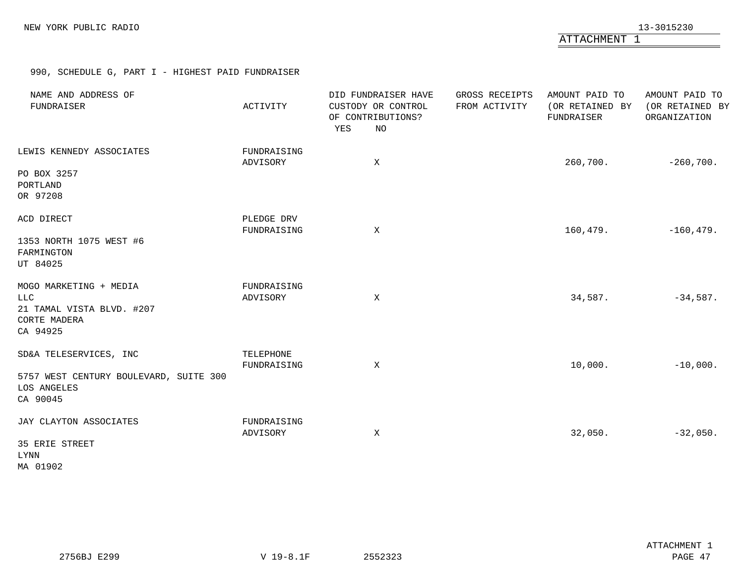ATTACHMENT 1

990, SCHEDULE G, PART I - HIGHEST PAID FUNDRAISER

<span id="page-45-0"></span>

| NAME AND ADDRESS OF<br>FUNDRAISER                                                             | ACTIVITY                  | DID FUNDRAISER HAVE<br>CUSTODY OR CONTROL<br>OF CONTRIBUTIONS?<br>YES<br>NO | GROSS RECEIPTS<br>FROM ACTIVITY | AMOUNT PAID TO<br>(OR RETAINED BY<br>FUNDRAISER | AMOUNT PAID TO<br>(OR RETAINED BY<br>ORGANIZATION |
|-----------------------------------------------------------------------------------------------|---------------------------|-----------------------------------------------------------------------------|---------------------------------|-------------------------------------------------|---------------------------------------------------|
| LEWIS KENNEDY ASSOCIATES<br>PO BOX 3257<br>PORTLAND<br>OR 97208                               | FUNDRAISING<br>ADVISORY   | X                                                                           |                                 | 260,700.                                        | $-260,700.$                                       |
| ACD DIRECT<br>1353 NORTH 1075 WEST #6<br>FARMINGTON<br>UT 84025                               | PLEDGE DRV<br>FUNDRAISING | $\mathbf X$                                                                 |                                 | 160,479.                                        | $-160, 479.$                                      |
| MOGO MARKETING + MEDIA<br>LLC<br>21 TAMAL VISTA BLVD. #207<br><b>CORTE MADERA</b><br>CA 94925 | FUNDRAISING<br>ADVISORY   | X                                                                           |                                 | 34,587.                                         | $-34,587.$                                        |
| SD&A TELESERVICES, INC<br>5757 WEST CENTURY BOULEVARD, SUITE 300<br>LOS ANGELES<br>CA 90045   | TELEPHONE<br>FUNDRAISING  | $\mathbf{X}$                                                                |                                 | 10,000.                                         | $-10,000.$                                        |
| JAY CLAYTON ASSOCIATES<br>35 ERIE STREET<br>LYNN<br>MA 01902                                  | FUNDRAISING<br>ADVISORY   | X                                                                           |                                 | 32,050.                                         | $-32,050.$                                        |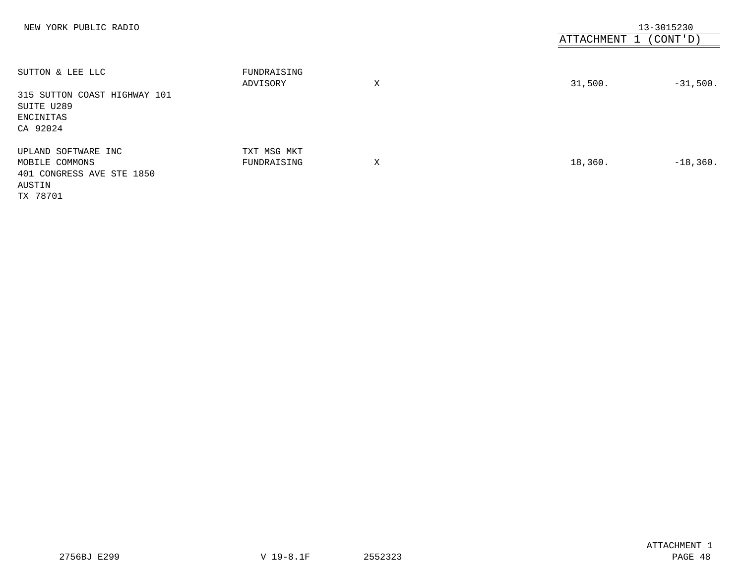| NEW YORK PUBLIC RADIO                                                                   |                            |   | ATTACHMENT 1 (CONT'D) | 13-3015230 |
|-----------------------------------------------------------------------------------------|----------------------------|---|-----------------------|------------|
| SUTTON & LEE LLC<br>315 SUTTON COAST HIGHWAY 101<br>SUITE U289<br>ENCINITAS<br>CA 92024 | FUNDRAISING<br>ADVISORY    | X | 31,500.               | $-31,500.$ |
| UPLAND SOFTWARE INC<br>MOBILE COMMONS<br>401 CONGRESS AVE STE 1850<br>AUSTIN            | TXT MSG MKT<br>FUNDRAISING | X | 18,360.               | $-18,360.$ |

TX 78701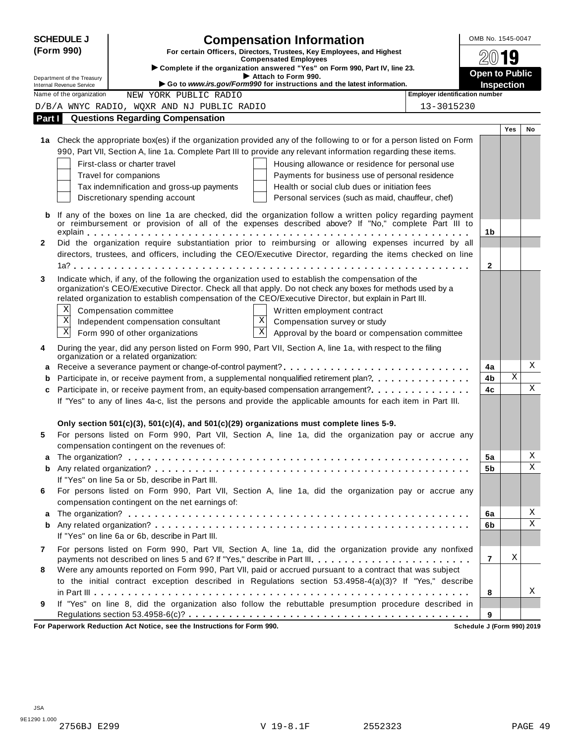|              | <b>SCHEDULE J</b>                                           | <b>Compensation Information</b>                                                                                                                                                                                   | OMB No. 1545-0047     |            |    |  |
|--------------|-------------------------------------------------------------|-------------------------------------------------------------------------------------------------------------------------------------------------------------------------------------------------------------------|-----------------------|------------|----|--|
|              | (Form 990)                                                  | For certain Officers, Directors, Trustees, Key Employees, and Highest                                                                                                                                             |                       |            |    |  |
|              |                                                             | <b>Compensated Employees</b><br>Complete if the organization answered "Yes" on Form 990, Part IV, line 23.                                                                                                        |                       | 19         |    |  |
|              | Department of the Treasury                                  | Attach to Form 990.                                                                                                                                                                                               | <b>Open to Public</b> |            |    |  |
|              | <b>Internal Revenue Service</b><br>Name of the organization | Go to www.irs.gov/Form990 for instructions and the latest information.<br><b>Employer identification number</b><br>NEW YORK PUBLIC RADIO                                                                          | <b>Inspection</b>     |            |    |  |
|              |                                                             | D/B/A WNYC RADIO, WQXR AND NJ PUBLIC RADIO<br>13-3015230                                                                                                                                                          |                       |            |    |  |
| Part I       |                                                             | <b>Questions Regarding Compensation</b>                                                                                                                                                                           |                       |            |    |  |
|              |                                                             |                                                                                                                                                                                                                   |                       | <b>Yes</b> | No |  |
|              |                                                             | 1a Check the appropriate box(es) if the organization provided any of the following to or for a person listed on Form                                                                                              |                       |            |    |  |
|              |                                                             | 990, Part VII, Section A, line 1a. Complete Part III to provide any relevant information regarding these items.                                                                                                   |                       |            |    |  |
|              |                                                             | First-class or charter travel<br>Housing allowance or residence for personal use                                                                                                                                  |                       |            |    |  |
|              |                                                             | Payments for business use of personal residence<br>Travel for companions                                                                                                                                          |                       |            |    |  |
|              |                                                             | Tax indemnification and gross-up payments<br>Health or social club dues or initiation fees                                                                                                                        |                       |            |    |  |
|              |                                                             | Discretionary spending account<br>Personal services (such as maid, chauffeur, chef)                                                                                                                               |                       |            |    |  |
|              |                                                             |                                                                                                                                                                                                                   |                       |            |    |  |
| b            |                                                             | If any of the boxes on line 1a are checked, did the organization follow a written policy regarding payment<br>or reimbursement or provision of all of the expenses described above? If "No," complete Part III to |                       |            |    |  |
|              |                                                             |                                                                                                                                                                                                                   | 1 <sub>b</sub>        |            |    |  |
| $\mathbf{2}$ |                                                             | Did the organization require substantiation prior to reimbursing or allowing expenses incurred by all                                                                                                             |                       |            |    |  |
|              |                                                             | directors, trustees, and officers, including the CEO/Executive Director, regarding the items checked on line                                                                                                      |                       |            |    |  |
|              |                                                             |                                                                                                                                                                                                                   | $\mathbf{2}$          |            |    |  |
| 3            |                                                             | Indicate which, if any, of the following the organization used to establish the compensation of the                                                                                                               |                       |            |    |  |
|              |                                                             | organization's CEO/Executive Director. Check all that apply. Do not check any boxes for methods used by a                                                                                                         |                       |            |    |  |
|              |                                                             | related organization to establish compensation of the CEO/Executive Director, but explain in Part III.                                                                                                            |                       |            |    |  |
|              | X                                                           | Compensation committee<br>Written employment contract                                                                                                                                                             |                       |            |    |  |
|              | $\mathbf X$                                                 | $\mathbf X$<br>Independent compensation consultant<br>Compensation survey or study                                                                                                                                |                       |            |    |  |
|              | $\mathbf X$                                                 | $\overline{\mathbf{x}}$<br>Form 990 of other organizations<br>Approval by the board or compensation committee                                                                                                     |                       |            |    |  |
| 4            |                                                             | During the year, did any person listed on Form 990, Part VII, Section A, line 1a, with respect to the filing                                                                                                      |                       |            |    |  |
|              |                                                             | organization or a related organization:                                                                                                                                                                           |                       |            | Χ  |  |
| a            |                                                             |                                                                                                                                                                                                                   | 4a                    | Χ          |    |  |
| b            |                                                             | Participate in, or receive payment from, a supplemental nonqualified retirement plan?.                                                                                                                            | 4b                    |            | X  |  |
| c            |                                                             | Participate in, or receive payment from, an equity-based compensation arrangement?<br>If "Yes" to any of lines 4a-c, list the persons and provide the applicable amounts for each item in Part III.               | 4c                    |            |    |  |
|              |                                                             |                                                                                                                                                                                                                   |                       |            |    |  |
|              |                                                             | Only section 501(c)(3), 501(c)(4), and 501(c)(29) organizations must complete lines 5-9.                                                                                                                          |                       |            |    |  |
| 5            |                                                             | For persons listed on Form 990, Part VII, Section A, line 1a, did the organization pay or accrue any                                                                                                              |                       |            |    |  |
|              |                                                             | compensation contingent on the revenues of:                                                                                                                                                                       |                       |            |    |  |
| а            |                                                             |                                                                                                                                                                                                                   | 5a                    |            | Χ  |  |
| b            |                                                             |                                                                                                                                                                                                                   | 5b                    |            | Χ  |  |
|              |                                                             | If "Yes" on line 5a or 5b, describe in Part III.                                                                                                                                                                  |                       |            |    |  |
| 6            |                                                             | For persons listed on Form 990, Part VII, Section A, line 1a, did the organization pay or accrue any                                                                                                              |                       |            |    |  |
|              |                                                             | compensation contingent on the net earnings of:                                                                                                                                                                   |                       |            |    |  |
| а            |                                                             |                                                                                                                                                                                                                   | 6a                    |            | Χ  |  |
| b            |                                                             |                                                                                                                                                                                                                   | 6b                    |            | Χ  |  |
|              |                                                             | If "Yes" on line 6a or 6b, describe in Part III.                                                                                                                                                                  |                       |            |    |  |
| 7            |                                                             | For persons listed on Form 990, Part VII, Section A, line 1a, did the organization provide any nonfixed                                                                                                           |                       |            |    |  |
|              |                                                             | payments not described on lines 5 and 6? If "Yes," describe in Part III.                                                                                                                                          | 7                     | Χ          |    |  |
| 8            |                                                             | Were any amounts reported on Form 990, Part VII, paid or accrued pursuant to a contract that was subject                                                                                                          |                       |            |    |  |
|              |                                                             | to the initial contract exception described in Regulations section 53.4958-4(a)(3)? If "Yes," describe                                                                                                            |                       |            |    |  |
|              |                                                             |                                                                                                                                                                                                                   | 8                     |            | Χ  |  |
| 9            |                                                             | If "Yes" on line 8, did the organization also follow the rebuttable presumption procedure described in                                                                                                            |                       |            |    |  |
|              |                                                             |                                                                                                                                                                                                                   | 9                     |            |    |  |

**For Paperwork Reduction Act Notice, see the Instructions for Form 990. Schedule J (Form 990) 2019**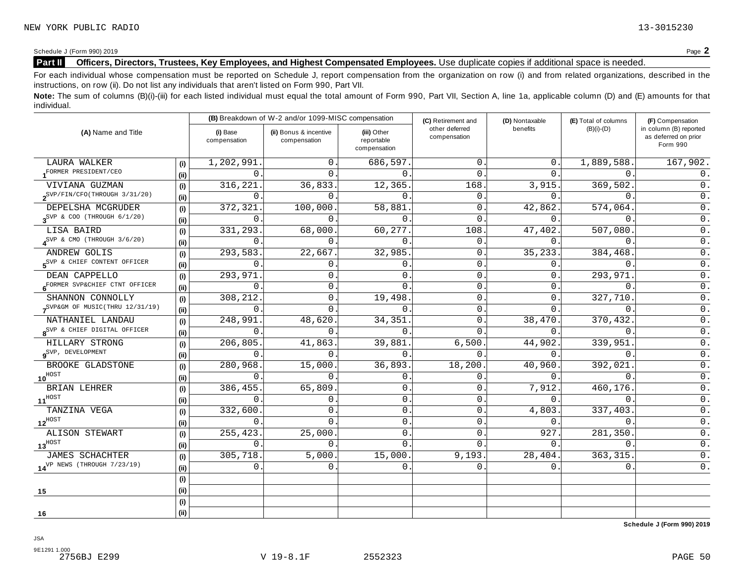Schedule <sup>J</sup> (Form 990) <sup>2019</sup> Page **2**

### **Part II Officers, Directors, Trustees, Key Employees, and Highest Compensated Employees.** Use duplicate copies ifadditional space is needed.

For each individual whose compensation must be reported on Schedule J, report compensation from the organization on row (i) and from related organizations, described in the instructions, on row (ii). Do not list any individuals that aren't listed on Form 990, Part VII.

Note: The sum of columns (B)(i)-(iii) for each listed individual must equal the total amount of Form 990, Part VII, Section A, line 1a, applicable column (D) and (E) amounts for that individual.

|                                                  |      | (B) Breakdown of W-2 and/or 1099-MISC compensation |                                        |                                           | (C) Retirement and             | (D) Nontaxable | (E) Total of columns | (F) Compensation                                           |  |
|--------------------------------------------------|------|----------------------------------------------------|----------------------------------------|-------------------------------------------|--------------------------------|----------------|----------------------|------------------------------------------------------------|--|
| (A) Name and Title                               |      | (i) Base<br>compensation                           | (ii) Bonus & incentive<br>compensation | (iii) Other<br>reportable<br>compensation | other deferred<br>compensation | benefits       | $(B)(i)-(D)$         | in column (B) reported<br>as deferred on prior<br>Form 990 |  |
| LAURA WALKER                                     | (i)  | 1,202,991                                          | $\overline{0}$ .                       | 686,597.                                  | $\mathbf{0}$                   | 0.             | 1,889,588.           | 167,902.                                                   |  |
| FORMER PRESIDENT/CEO                             | (i)  | 0                                                  | $\overline{0}$ .                       | $\Omega$                                  | $\Omega$                       | 0.             | $\overline{0}$ .     | $0$ .                                                      |  |
| VIVIANA GUZMAN                                   | (i)  | 316,221                                            | 36,833.                                | 12,365.                                   | 168                            | 3,915.         | 369,502.             | 0.                                                         |  |
| $2^{SVP/FIN/CFO(THROUGH 3/31/20)}$               | (ii) | $\Omega$                                           | $\Omega$ .                             | $\Omega$                                  | $\mathbf{0}$ .                 | $\Omega$ .     | $\Omega$ .           | 0.                                                         |  |
| DEPELSHA MCGRUDER                                | (i)  | 372,321                                            | 100,000                                | 58,881                                    | $\overline{0}$ .               | 42,862.        | 574,064.             | $\overline{0}$ .                                           |  |
| $3^{\text{SVP}}$ & COO (THROUGH $6/1/20$ )       | (ii) | $\Omega$                                           | $\Omega$ .                             | $\Omega$                                  | $\Omega$                       | 0.             | $\Omega$ .           | $\overline{0}$ .                                           |  |
| LISA BAIRD                                       | (i)  | 331,293                                            | 68,000                                 | 60,277                                    | 108                            | 47,402.        | 507,080              | $\overline{0}$ .                                           |  |
| $\textbf{A}^{\text{SVP}}$ & CMO (THROUGH 3/6/20) | (ii) | $\mathbf{0}$                                       | $\mathbf 0$ .                          | $\mathbf{0}$                              | 0.                             | 0.             | $\mathbf{0}$ .       | $0$ .                                                      |  |
| ANDREW GOLIS                                     | (i)  | 293,583                                            | 22,667.                                | 32,985                                    | 0                              | 35,233.        | 384,468              | $\overline{0}$ .                                           |  |
| SVP & CHIEF CONTENT OFFICER                      | (ii) | 0                                                  | 0.                                     | $\mathbf{0}$                              | 0                              | 0.             | $\mathbf{0}$ .       | $0$ .                                                      |  |
| DEAN CAPPELLO                                    | (i)  | 293,971                                            | 0.                                     | $\mathbf{0}$                              | 0                              | 0.             | 293,971              | $0$ .                                                      |  |
| 6 <sup>FORMER</sup> SVP&CHIEF CTNT OFFICER       | (ii) | 0                                                  | 0.                                     | $\mathbf 0$                               | 0                              | $\mathbf 0$ .  | $\mathbf{0}$ .       | $\mathsf 0$ .                                              |  |
| SHANNON CONNOLLY                                 | (i)  | 308,212                                            | 0.                                     | 19,498                                    | 0                              | 0.             | 327,710.             | $\overline{0}$ .                                           |  |
| SVP&GM OF MUSIC(THRU 12/31/19)                   | (ii) | 0                                                  | $\mathbf 0$ .                          | $\Omega$                                  | 0                              | $\Omega$ .     | $\overline{0}$ .     | $\overline{0}$ .                                           |  |
| NATHANIEL LANDAU                                 | (i)  | 248,991                                            | 48,620.                                | 34, 351.                                  | $\Omega$                       | 38,470.        | 370,432.             | $\overline{0}$ .                                           |  |
| 8 <sup>SVP &amp;</sup> CHIEF DIGITAL OFFICER     | (ii) | $\Omega$                                           | $\Omega$ .                             | $\Omega$                                  | 0                              | 0.             | $\mathbf 0$ .        | $\overline{0}$ .                                           |  |
| HILLARY STRONG                                   | (i)  | 206,805.                                           | 41,863.                                | 39,881.                                   | 6,500.                         | 44,902.        | 339,951              | $0$ .                                                      |  |
| $9^{\text{SVP}}$ , DEVELOPMENT                   | (ii) | $\Omega$                                           | 0.                                     | $\Omega$ .                                | $\Omega$ .                     | 0.             | $\Omega$ .           | $\overline{0}$ .                                           |  |
| BROOKE GLADSTONE                                 | (i)  | 280,968.                                           | 15,000.                                | 36,893.                                   | 18,200                         | 40,960.        | 392,021              | $\overline{0}$ .                                           |  |
| $10^{\text{HOST}}$                               | (ii) | $\Omega$                                           | $\Omega$ .                             | $\mathbf{0}$                              | 0                              | 0.             | $\Omega$ .           | $\overline{0}$ .                                           |  |
| BRIAN LEHRER                                     | (i)  | 386,455                                            | 65,809                                 | $\mathbf{0}$                              | 0.                             | 7,912.         | 460,176.             | $\mathsf 0$ .                                              |  |
| $11^{\text{HOST}}$                               | (ii) | $\Omega$                                           | $\mathbf 0$ .                          | $\mathbf 0$                               | $\mathbf{0}$ .                 | 0.             | $\mathbf{0}$ .       | $\mathsf 0$ .                                              |  |
| TANZINA VEGA                                     | (i)  | 332,600                                            | 0.                                     | $\mathbf 0$                               | 0                              | 4,803.         | 337,403.             | $\overline{0}$ .                                           |  |
| $12^{\rm HOST}$                                  | (ii) | $\mathbf{0}$                                       | $\Omega$ .                             | $\mathbf 0$                               | $\mathbf 0$ .                  | 0.             | $\mathbf{0}$ .       | $\overline{0}$ .                                           |  |
| ALISON STEWART                                   | (i)  | 255, 423.                                          | 25,000                                 | $\mathbf{0}$                              | 0.                             | 927.           | 281,350.             | $\overline{0}$ .                                           |  |
| $13^{\rm HOST}$                                  | (i)  | $\mathbf{0}$                                       | $\Omega$ .                             | $\Omega$ .                                | 0.                             | 0.             | $\overline{0}$ .     | $\overline{0}$ .                                           |  |
| JAMES SCHACHTER                                  | (i)  | 305,718                                            | 5,000.                                 | 15,000.                                   | 9,193.                         | 28,404.        | 363,315.             | $\mathsf 0$ .                                              |  |
| $14^{\text{VP NENS}}$ (THROUGH $7/23/19$ )       | (ii) | 0                                                  | 0.                                     | $\mathbf{0}$                              | 0.                             | 0.             | 0.                   | $\overline{0}$ .                                           |  |
|                                                  | (i)  |                                                    |                                        |                                           |                                |                |                      |                                                            |  |
| 15                                               | (ii) |                                                    |                                        |                                           |                                |                |                      |                                                            |  |
|                                                  | (i)  |                                                    |                                        |                                           |                                |                |                      |                                                            |  |
| 16                                               | (ii) |                                                    |                                        |                                           |                                |                |                      |                                                            |  |

**Schedule J (Form 990) 2019**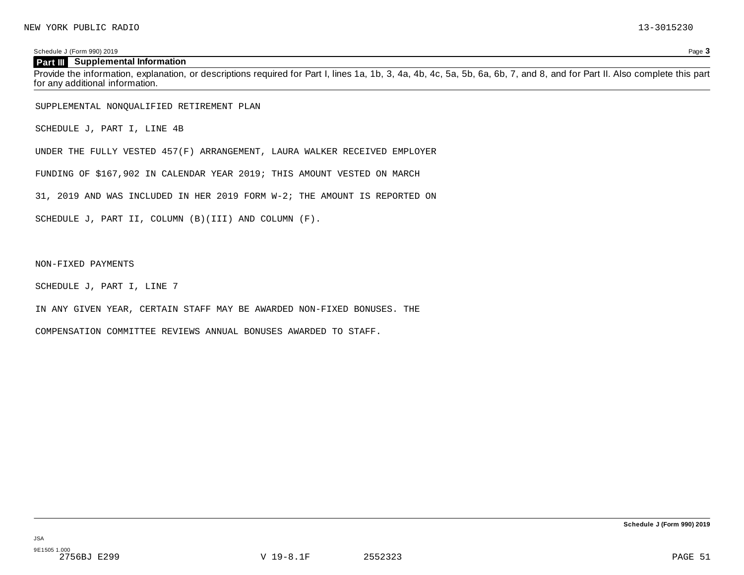Schedule J (Form 990) 2019 Page **3**

#### **Part III Supplemental Information**

Provide the information, explanation, or descriptions required for Part I, lines 1a, 1b, 3, 4a, 4b, 4c, 5a, 5b, 6a, 6b, 7, and 8, and for Part II. Also complete this part for any additional information.

SUPPLEMENTAL NONQUALIFIED RETIREMENT PLAN

SCHEDULE J, PART I, LINE 4B

UNDER THE FULLY VESTED 457(F) ARRANGEMENT, LAURA WALKER RECEIVED EMPLOYER

FUNDING OF \$167,902 IN CALENDAR YEAR 2019; THIS AMOUNT VESTED ON MARCH

31, 2019 AND WAS INCLUDED IN HER 2019 FORM W-2; THE AMOUNT IS REPORTED ON

SCHEDULE J, PART II, COLUMN (B)(III) AND COLUMN (F).

NON-FIXED PAYMENTS

SCHEDULE J, PART I, LINE 7

IN ANY GIVEN YEAR, CERTAIN STAFF MAY BE AWARDED NON-FIXED BONUSES. THE

COMPENSATION COMMITTEE REVIEWS ANNUAL BONUSES AWARDED TO STAFF.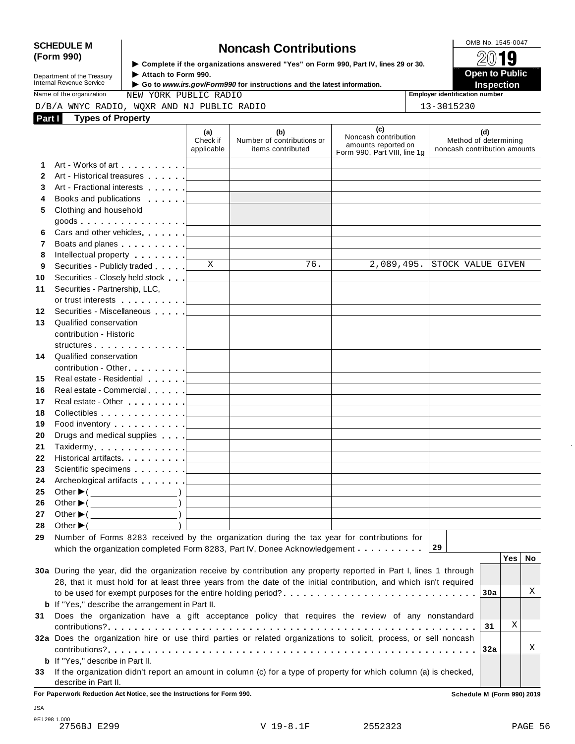**12 13**

# SCHEDULE M<br>
(Form 990) **SCHEDULE M SCHEDULE M Noncash Contributions**<br>  $\epsilon$  **Scheduler** if the organizations answered "Yes" on Form 990, Part IV. lines 29 or 30.

**Department of the Treasury<br>Internal Revenue Service** 

**Examplete** if the organizations answered "Yes" on Form 990, Part Ⅳ, lines 29 or 30. 
<br>● Attach to Form 990. **Department of the Treasury** ▶ Attach to Form 990.<br>Internal Revenue Service ▶ Go to *www.irs.gov/Form990* for instructions and the latest information.<br>Nome of the organization and a structure of the creasury in the struct

| ivalue of the organization |  | INEM XOI    |  |
|----------------------------|--|-------------|--|
| ∩דהומה מ∨דווט וי/ ה        |  | <b>MOVD</b> |  |

|    | <b>Types of Property</b><br>Part I                                                                                                                                                                                             |                                 |                                                                                                                       |                                                                                    |                                                              |
|----|--------------------------------------------------------------------------------------------------------------------------------------------------------------------------------------------------------------------------------|---------------------------------|-----------------------------------------------------------------------------------------------------------------------|------------------------------------------------------------------------------------|--------------------------------------------------------------|
|    |                                                                                                                                                                                                                                | (a)<br>Check if<br>applicable   | (b)<br>Number of contributions or<br>items contributed                                                                | (c)<br>Noncash contribution<br>amounts reported on<br>Form 990, Part VIII, line 1g | (d)<br>Method of determining<br>noncash contribution amounts |
| 1. | Art - Works of art example and a later and the later and the later and the later and the later and the later and the later and the later and the later and the later and the later and the later and the later and the later a |                                 |                                                                                                                       |                                                                                    |                                                              |
|    | Art - Historical treasures                                                                                                                                                                                                     |                                 |                                                                                                                       |                                                                                    |                                                              |
|    | Art - Fractional interests [1994]                                                                                                                                                                                              |                                 |                                                                                                                       |                                                                                    |                                                              |
|    | Books and publications                                                                                                                                                                                                         |                                 |                                                                                                                       |                                                                                    |                                                              |
|    | Clothing and household                                                                                                                                                                                                         |                                 |                                                                                                                       |                                                                                    |                                                              |
|    | goods <u>  _ _ _ _</u>                                                                                                                                                                                                         |                                 |                                                                                                                       |                                                                                    |                                                              |
|    | Cars and other vehicles <b>Cars</b> and other vehicles                                                                                                                                                                         |                                 |                                                                                                                       |                                                                                    |                                                              |
| 7  | Boats and planes entertainment and planes                                                                                                                                                                                      |                                 |                                                                                                                       |                                                                                    |                                                              |
| 8  | Intellectual property [                                                                                                                                                                                                        |                                 |                                                                                                                       |                                                                                    |                                                              |
| 9  | Securities - Publicly traded <b>Fig. 1</b>                                                                                                                                                                                     | $\mathbf{X}$                    | 76.                                                                                                                   | 2,089,495.                                                                         | STOCK VALUE GIVEN                                            |
|    |                                                                                                                                                                                                                                |                                 |                                                                                                                       |                                                                                    |                                                              |
|    | Securities - Partnership, LLC,                                                                                                                                                                                                 |                                 |                                                                                                                       |                                                                                    |                                                              |
|    | or trust interests [1] [1]                                                                                                                                                                                                     |                                 |                                                                                                                       |                                                                                    |                                                              |
|    | Securities - Miscellaneous                                                                                                                                                                                                     |                                 |                                                                                                                       |                                                                                    |                                                              |
|    | Qualified conservation                                                                                                                                                                                                         |                                 |                                                                                                                       |                                                                                    |                                                              |
|    | contribution - Historic                                                                                                                                                                                                        |                                 |                                                                                                                       |                                                                                    |                                                              |
|    | structures <u>  _ _ _ _ _</u>                                                                                                                                                                                                  |                                 |                                                                                                                       |                                                                                    |                                                              |
| 14 | Qualified conservation                                                                                                                                                                                                         |                                 |                                                                                                                       |                                                                                    |                                                              |
|    |                                                                                                                                                                                                                                |                                 |                                                                                                                       |                                                                                    |                                                              |
| 15 | Real estate - Residential Production and Production and Production and Production and Production and Production                                                                                                                |                                 |                                                                                                                       |                                                                                    |                                                              |
|    |                                                                                                                                                                                                                                |                                 |                                                                                                                       |                                                                                    |                                                              |
|    |                                                                                                                                                                                                                                |                                 |                                                                                                                       |                                                                                    |                                                              |
|    | Collectibles <u>  _ _ _ _ _</u>                                                                                                                                                                                                |                                 |                                                                                                                       |                                                                                    |                                                              |
|    | Food inventory exercise the state of the state of the state of the state of the state of the state of the state of the state of the state of the state of the state of the state of the state of the state of the state of the |                                 | <u> 1989 - Johann Barn, mars ann an t-Amhain Aonaich an t-Aonaich an t-Aonaich an t-Aonaich an t-Aonaich an t-Aon</u> |                                                                                    |                                                              |
|    | Drugs and medical supplies <b>Fig. 1.1 Fig. 1.1</b>                                                                                                                                                                            |                                 |                                                                                                                       |                                                                                    |                                                              |
|    |                                                                                                                                                                                                                                |                                 | the control of the control of the control of the control of the control of                                            |                                                                                    |                                                              |
|    | Historical artifacts [19]                                                                                                                                                                                                      |                                 |                                                                                                                       |                                                                                    |                                                              |
|    |                                                                                                                                                                                                                                | the contract of the contract of | the control of the control of the control of the control of                                                           |                                                                                    |                                                              |
|    |                                                                                                                                                                                                                                |                                 | <u> 1989 - Johann Barn, mars ann an t-Amhain Aonaich an t-Aonaich an t-Aonaich an t-Aonaich an t-Aonaich an t-Aon</u> |                                                                                    |                                                              |
|    | Archeological artifacts   _ _ _ _ _ _                                                                                                                                                                                          |                                 |                                                                                                                       |                                                                                    |                                                              |
|    | Other $\blacktriangleright$ ( $\_\_\_\_\_\_\_\_$ )                                                                                                                                                                             |                                 |                                                                                                                       |                                                                                    |                                                              |
|    | Other $\triangleright$ ( $\overrightarrow{$ )                                                                                                                                                                                  |                                 |                                                                                                                       |                                                                                    |                                                              |
| 27 |                                                                                                                                                                                                                                |                                 |                                                                                                                       |                                                                                    |                                                              |
| 28 | Other $\blacktriangleright$ (<br>Number of Forms 8283 received by the organization during the tax year for contributions for                                                                                                   |                                 |                                                                                                                       |                                                                                    |                                                              |

|                 | 30a During the year, did the organization receive by contribution any property reported in Part I, lines 1 through<br>28, that it must hold for at least three years from the date of the initial contribution, and which isn't required |     |   |
|-----------------|------------------------------------------------------------------------------------------------------------------------------------------------------------------------------------------------------------------------------------------|-----|---|
|                 |                                                                                                                                                                                                                                          |     | Х |
|                 | <b>b</b> If "Yes," describe the arrangement in Part II.                                                                                                                                                                                  |     |   |
| 31              | Does the organization have a gift acceptance policy that requires the review of any nonstandard                                                                                                                                          |     |   |
|                 |                                                                                                                                                                                                                                          | -31 |   |
|                 | 32a Does the organization hire or use third parties or related organizations to solicit, process, or sell noncash                                                                                                                        |     |   |
|                 |                                                                                                                                                                                                                                          |     | Х |
|                 | <b>b</b> If "Yes," describe in Part II.                                                                                                                                                                                                  |     |   |
| 33 <sup>2</sup> | If the organization didn't report an amount in column (c) for a type of property for which column (a) is checked,                                                                                                                        |     |   |
|                 | describe in Part II.                                                                                                                                                                                                                     |     |   |

**For Paperwork Reduction Act Notice, see the Instructions for Form 990. Schedule M (Form 990) 2019**

JSA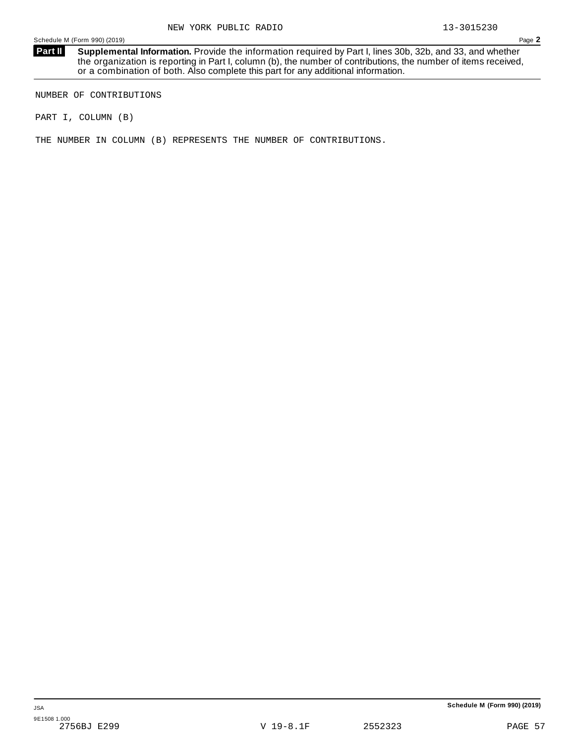**Supplemental Information.** Provide the information required by Part I, lines 30b, 32b, and 33, and whether the organization is reporting in Part I, column (b), the number of contributions, the number of items received, or a combination of both. Also complete this part for any additional information. **Part II**

NUMBER OF CONTRIBUTIONS

PART I, COLUMN (B)

THE NUMBER IN COLUMN (B) REPRESENTS THE NUMBER OF CONTRIBUTIONS.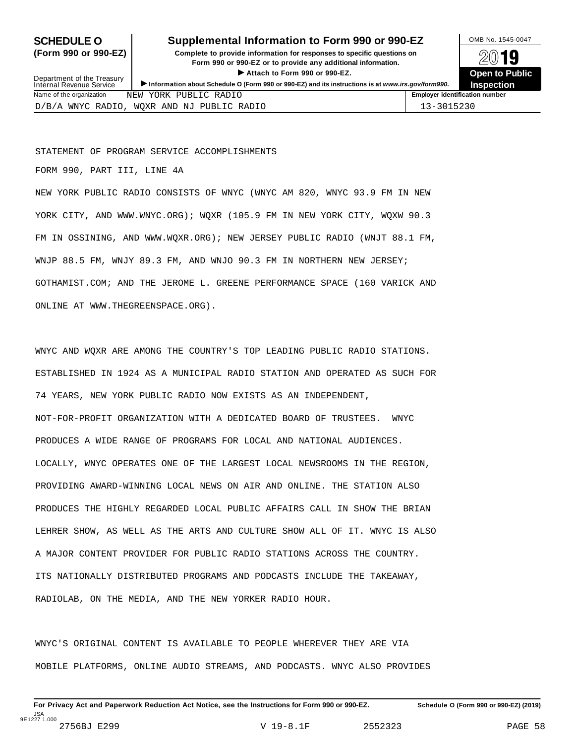Department of the Treasury<br>Internal Revenue Service

## **SCHEDULE O** Supplemental Information to Form 990 or 990-EZ DAMB No. 1545-0047

**(Form 990 or 990-EZ) Complete to provide information for responses to specific questions on** plete to provide information for responses to specific questions on  $\mathbb{Z}^{0}$  **19 EV I D**<br>
■ Attach to Form 990 or 990-EZ. Depen to Public<br>
■ Public Public Public > Attach to Form 990 or 990-EZ.<br>Information about Schedule O (Form 990 or 990-EZ) and its instructions is at www.irs.gov/form990. Inspection



| RADIO<br>PHRT.T<br>Name of the organization<br>YORK<br>NEW                                     | <b>Employer identification number</b> |
|------------------------------------------------------------------------------------------------|---------------------------------------|
| <b>RADIO</b><br>WOXR<br>RADIO<br>T PUBLIC<br>AND<br>ΝJ<br><b>MNAC</b><br>$\overline{K}$<br>ر ب |                                       |

STATEMENT OF PROGRAM SERVICE ACCOMPLISHMENTS

FORM 990, PART III, LINE 4A

NEW YORK PUBLIC RADIO CONSISTS OF WNYC (WNYC AM 820, WNYC 93.9 FM IN NEW YORK CITY, AND WWW.WNYC.ORG); WQXR (105.9 FM IN NEW YORK CITY, WQXW 90.3 FM IN OSSINING, AND WWW.WQXR.ORG); NEW JERSEY PUBLIC RADIO (WNJT 88.1 FM, WNJP 88.5 FM, WNJY 89.3 FM, AND WNJO 90.3 FM IN NORTHERN NEW JERSEY; GOTHAMIST.COM; AND THE JEROME L. GREENE PERFORMANCE SPACE (160 VARICK AND ONLINE AT WWW.THEGREENSPACE.ORG).

WNYC AND WQXR ARE AMONG THE COUNTRY'S TOP LEADING PUBLIC RADIO STATIONS. ESTABLISHED IN 1924 AS A MUNICIPAL RADIO STATION AND OPERATED AS SUCH FOR 74 YEARS, NEW YORK PUBLIC RADIO NOW EXISTS AS AN INDEPENDENT, NOT-FOR-PROFIT ORGANIZATION WITH A DEDICATED BOARD OF TRUSTEES. WNYC PRODUCES A WIDE RANGE OF PROGRAMS FOR LOCAL AND NATIONAL AUDIENCES. LOCALLY, WNYC OPERATES ONE OF THE LARGEST LOCAL NEWSROOMS IN THE REGION, PROVIDING AWARD-WINNING LOCAL NEWS ON AIR AND ONLINE. THE STATION ALSO PRODUCES THE HIGHLY REGARDED LOCAL PUBLIC AFFAIRS CALL IN SHOW THE BRIAN LEHRER SHOW, AS WELL AS THE ARTS AND CULTURE SHOW ALL OF IT. WNYC IS ALSO A MAJOR CONTENT PROVIDER FOR PUBLIC RADIO STATIONS ACROSS THE COUNTRY. ITS NATIONALLY DISTRIBUTED PROGRAMS AND PODCASTS INCLUDE THE TAKEAWAY, RADIOLAB, ON THE MEDIA, AND THE NEW YORKER RADIO HOUR.

WNYC'S ORIGINAL CONTENT IS AVAILABLE TO PEOPLE WHEREVER THEY ARE VIA MOBILE PLATFORMS, ONLINE AUDIO STREAMS, AND PODCASTS. WNYC ALSO PROVIDES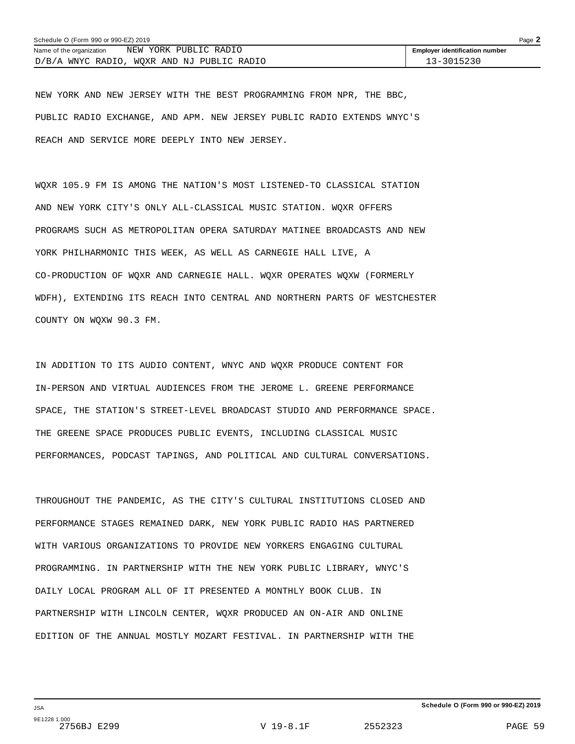| Schedule O (Form 990 or 990-EZ) 2019 |                                            | Page 2                                |
|--------------------------------------|--------------------------------------------|---------------------------------------|
| Name of the organization             | NEW YORK PUBLIC RADIO                      | <b>Employer identification number</b> |
|                                      | D/B/A WNYC RADIO, WOXR AND NJ PUBLIC RADIO | 13-3015230                            |

NEW YORK AND NEW JERSEY WITH THE BEST PROGRAMMING FROM NPR, THE BBC, PUBLIC RADIO EXCHANGE, AND APM. NEW JERSEY PUBLIC RADIO EXTENDS WNYC'S REACH AND SERVICE MORE DEEPLY INTO NEW JERSEY.

WQXR 105.9 FM IS AMONG THE NATION'S MOST LISTENED-TO CLASSICAL STATION AND NEW YORK CITY'S ONLY ALL-CLASSICAL MUSIC STATION. WQXR OFFERS PROGRAMS SUCH AS METROPOLITAN OPERA SATURDAY MATINEE BROADCASTS AND NEW YORK PHILHARMONIC THIS WEEK, AS WELL AS CARNEGIE HALL LIVE, A CO-PRODUCTION OF WQXR AND CARNEGIE HALL. WQXR OPERATES WQXW (FORMERLY WDFH), EXTENDING ITS REACH INTO CENTRAL AND NORTHERN PARTS OF WESTCHESTER COUNTY ON WQXW 90.3 FM.

IN ADDITION TO ITS AUDIO CONTENT, WNYC AND WQXR PRODUCE CONTENT FOR IN-PERSON AND VIRTUAL AUDIENCES FROM THE JEROME L. GREENE PERFORMANCE SPACE, THE STATION'S STREET-LEVEL BROADCAST STUDIO AND PERFORMANCE SPACE. THE GREENE SPACE PRODUCES PUBLIC EVENTS, INCLUDING CLASSICAL MUSIC PERFORMANCES, PODCAST TAPINGS, AND POLITICAL AND CULTURAL CONVERSATIONS.

THROUGHOUT THE PANDEMIC, AS THE CITY'S CULTURAL INSTITUTIONS CLOSED AND PERFORMANCE STAGES REMAINED DARK, NEW YORK PUBLIC RADIO HAS PARTNERED WITH VARIOUS ORGANIZATIONS TO PROVIDE NEW YORKERS ENGAGING CULTURAL PROGRAMMING. IN PARTNERSHIP WITH THE NEW YORK PUBLIC LIBRARY, WNYC'S DAILY LOCAL PROGRAM ALL OF IT PRESENTED A MONTHLY BOOK CLUB. IN PARTNERSHIP WITH LINCOLN CENTER, WQXR PRODUCED AN ON-AIR AND ONLINE EDITION OF THE ANNUAL MOSTLY MOZART FESTIVAL. IN PARTNERSHIP WITH THE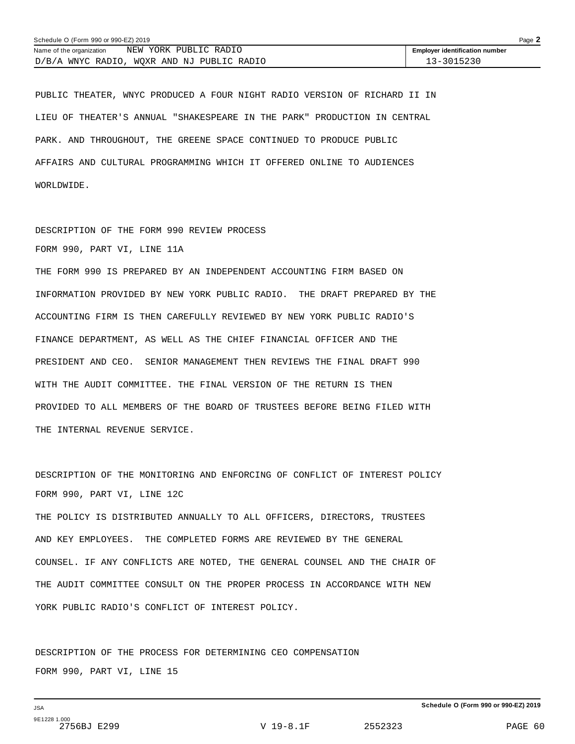| Schedule O (Form 990 or 990-EZ) 2019 |                                            | Page 2                                |
|--------------------------------------|--------------------------------------------|---------------------------------------|
| Name of the organization             | NEW YORK PUBLIC RADIO                      | <b>Employer identification number</b> |
|                                      | D/B/A WNYC RADIO, WOXR AND NJ PUBLIC RADIO | 13-3015230                            |

PUBLIC THEATER, WNYC PRODUCED A FOUR NIGHT RADIO VERSION OF RICHARD II IN LIEU OF THEATER'S ANNUAL "SHAKESPEARE IN THE PARK" PRODUCTION IN CENTRAL PARK. AND THROUGHOUT, THE GREENE SPACE CONTINUED TO PRODUCE PUBLIC AFFAIRS AND CULTURAL PROGRAMMING WHICH IT OFFERED ONLINE TO AUDIENCES WORLDWIDE.

## DESCRIPTION OF THE FORM 990 REVIEW PROCESS FORM 990, PART VI, LINE 11A

THE FORM 990 IS PREPARED BY AN INDEPENDENT ACCOUNTING FIRM BASED ON INFORMATION PROVIDED BY NEW YORK PUBLIC RADIO. THE DRAFT PREPARED BY THE ACCOUNTING FIRM IS THEN CAREFULLY REVIEWED BY NEW YORK PUBLIC RADIO'S FINANCE DEPARTMENT, AS WELL AS THE CHIEF FINANCIAL OFFICER AND THE PRESIDENT AND CEO. SENIOR MANAGEMENT THEN REVIEWS THE FINAL DRAFT 990 WITH THE AUDIT COMMITTEE. THE FINAL VERSION OF THE RETURN IS THEN PROVIDED TO ALL MEMBERS OF THE BOARD OF TRUSTEES BEFORE BEING FILED WITH THE INTERNAL REVENUE SERVICE.

DESCRIPTION OF THE MONITORING AND ENFORCING OF CONFLICT OF INTEREST POLICY FORM 990, PART VI, LINE 12C

THE POLICY IS DISTRIBUTED ANNUALLY TO ALL OFFICERS, DIRECTORS, TRUSTEES AND KEY EMPLOYEES. THE COMPLETED FORMS ARE REVIEWED BY THE GENERAL COUNSEL. IF ANY CONFLICTS ARE NOTED, THE GENERAL COUNSEL AND THE CHAIR OF THE AUDIT COMMITTEE CONSULT ON THE PROPER PROCESS IN ACCORDANCE WITH NEW YORK PUBLIC RADIO'S CONFLICT OF INTEREST POLICY.

DESCRIPTION OF THE PROCESS FOR DETERMINING CEO COMPENSATION FORM 990, PART VI, LINE 15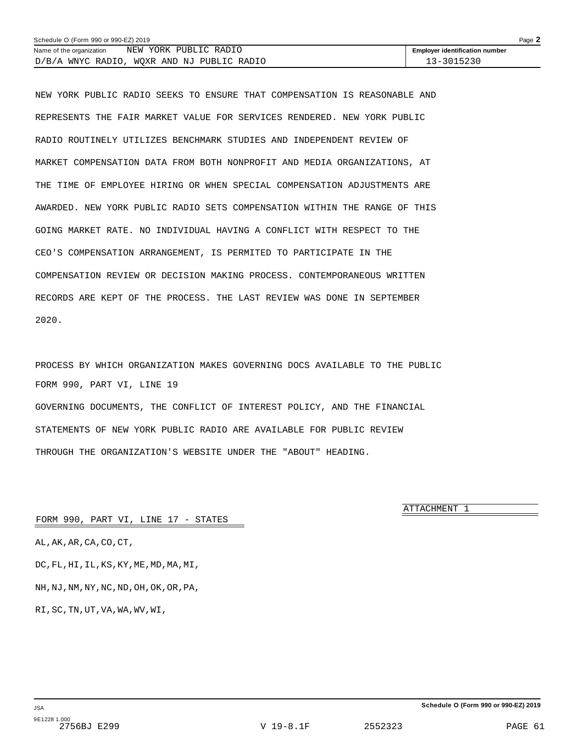| Schedule O (Form 990 or 990-EZ) 2019 |                                            | Page $\blacktriangle$                 |
|--------------------------------------|--------------------------------------------|---------------------------------------|
| Name of the organization             | NEW YORK PUBLIC RADIO                      | <b>Employer identification number</b> |
|                                      | D/B/A WNYC RADIO, WOXR AND NJ PUBLIC RADIO | 13-3015230                            |

NEW YORK PUBLIC RADIO SEEKS TO ENSURE THAT COMPENSATION IS REASONABLE AND REPRESENTS THE FAIR MARKET VALUE FOR SERVICES RENDERED. NEW YORK PUBLIC RADIO ROUTINELY UTILIZES BENCHMARK STUDIES AND INDEPENDENT REVIEW OF MARKET COMPENSATION DATA FROM BOTH NONPROFIT AND MEDIA ORGANIZATIONS, AT THE TIME OF EMPLOYEE HIRING OR WHEN SPECIAL COMPENSATION ADJUSTMENTS ARE AWARDED. NEW YORK PUBLIC RADIO SETS COMPENSATION WITHIN THE RANGE OF THIS GOING MARKET RATE. NO INDIVIDUAL HAVING A CONFLICT WITH RESPECT TO THE CEO'S COMPENSATION ARRANGEMENT, IS PERMITED TO PARTICIPATE IN THE COMPENSATION REVIEW OR DECISION MAKING PROCESS. CONTEMPORANEOUS WRITTEN RECORDS ARE KEPT OF THE PROCESS. THE LAST REVIEW WAS DONE IN SEPTEMBER 2020.

PROCESS BY WHICH ORGANIZATION MAKES GOVERNING DOCS AVAILABLE TO THE PUBLIC FORM 990, PART VI, LINE 19 GOVERNING DOCUMENTS, THE CONFLICT OF INTEREST POLICY, AND THE FINANCIAL STATEMENTS OF NEW YORK PUBLIC RADIO ARE AVAILABLE FOR PUBLIC REVIEW THROUGH THE ORGANIZATION'S WEBSITE UNDER THE "ABOUT" HEADING.

ATTACHMENT 1

FORM 990, PART VI, LINE 17 - STATES

AL,AK,AR,CA,CO,CT,

DC,FL,HI,IL,KS,KY,ME,MD,MA,MI,

NH,NJ,NM,NY,NC,ND,OH,OK,OR,PA,

RI,SC,TN,UT,VA,WA,WV,WI,